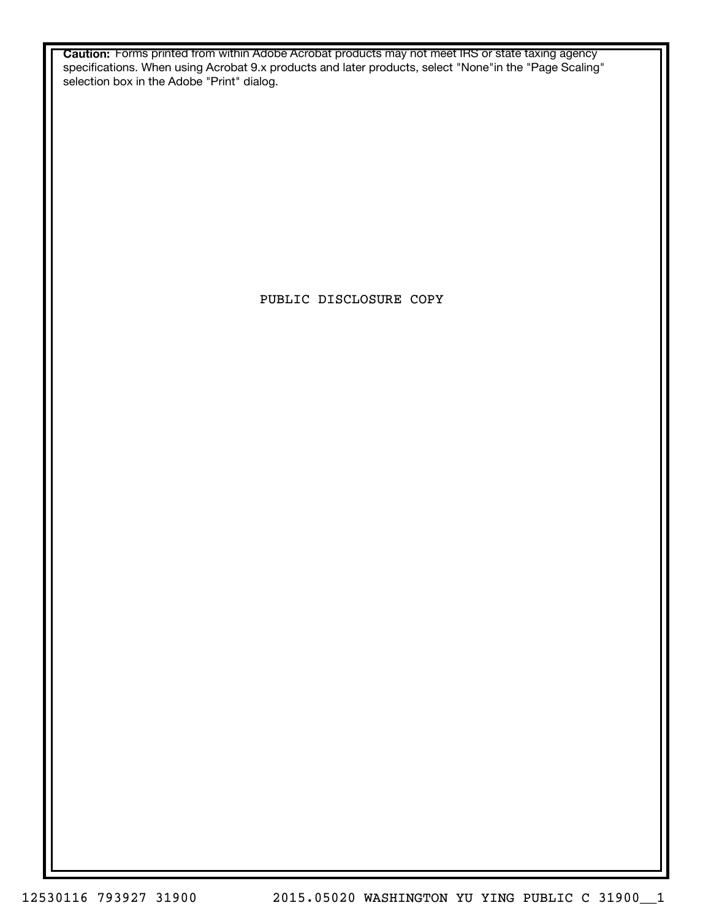**Caution:** Forms printed from within Adobe Acrobat products may not meet IRS or state taxing agency specifications. When using Acrobat 9.x products and later products, select "None"in the "Page Scaling" selection box in the Adobe "Print" dialog.

PUBLIC DISCLOSURE COPY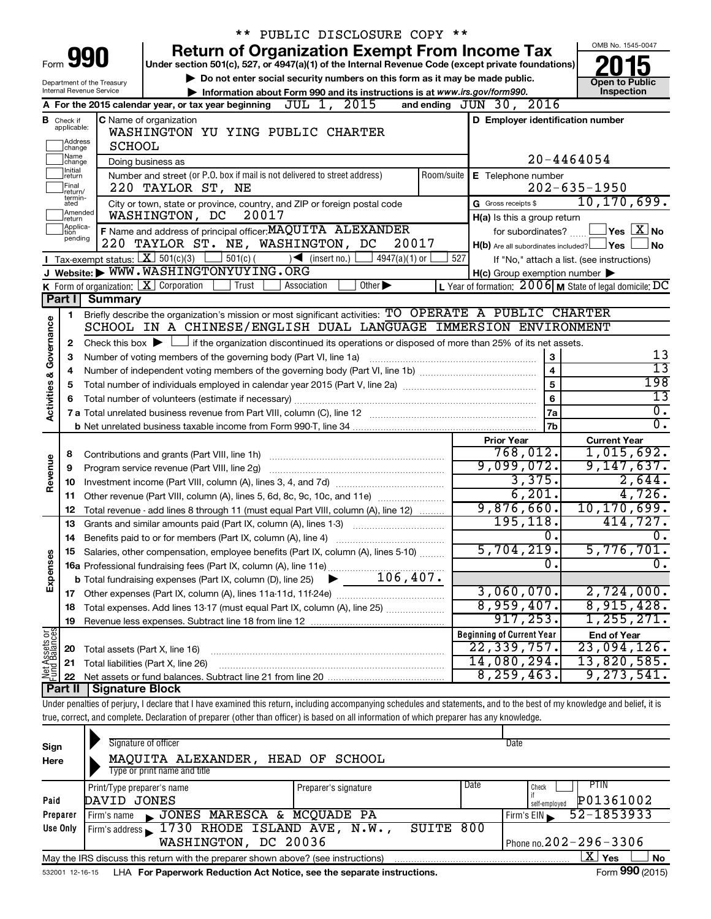|                                                       |                               |                                                           | ** PUBLIC DISCLOSURE COPY **                                                                                                                                               |     |                                                     |                                                         |  |  |  |
|-------------------------------------------------------|-------------------------------|-----------------------------------------------------------|----------------------------------------------------------------------------------------------------------------------------------------------------------------------------|-----|-----------------------------------------------------|---------------------------------------------------------|--|--|--|
|                                                       |                               |                                                           | <b>Return of Organization Exempt From Income Tax</b>                                                                                                                       |     |                                                     | OMB No. 1545-0047                                       |  |  |  |
| Form                                                  |                               | 991                                                       | Under section 501(c), 527, or 4947(a)(1) of the Internal Revenue Code (except private foundations)                                                                         |     |                                                     |                                                         |  |  |  |
|                                                       |                               | Department of the Treasury                                | Do not enter social security numbers on this form as it may be made public.                                                                                                |     |                                                     | <b>Open to Public</b>                                   |  |  |  |
|                                                       |                               | Internal Revenue Service                                  | Information about Form 990 and its instructions is at www.irs.gov/form990.                                                                                                 |     |                                                     | Inspection                                              |  |  |  |
|                                                       |                               |                                                           | A For the 2015 calendar year, or tax year beginning $\overline{JUL}$ 1, $\overline{2015}$                                                                                  |     | and ending JUN 30, 2016                             |                                                         |  |  |  |
|                                                       | <b>B</b> Check if applicable: |                                                           | C Name of organization                                                                                                                                                     |     | D Employer identification number                    |                                                         |  |  |  |
|                                                       |                               |                                                           | WASHINGTON YU YING PUBLIC CHARTER                                                                                                                                          |     |                                                     |                                                         |  |  |  |
| Address<br><b>SCHOOL</b><br>change                    |                               |                                                           |                                                                                                                                                                            |     |                                                     |                                                         |  |  |  |
| Name<br>$20 - 4464054$<br>Doing business as<br>change |                               |                                                           |                                                                                                                                                                            |     |                                                     |                                                         |  |  |  |
|                                                       | Initial<br>return             |                                                           | Number and street (or P.O. box if mail is not delivered to street address)                                                                                                 |     | Room/suite $\mathsf{E}$ Telephone number            |                                                         |  |  |  |
|                                                       | Final<br>return/<br>termin-   |                                                           | 220 TAYLOR ST, NE                                                                                                                                                          |     |                                                     | $202 - 635 - 1950$                                      |  |  |  |
|                                                       | ated                          |                                                           | City or town, state or province, country, and ZIP or foreign postal code                                                                                                   |     | G Gross receipts \$                                 | 10, 170, 699.                                           |  |  |  |
|                                                       | Amended<br>Ireturn            |                                                           | 20017<br>WASHINGTON, DC                                                                                                                                                    |     | H(a) Is this a group return                         |                                                         |  |  |  |
|                                                       | Applica-<br>Ition<br>pending  |                                                           | F Name and address of principal officer: MAQUITA ALEXANDER                                                                                                                 |     | for subordinates?                                   | $\vert$ Yes $\vert$ $\overline{\mathrm{X}}$ $\vert$ No  |  |  |  |
|                                                       |                               |                                                           | 220 TAYLOR ST. NE, WASHINGTON, DC<br>20017                                                                                                                                 |     | $H(b)$ Are all subordinates included? $\Box$ Yes    | <b>No</b>                                               |  |  |  |
|                                                       |                               | Tax-exempt status: $X \over 301(c)(3)$                    | $501(c)$ (<br>$\sqrt{\frac{1}{1}}$ (insert no.)<br>4947(a)(1) or<br>Website: WWW.WASHINGTONYUYING.ORG                                                                      | 527 |                                                     | If "No," attach a list. (see instructions)              |  |  |  |
|                                                       |                               |                                                           | Trust<br>$\overline{Other}$<br>Association                                                                                                                                 |     | $H(c)$ Group exemption number $\blacktriangleright$ |                                                         |  |  |  |
|                                                       | Part I                        | K Form of organization: $X$ Corporation<br><b>Summary</b> |                                                                                                                                                                            |     |                                                     | L Year of formation: 2006 M State of legal domicile: DC |  |  |  |
|                                                       |                               |                                                           | Briefly describe the organization's mission or most significant activities: TO OPERATE A PUBLIC CHARTER                                                                    |     |                                                     |                                                         |  |  |  |
|                                                       | 1.                            |                                                           | SCHOOL IN A CHINESE/ENGLISH DUAL LANGUAGE IMMERSION ENVIRONMENT                                                                                                            |     |                                                     |                                                         |  |  |  |
| Activities & Governance                               | 2                             |                                                           | Check this box $\blacktriangleright$ $\Box$ if the organization discontinued its operations or disposed of more than 25% of its net assets.                                |     |                                                     |                                                         |  |  |  |
|                                                       | З                             |                                                           | Number of voting members of the governing body (Part VI, line 1a)                                                                                                          |     | $\mathbf 3$                                         | 13                                                      |  |  |  |
|                                                       | 4                             |                                                           |                                                                                                                                                                            |     | $\overline{\mathbf{4}}$                             | $\overline{13}$                                         |  |  |  |
|                                                       | 5                             | 5                                                         | 198                                                                                                                                                                        |     |                                                     |                                                         |  |  |  |
|                                                       |                               | 13                                                        |                                                                                                                                                                            |     |                                                     |                                                         |  |  |  |
|                                                       |                               |                                                           |                                                                                                                                                                            |     | 6<br>7a                                             | $\overline{0}$ .                                        |  |  |  |
|                                                       |                               |                                                           |                                                                                                                                                                            |     | 7 <sub>b</sub>                                      | σ.                                                      |  |  |  |
|                                                       |                               |                                                           |                                                                                                                                                                            |     | <b>Prior Year</b>                                   | <b>Current Year</b>                                     |  |  |  |
|                                                       | 8                             |                                                           |                                                                                                                                                                            |     | 768,012.                                            | 1,015,692.                                              |  |  |  |
| Revenue                                               | 9                             |                                                           | Program service revenue (Part VIII, line 2g)                                                                                                                               |     | 9,099,072.                                          | 9,147,637.                                              |  |  |  |
|                                                       | 10                            |                                                           |                                                                                                                                                                            |     | 3,375.                                              | 2,644.                                                  |  |  |  |
|                                                       | 11                            |                                                           | Other revenue (Part VIII, column (A), lines 5, 6d, 8c, 9c, 10c, and 11e)                                                                                                   |     | 6,201.                                              | 4,726.                                                  |  |  |  |
|                                                       | 12                            |                                                           | Total revenue - add lines 8 through 11 (must equal Part VIII, column (A), line 12)                                                                                         |     | 9,876,660.                                          | 10, 170, 699.                                           |  |  |  |
|                                                       | 13                            |                                                           | Grants and similar amounts paid (Part IX, column (A), lines 1-3)                                                                                                           |     | 195, 118.                                           | 414,727.                                                |  |  |  |
|                                                       |                               |                                                           | 14 Benefits paid to or for members (Part IX, column (A), line 4)                                                                                                           |     | 0.                                                  | 0.                                                      |  |  |  |
|                                                       | 15                            |                                                           | Salaries, other compensation, employee benefits (Part IX, column (A), lines 5-10)                                                                                          |     | 5,704,219.                                          | 5,776,701 <b>.</b>                                      |  |  |  |
| Expenses                                              |                               |                                                           |                                                                                                                                                                            |     | 0                                                   | 0.                                                      |  |  |  |
|                                                       |                               |                                                           |                                                                                                                                                                            |     |                                                     |                                                         |  |  |  |
|                                                       |                               |                                                           |                                                                                                                                                                            |     | 3,060,070.                                          | 2,724,000.                                              |  |  |  |
|                                                       | 18                            |                                                           | Total expenses. Add lines 13-17 (must equal Part IX, column (A), line 25)                                                                                                  |     | 8,959,407.                                          | 8,915,428.                                              |  |  |  |
|                                                       | 19                            |                                                           |                                                                                                                                                                            |     | 917, 253.                                           | 1,255,271.                                              |  |  |  |
| Net Assets or                                         |                               |                                                           |                                                                                                                                                                            |     | <b>Beginning of Current Year</b>                    | <b>End of Year</b>                                      |  |  |  |
|                                                       | 20                            | Total assets (Part X, line 16)                            |                                                                                                                                                                            |     | 22,339,757.                                         | 23,094,126.                                             |  |  |  |
|                                                       | 21                            |                                                           | Total liabilities (Part X, line 26)                                                                                                                                        |     | 14,080,294.                                         | 13,820,585.                                             |  |  |  |
|                                                       | 22                            |                                                           |                                                                                                                                                                            |     | 8, 259, 463.                                        | 9, 273, 541.                                            |  |  |  |
|                                                       | Part II                       | Signature Block                                           |                                                                                                                                                                            |     |                                                     |                                                         |  |  |  |
|                                                       |                               |                                                           | Under penalties of perjury, I declare that I have examined this return, including accompanying schedules and statements, and to the best of my knowledge and belief, it is |     |                                                     |                                                         |  |  |  |
|                                                       |                               |                                                           | true, correct, and complete. Declaration of preparer (other than officer) is based on all information of which preparer has any knowledge.                                 |     |                                                     |                                                         |  |  |  |
|                                                       |                               |                                                           | Signature of officer                                                                                                                                                       |     | Date                                                |                                                         |  |  |  |
| Sign<br>Here                                          |                               |                                                           | MAQUITA ALEXANDER, HEAD OF SCHOOL                                                                                                                                          |     |                                                     |                                                         |  |  |  |
|                                                       |                               |                                                           |                                                                                                                                                                            |     |                                                     |                                                         |  |  |  |

| Here     | MAQUITA ALEXANDER, HEAD OF SCHOOL                                                                           |                      |      |                              |  |  |  |  |  |  |  |
|----------|-------------------------------------------------------------------------------------------------------------|----------------------|------|------------------------------|--|--|--|--|--|--|--|
|          | Type or print name and title                                                                                |                      |      |                              |  |  |  |  |  |  |  |
|          | Print/Type preparer's name                                                                                  | Preparer's signature | Date | PTIN<br>Check                |  |  |  |  |  |  |  |
| Paid     | DAVID JONES                                                                                                 |                      |      | P01361002<br>self-emploved   |  |  |  |  |  |  |  |
| Preparer | JONES MARESCA & MCQUADE PA<br>Firm's name                                                                   |                      |      | $52 - 1853933$<br>Firm's EIN |  |  |  |  |  |  |  |
| Use Only | Firm's address 1730 RHODE ISLAND AVE, N.W.,                                                                 | SUITE 800            |      |                              |  |  |  |  |  |  |  |
|          | Phone no. $202 - 296 - 3306$<br>WASHINGTON, DC 20036                                                        |                      |      |                              |  |  |  |  |  |  |  |
|          | ΧI<br><b>No</b><br>Yes<br>May the IRS discuss this return with the preparer shown above? (see instructions) |                      |      |                              |  |  |  |  |  |  |  |
|          |                                                                                                             |                      |      | $- - -$                      |  |  |  |  |  |  |  |

532001 12-16-15 **For Paperwork Reduction Act Notice, see the separate instructions.** LHA Form (2015)

Form **990** (2015)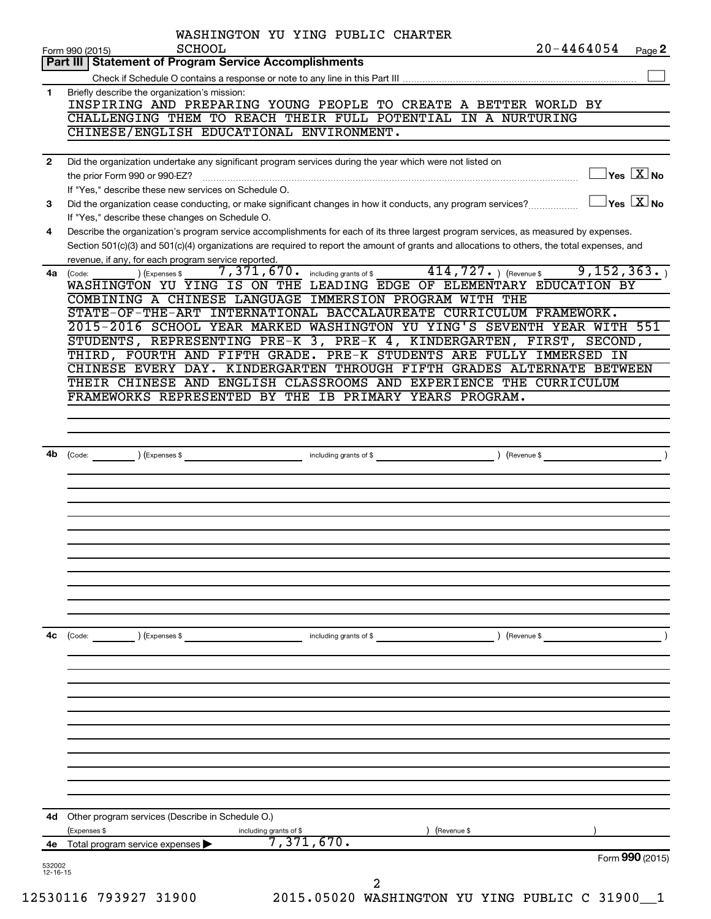|    | Part III   Statement of Program Service Accomplishments                                                      |                                            |                                                                                                                                              |
|----|--------------------------------------------------------------------------------------------------------------|--------------------------------------------|----------------------------------------------------------------------------------------------------------------------------------------------|
|    |                                                                                                              |                                            |                                                                                                                                              |
| 1  | Briefly describe the organization's mission:                                                                 |                                            |                                                                                                                                              |
|    | INSPIRING AND PREPARING YOUNG PEOPLE TO CREATE A BETTER WORLD BY                                             |                                            |                                                                                                                                              |
|    | CHALLENGING THEM TO REACH THEIR FULL POTENTIAL IN A NURTURING<br>CHINESE/ENGLISH EDUCATIONAL ENVIRONMENT.    |                                            |                                                                                                                                              |
|    |                                                                                                              |                                            |                                                                                                                                              |
| 2  | Did the organization undertake any significant program services during the year which were not listed on     |                                            |                                                                                                                                              |
|    | the prior Form 990 or 990-EZ?                                                                                |                                            | $\exists$ Yes $\boxed{\text{X}}$ No                                                                                                          |
|    | If "Yes," describe these new services on Schedule O.                                                         |                                            |                                                                                                                                              |
| 3  | Did the organization cease conducting, or make significant changes in how it conducts, any program services? |                                            | $\overline{\ }$ Yes $\overline{\ \ X}$ No                                                                                                    |
|    | If "Yes," describe these changes on Schedule O.                                                              |                                            |                                                                                                                                              |
| 4  |                                                                                                              |                                            | Describe the organization's program service accomplishments for each of its three largest program services, as measured by expenses.         |
|    |                                                                                                              |                                            | Section 501(c)(3) and 501(c)(4) organizations are required to report the amount of grants and allocations to others, the total expenses, and |
|    | revenue, if any, for each program service reported.                                                          |                                            |                                                                                                                                              |
|    | (Expenses \$<br>4a (Code:                                                                                    | $7,371,670$ $\cdot$ including grants of \$ | $414, 727.$ (Revenue \$<br>9, 152, 363.                                                                                                      |
|    |                                                                                                              |                                            | WASHINGTON YU YING IS ON THE LEADING EDGE OF ELEMENTARY EDUCATION BY                                                                         |
|    | COMBINING A CHINESE LANGUAGE IMMERSION PROGRAM WITH THE                                                      |                                            | STATE-OF-THE-ART INTERNATIONAL BACCALAUREATE CURRICULUM FRAMEWORK.                                                                           |
|    |                                                                                                              |                                            | 2015-2016 SCHOOL YEAR MARKED WASHINGTON YU YING'S SEVENTH YEAR WITH 551                                                                      |
|    |                                                                                                              |                                            | STUDENTS, REPRESENTING PRE-K 3, PRE-K 4, KINDERGARTEN, FIRST, SECOND,                                                                        |
|    |                                                                                                              |                                            | THIRD, FOURTH AND FIFTH GRADE. PRE-K STUDENTS ARE FULLY IMMERSED IN                                                                          |
|    |                                                                                                              |                                            | CHINESE EVERY DAY. KINDERGARTEN THROUGH FIFTH GRADES ALTERNATE BETWEEN                                                                       |
|    |                                                                                                              |                                            | THEIR CHINESE AND ENGLISH CLASSROOMS AND EXPERIENCE THE CURRICULUM                                                                           |
|    | FRAMEWORKS REPRESENTED BY THE IB PRIMARY YEARS PROGRAM.                                                      |                                            |                                                                                                                                              |
|    |                                                                                                              |                                            |                                                                                                                                              |
|    |                                                                                                              |                                            |                                                                                                                                              |
|    |                                                                                                              |                                            |                                                                                                                                              |
| 4b |                                                                                                              |                                            | $\overline{\phantom{a}}$                                                                                                                     |
|    |                                                                                                              |                                            |                                                                                                                                              |
|    |                                                                                                              |                                            |                                                                                                                                              |
|    |                                                                                                              |                                            |                                                                                                                                              |
|    |                                                                                                              |                                            |                                                                                                                                              |
|    |                                                                                                              |                                            |                                                                                                                                              |
|    |                                                                                                              |                                            |                                                                                                                                              |
|    |                                                                                                              |                                            |                                                                                                                                              |
|    |                                                                                                              |                                            |                                                                                                                                              |
|    |                                                                                                              |                                            |                                                                                                                                              |
|    |                                                                                                              |                                            |                                                                                                                                              |
|    |                                                                                                              |                                            |                                                                                                                                              |
|    |                                                                                                              |                                            |                                                                                                                                              |
|    |                                                                                                              |                                            |                                                                                                                                              |
| 4c | (Code: ) (Expenses \$                                                                                        | including grants of \$                     | ) (Revenue \$                                                                                                                                |
|    |                                                                                                              |                                            |                                                                                                                                              |
|    |                                                                                                              |                                            |                                                                                                                                              |
|    |                                                                                                              |                                            |                                                                                                                                              |
|    |                                                                                                              |                                            |                                                                                                                                              |
|    |                                                                                                              |                                            |                                                                                                                                              |
|    |                                                                                                              |                                            |                                                                                                                                              |
|    |                                                                                                              |                                            |                                                                                                                                              |
|    |                                                                                                              |                                            |                                                                                                                                              |
|    |                                                                                                              |                                            |                                                                                                                                              |
|    |                                                                                                              |                                            |                                                                                                                                              |
|    |                                                                                                              |                                            |                                                                                                                                              |
|    | <b>4d</b> Other program services (Describe in Schedule O.)                                                   |                                            |                                                                                                                                              |
|    | (Expenses \$                                                                                                 | including grants of \$                     | (Revenue \$                                                                                                                                  |
| 4e | Total program service expenses                                                                               | 7,371,670.                                 | Form 990 (2015)                                                                                                                              |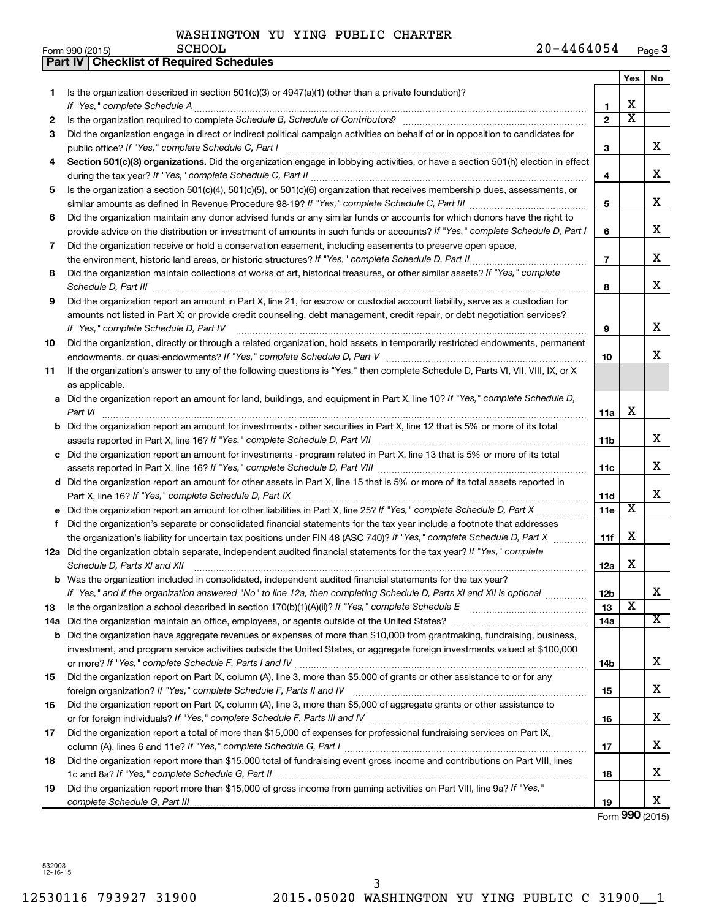|     | Part IV   Checklist of Required Schedules                                                                                                                                                                                                                                                                                                                            |                |                         |     |
|-----|----------------------------------------------------------------------------------------------------------------------------------------------------------------------------------------------------------------------------------------------------------------------------------------------------------------------------------------------------------------------|----------------|-------------------------|-----|
|     |                                                                                                                                                                                                                                                                                                                                                                      |                | Yes                     | No. |
| 1   | Is the organization described in section 501(c)(3) or $4947(a)(1)$ (other than a private foundation)?                                                                                                                                                                                                                                                                |                |                         |     |
|     |                                                                                                                                                                                                                                                                                                                                                                      | 1              | х                       |     |
| 2   |                                                                                                                                                                                                                                                                                                                                                                      | $\overline{2}$ | $\overline{\textbf{x}}$ |     |
| 3   | Did the organization engage in direct or indirect political campaign activities on behalf of or in opposition to candidates for                                                                                                                                                                                                                                      |                |                         |     |
|     |                                                                                                                                                                                                                                                                                                                                                                      | 3              |                         | x   |
| 4   | Section 501(c)(3) organizations. Did the organization engage in lobbying activities, or have a section 501(h) election in effect                                                                                                                                                                                                                                     |                |                         |     |
|     |                                                                                                                                                                                                                                                                                                                                                                      | 4              |                         | x   |
| 5   | Is the organization a section 501(c)(4), 501(c)(5), or 501(c)(6) organization that receives membership dues, assessments, or                                                                                                                                                                                                                                         |                |                         |     |
|     |                                                                                                                                                                                                                                                                                                                                                                      | 5              |                         | x   |
| 6   | Did the organization maintain any donor advised funds or any similar funds or accounts for which donors have the right to                                                                                                                                                                                                                                            |                |                         |     |
|     | provide advice on the distribution or investment of amounts in such funds or accounts? If "Yes," complete Schedule D, Part I                                                                                                                                                                                                                                         | 6              |                         | х   |
| 7   | Did the organization receive or hold a conservation easement, including easements to preserve open space,                                                                                                                                                                                                                                                            |                |                         |     |
|     | the environment, historic land areas, or historic structures? If "Yes," complete Schedule D, Part II                                                                                                                                                                                                                                                                 | $\overline{7}$ |                         | х   |
| 8   | Did the organization maintain collections of works of art, historical treasures, or other similar assets? If "Yes," complete                                                                                                                                                                                                                                         |                |                         |     |
|     |                                                                                                                                                                                                                                                                                                                                                                      | 8              |                         | x   |
| 9   | Schedule D, Part III <b>Marting Constructs</b> and the construction of the construction of the construction of the construction of the construction of the construction of the construction of the construction of the construction<br>Did the organization report an amount in Part X, line 21, for escrow or custodial account liability, serve as a custodian for |                |                         |     |
|     |                                                                                                                                                                                                                                                                                                                                                                      |                |                         |     |
|     | amounts not listed in Part X; or provide credit counseling, debt management, credit repair, or debt negotiation services?                                                                                                                                                                                                                                            |                |                         | х   |
|     | If "Yes," complete Schedule D, Part IV                                                                                                                                                                                                                                                                                                                               | 9              |                         |     |
| 10  | Did the organization, directly or through a related organization, hold assets in temporarily restricted endowments, permanent                                                                                                                                                                                                                                        |                |                         | x   |
|     |                                                                                                                                                                                                                                                                                                                                                                      | 10             |                         |     |
| 11  | If the organization's answer to any of the following questions is "Yes," then complete Schedule D, Parts VI, VII, VIII, IX, or X                                                                                                                                                                                                                                     |                |                         |     |
|     | as applicable.                                                                                                                                                                                                                                                                                                                                                       |                |                         |     |
|     | a Did the organization report an amount for land, buildings, and equipment in Part X, line 10? If "Yes," complete Schedule D,                                                                                                                                                                                                                                        |                | X                       |     |
|     | Part VI                                                                                                                                                                                                                                                                                                                                                              | 11a            |                         |     |
|     | <b>b</b> Did the organization report an amount for investments - other securities in Part X, line 12 that is 5% or more of its total                                                                                                                                                                                                                                 |                |                         |     |
|     |                                                                                                                                                                                                                                                                                                                                                                      | 11b            |                         | х   |
|     | c Did the organization report an amount for investments - program related in Part X, line 13 that is 5% or more of its total                                                                                                                                                                                                                                         |                |                         |     |
|     |                                                                                                                                                                                                                                                                                                                                                                      | 11с            |                         | х   |
|     | d Did the organization report an amount for other assets in Part X, line 15 that is 5% or more of its total assets reported in                                                                                                                                                                                                                                       |                |                         |     |
|     |                                                                                                                                                                                                                                                                                                                                                                      | 11d            |                         | x   |
|     | e Did the organization report an amount for other liabilities in Part X, line 25? If "Yes," complete Schedule D, Part X                                                                                                                                                                                                                                              | 11e            | $\overline{\textbf{x}}$ |     |
| f   | Did the organization's separate or consolidated financial statements for the tax year include a footnote that addresses                                                                                                                                                                                                                                              |                |                         |     |
|     | the organization's liability for uncertain tax positions under FIN 48 (ASC 740)? If "Yes," complete Schedule D, Part X                                                                                                                                                                                                                                               | 11f            | X                       |     |
|     | 12a Did the organization obtain separate, independent audited financial statements for the tax year? If "Yes," complete                                                                                                                                                                                                                                              |                |                         |     |
|     | Schedule D, Parts XI and XII                                                                                                                                                                                                                                                                                                                                         | 12a            | х                       |     |
| b   | Was the organization included in consolidated, independent audited financial statements for the tax year?                                                                                                                                                                                                                                                            |                |                         |     |
|     | If "Yes," and if the organization answered "No" to line 12a, then completing Schedule D, Parts XI and XII is optional                                                                                                                                                                                                                                                | 12b            |                         | х   |
| 13  |                                                                                                                                                                                                                                                                                                                                                                      | 13             | $\overline{\textbf{x}}$ |     |
| 14a | Did the organization maintain an office, employees, or agents outside of the United States?                                                                                                                                                                                                                                                                          | 14a            |                         | x   |
| b   | Did the organization have aggregate revenues or expenses of more than \$10,000 from grantmaking, fundraising, business,                                                                                                                                                                                                                                              |                |                         |     |
|     | investment, and program service activities outside the United States, or aggregate foreign investments valued at \$100,000                                                                                                                                                                                                                                           |                |                         |     |
|     |                                                                                                                                                                                                                                                                                                                                                                      | 14b            |                         | x.  |
| 15  | Did the organization report on Part IX, column (A), line 3, more than \$5,000 of grants or other assistance to or for any                                                                                                                                                                                                                                            |                |                         |     |
|     |                                                                                                                                                                                                                                                                                                                                                                      | 15             |                         | x   |
| 16  | Did the organization report on Part IX, column (A), line 3, more than \$5,000 of aggregate grants or other assistance to                                                                                                                                                                                                                                             |                |                         |     |
|     |                                                                                                                                                                                                                                                                                                                                                                      | 16             |                         | x   |
| 17  | Did the organization report a total of more than \$15,000 of expenses for professional fundraising services on Part IX,                                                                                                                                                                                                                                              |                |                         |     |
|     |                                                                                                                                                                                                                                                                                                                                                                      | 17             |                         | x   |
| 18  | Did the organization report more than \$15,000 total of fundraising event gross income and contributions on Part VIII, lines                                                                                                                                                                                                                                         |                |                         |     |
|     |                                                                                                                                                                                                                                                                                                                                                                      | 18             |                         | x   |
| 19  | Did the organization report more than \$15,000 of gross income from gaming activities on Part VIII, line 9a? If "Yes,"                                                                                                                                                                                                                                               |                |                         |     |
|     |                                                                                                                                                                                                                                                                                                                                                                      | 19             |                         | x   |

Form **990** (2015)

532003 12-16-15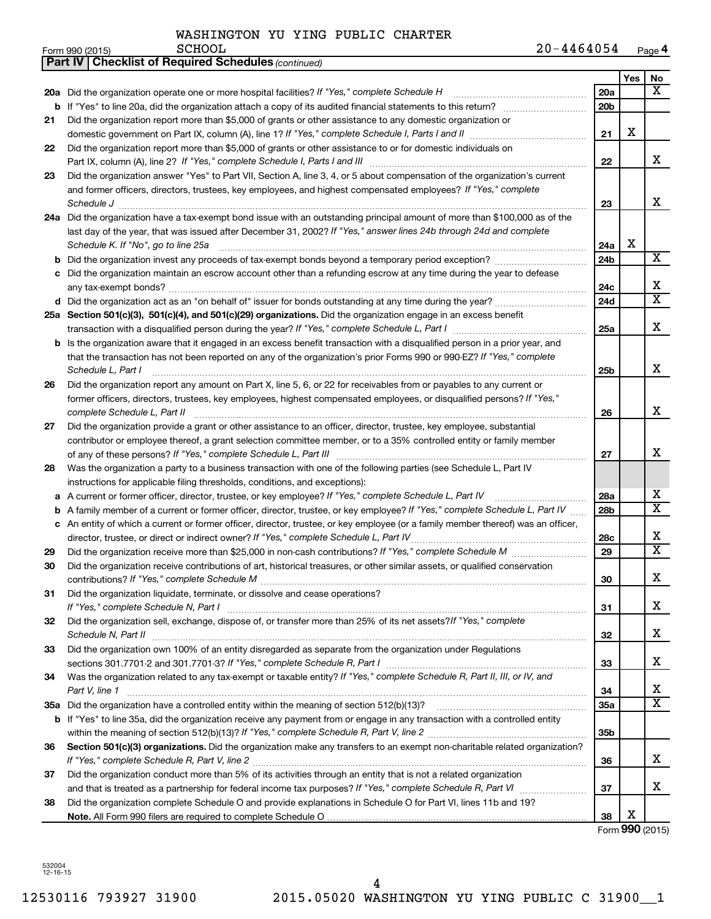SCHOOL

| 20-4464054 | Page 4 |
|------------|--------|
|------------|--------|

|    | <b>Part IV   Checklist of Required Schedules (continued)</b>                                                                                                                                         |                 |     |                       |  |
|----|------------------------------------------------------------------------------------------------------------------------------------------------------------------------------------------------------|-----------------|-----|-----------------------|--|
|    |                                                                                                                                                                                                      |                 | Yes | No                    |  |
|    | 20a Did the organization operate one or more hospital facilities? If "Yes," complete Schedule H                                                                                                      | <b>20a</b>      |     | x                     |  |
|    | b If "Yes" to line 20a, did the organization attach a copy of its audited financial statements to this return?                                                                                       | 20 <sub>b</sub> |     |                       |  |
| 21 | Did the organization report more than \$5,000 of grants or other assistance to any domestic organization or                                                                                          |                 |     |                       |  |
|    |                                                                                                                                                                                                      | 21              | х   |                       |  |
| 22 | Did the organization report more than \$5,000 of grants or other assistance to or for domestic individuals on                                                                                        |                 |     |                       |  |
|    |                                                                                                                                                                                                      | 22              |     | х                     |  |
| 23 | Did the organization answer "Yes" to Part VII, Section A, line 3, 4, or 5 about compensation of the organization's current                                                                           |                 |     |                       |  |
|    | and former officers, directors, trustees, key employees, and highest compensated employees? If "Yes," complete                                                                                       |                 |     |                       |  |
|    | Schedule J <b>Example 2 Contract 2 Contract 2 Contract 2 Contract 2 Contract 2 Contract 2 Contract 2 Contract 2 Contract 2 Contract 2 Contract 2 Contract 2 Contract 2 Contract 2 Contract 2 Con</b> | 23              |     | х                     |  |
|    | 24a Did the organization have a tax-exempt bond issue with an outstanding principal amount of more than \$100,000 as of the                                                                          |                 |     |                       |  |
|    | last day of the year, that was issued after December 31, 2002? If "Yes," answer lines 24b through 24d and complete                                                                                   |                 |     |                       |  |
|    | Schedule K. If "No", go to line 25a                                                                                                                                                                  | 24a             | х   |                       |  |
| b  |                                                                                                                                                                                                      | 24b             |     | x                     |  |
|    | Did the organization maintain an escrow account other than a refunding escrow at any time during the year to defease                                                                                 |                 |     |                       |  |
|    |                                                                                                                                                                                                      |                 |     |                       |  |
|    | d Did the organization act as an "on behalf of" issuer for bonds outstanding at any time during the year?                                                                                            | 24d             |     | $\overline{\text{X}}$ |  |
|    | 25a Section 501(c)(3), 501(c)(4), and 501(c)(29) organizations. Did the organization engage in an excess benefit                                                                                     |                 |     |                       |  |
|    |                                                                                                                                                                                                      | 25a             |     | x                     |  |
|    | <b>b</b> Is the organization aware that it engaged in an excess benefit transaction with a disqualified person in a prior year, and                                                                  |                 |     |                       |  |
|    | that the transaction has not been reported on any of the organization's prior Forms 990 or 990-EZ? If "Yes," complete                                                                                |                 |     |                       |  |
|    | Schedule L, Part I                                                                                                                                                                                   | 25b             |     | х                     |  |
| 26 | Did the organization report any amount on Part X, line 5, 6, or 22 for receivables from or payables to any current or                                                                                |                 |     |                       |  |
|    | former officers, directors, trustees, key employees, highest compensated employees, or disqualified persons? If "Yes,"                                                                               |                 |     |                       |  |
|    | complete Schedule L, Part II                                                                                                                                                                         | 26              |     | x                     |  |
| 27 | Did the organization provide a grant or other assistance to an officer, director, trustee, key employee, substantial                                                                                 |                 |     |                       |  |
|    | contributor or employee thereof, a grant selection committee member, or to a 35% controlled entity or family member                                                                                  |                 |     |                       |  |
|    |                                                                                                                                                                                                      | 27              |     | X                     |  |
| 28 | Was the organization a party to a business transaction with one of the following parties (see Schedule L, Part IV                                                                                    |                 |     |                       |  |
|    | instructions for applicable filing thresholds, conditions, and exceptions):                                                                                                                          |                 |     |                       |  |
| а  | A current or former officer, director, trustee, or key employee? If "Yes," complete Schedule L, Part IV                                                                                              | 28a             |     | x                     |  |
| b  | A family member of a current or former officer, director, trustee, or key employee? If "Yes," complete Schedule L, Part IV                                                                           | 28 <sub>b</sub> |     | $\overline{\text{X}}$ |  |
|    | c An entity of which a current or former officer, director, trustee, or key employee (or a family member thereof) was an officer,                                                                    |                 |     |                       |  |
|    | director, trustee, or direct or indirect owner? If "Yes," complete Schedule L, Part IV                                                                                                               | 28c             |     | х                     |  |
| 29 |                                                                                                                                                                                                      | 29              |     | $\overline{\text{X}}$ |  |
| 30 | Did the organization receive contributions of art, historical treasures, or other similar assets, or qualified conservation                                                                          |                 |     |                       |  |
|    |                                                                                                                                                                                                      | 30              |     | Χ                     |  |
| 31 | Did the organization liquidate, terminate, or dissolve and cease operations?                                                                                                                         |                 |     |                       |  |
|    |                                                                                                                                                                                                      | 31              |     | x                     |  |
| 32 | Did the organization sell, exchange, dispose of, or transfer more than 25% of its net assets?/f "Yes," complete                                                                                      |                 |     |                       |  |
|    |                                                                                                                                                                                                      | 32              |     | х                     |  |
| 33 | Did the organization own 100% of an entity disregarded as separate from the organization under Regulations                                                                                           |                 |     |                       |  |
|    |                                                                                                                                                                                                      | 33              |     | х                     |  |
| 34 | Was the organization related to any tax-exempt or taxable entity? If "Yes," complete Schedule R, Part II, III, or IV, and                                                                            |                 |     |                       |  |
|    | Part V, line 1                                                                                                                                                                                       | 34              |     | х                     |  |
|    |                                                                                                                                                                                                      | 35a             |     | $\overline{\text{X}}$ |  |
|    | b If "Yes" to line 35a, did the organization receive any payment from or engage in any transaction with a controlled entity                                                                          |                 |     |                       |  |
|    |                                                                                                                                                                                                      | 35b             |     |                       |  |
| 36 | Section 501(c)(3) organizations. Did the organization make any transfers to an exempt non-charitable related organization?                                                                           |                 |     |                       |  |
|    |                                                                                                                                                                                                      | 36              |     | x                     |  |
| 37 | Did the organization conduct more than 5% of its activities through an entity that is not a related organization                                                                                     |                 |     |                       |  |
|    |                                                                                                                                                                                                      | 37              |     | х                     |  |
| 38 | Did the organization complete Schedule O and provide explanations in Schedule O for Part VI, lines 11b and 19?                                                                                       |                 |     |                       |  |
|    |                                                                                                                                                                                                      | 38              | X   |                       |  |

Form **990** (2015)

532004 12-16-15

Form 990 (2015)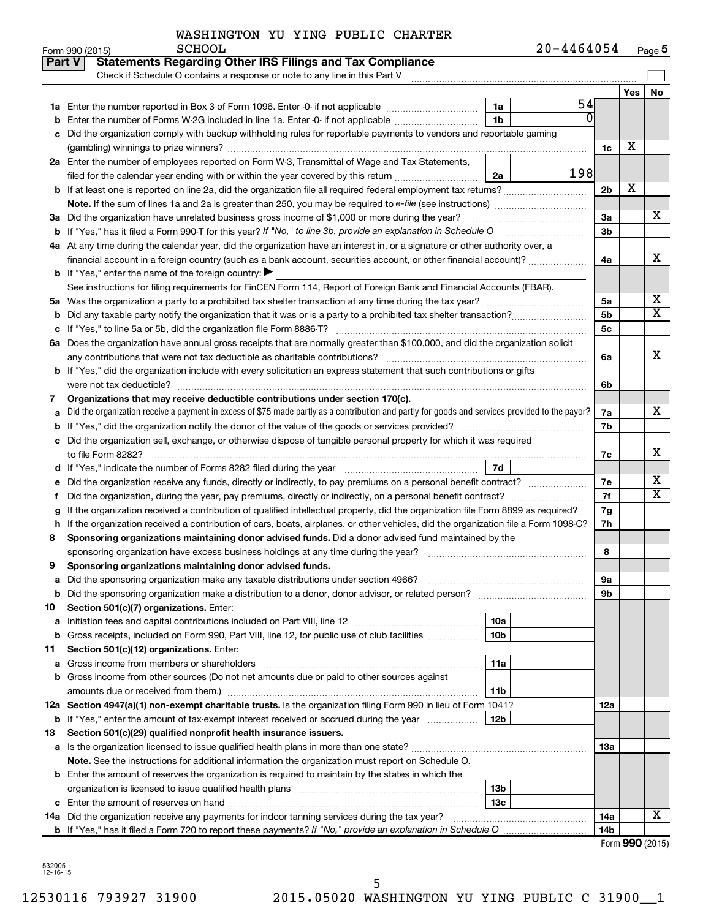# WASHINGTON YU YING PUBLIC CHARTER<br>SCHOOL

|    | Form 990 (2015)<br><b>PCHOOT</b><br>20-4464054                                                                                                       |                 |     | Page 5                  |  |  |  |
|----|------------------------------------------------------------------------------------------------------------------------------------------------------|-----------------|-----|-------------------------|--|--|--|
|    | <b>Statements Regarding Other IRS Filings and Tax Compliance</b><br>Part V                                                                           |                 |     |                         |  |  |  |
|    | Check if Schedule O contains a response or note to any line in this Part V                                                                           |                 |     |                         |  |  |  |
|    |                                                                                                                                                      |                 | Yes | No                      |  |  |  |
|    | 54<br>1a                                                                                                                                             |                 |     |                         |  |  |  |
|    | $\overline{0}$<br><b>b</b> Enter the number of Forms W-2G included in line 1a. Enter -0- if not applicable<br>1b                                     |                 |     |                         |  |  |  |
|    | c Did the organization comply with backup withholding rules for reportable payments to vendors and reportable gaming                                 |                 |     |                         |  |  |  |
|    |                                                                                                                                                      | 1c              | х   |                         |  |  |  |
|    | 2a Enter the number of employees reported on Form W-3, Transmittal of Wage and Tax Statements,                                                       |                 |     |                         |  |  |  |
|    | 198<br>2a                                                                                                                                            |                 |     |                         |  |  |  |
|    |                                                                                                                                                      | 2 <sub>b</sub>  | х   |                         |  |  |  |
|    |                                                                                                                                                      |                 |     |                         |  |  |  |
|    | 3a Did the organization have unrelated business gross income of \$1,000 or more during the year?                                                     | 3a              |     | х                       |  |  |  |
|    | <b>b</b> If "Yes," has it filed a Form 990-T for this year? If "No," to line 3b, provide an explanation in Schedule O                                | 3 <sub>b</sub>  |     |                         |  |  |  |
|    | 4a At any time during the calendar year, did the organization have an interest in, or a signature or other authority over, a                         |                 |     |                         |  |  |  |
|    | financial account in a foreign country (such as a bank account, securities account, or other financial account)?                                     | 4a              |     | х                       |  |  |  |
|    | <b>b</b> If "Yes," enter the name of the foreign country: $\blacktriangleright$                                                                      |                 |     |                         |  |  |  |
|    | See instructions for filing requirements for FinCEN Form 114, Report of Foreign Bank and Financial Accounts (FBAR).                                  |                 |     |                         |  |  |  |
|    |                                                                                                                                                      | 5a              |     | х                       |  |  |  |
|    |                                                                                                                                                      | 5 <sub>b</sub>  |     | $\overline{\text{X}}$   |  |  |  |
| с  | If "Yes," to line 5a or 5b, did the organization file Form 8886-T?                                                                                   | 5 <sub>c</sub>  |     |                         |  |  |  |
|    | 6a Does the organization have annual gross receipts that are normally greater than \$100,000, and did the organization solicit                       |                 |     |                         |  |  |  |
|    |                                                                                                                                                      | 6a              |     | х                       |  |  |  |
|    | <b>b</b> If "Yes," did the organization include with every solicitation an express statement that such contributions or gifts                        |                 |     |                         |  |  |  |
|    |                                                                                                                                                      | 6b              |     |                         |  |  |  |
| 7  | Organizations that may receive deductible contributions under section 170(c).                                                                        | 7a              |     | x                       |  |  |  |
|    | Did the organization receive a payment in excess of \$75 made partly as a contribution and partly for goods and services provided to the payor?<br>а |                 |     |                         |  |  |  |
|    |                                                                                                                                                      |                 |     |                         |  |  |  |
|    | c Did the organization sell, exchange, or otherwise dispose of tangible personal property for which it was required                                  |                 |     |                         |  |  |  |
|    |                                                                                                                                                      | 7c              |     | х                       |  |  |  |
|    | 7d                                                                                                                                                   |                 |     | х                       |  |  |  |
| е  |                                                                                                                                                      | 7e<br>7f        |     | $\overline{\textbf{x}}$ |  |  |  |
| t  | If the organization received a contribution of qualified intellectual property, did the organization file Form 8899 as required?                     | 7g              |     |                         |  |  |  |
| g  | h If the organization received a contribution of cars, boats, airplanes, or other vehicles, did the organization file a Form 1098-C?                 | 7h              |     |                         |  |  |  |
| 8  | Sponsoring organizations maintaining donor advised funds. Did a donor advised fund maintained by the                                                 |                 |     |                         |  |  |  |
|    |                                                                                                                                                      | 8               |     |                         |  |  |  |
| 9  | Sponsoring organizations maintaining donor advised funds.                                                                                            |                 |     |                         |  |  |  |
|    |                                                                                                                                                      | 9а              |     |                         |  |  |  |
| b  |                                                                                                                                                      | 9b              |     |                         |  |  |  |
| 10 | Section 501(c)(7) organizations. Enter:                                                                                                              |                 |     |                         |  |  |  |
| а  | 10a                                                                                                                                                  |                 |     |                         |  |  |  |
| b  | 10 <sub>b</sub><br>Gross receipts, included on Form 990, Part VIII, line 12, for public use of club facilities                                       |                 |     |                         |  |  |  |
| 11 | Section 501(c)(12) organizations. Enter:                                                                                                             |                 |     |                         |  |  |  |
| а  | 11a                                                                                                                                                  |                 |     |                         |  |  |  |
| b  | Gross income from other sources (Do not net amounts due or paid to other sources against                                                             |                 |     |                         |  |  |  |
|    | 11b                                                                                                                                                  |                 |     |                         |  |  |  |
|    | 12a Section 4947(a)(1) non-exempt charitable trusts. Is the organization filing Form 990 in lieu of Form 1041?                                       | 12a             |     |                         |  |  |  |
|    | 12b<br><b>b</b> If "Yes," enter the amount of tax-exempt interest received or accrued during the year                                                |                 |     |                         |  |  |  |
| 13 | Section 501(c)(29) qualified nonprofit health insurance issuers.                                                                                     |                 |     |                         |  |  |  |
| а  |                                                                                                                                                      | 13a             |     |                         |  |  |  |
|    | Note. See the instructions for additional information the organization must report on Schedule O.                                                    |                 |     |                         |  |  |  |
|    | <b>b</b> Enter the amount of reserves the organization is required to maintain by the states in which the                                            |                 |     |                         |  |  |  |
|    | 13 <sub>b</sub>                                                                                                                                      |                 |     |                         |  |  |  |
|    | 13с                                                                                                                                                  |                 |     |                         |  |  |  |
|    |                                                                                                                                                      | 14a             |     | x                       |  |  |  |
|    |                                                                                                                                                      | 14 <sub>b</sub> |     |                         |  |  |  |

| Form 990 (2015) |  |
|-----------------|--|
|-----------------|--|

532005 12-16-15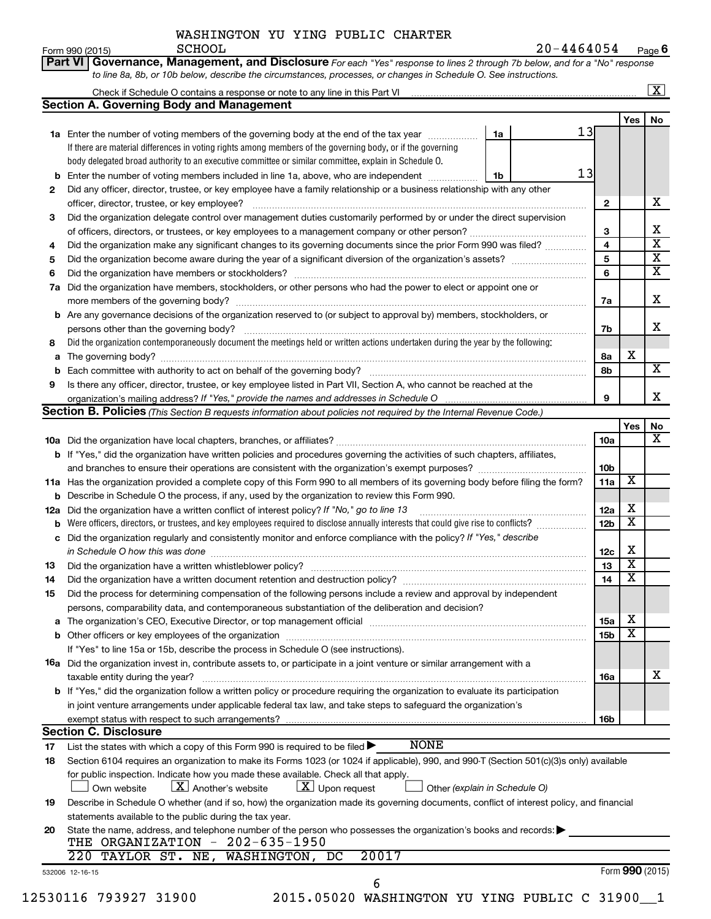|    | <b>SCHOOL</b><br>Form 990 (2015)                                                                                                                                                                                              |    | 20-4464054 |                 |                         | Page $6$                |
|----|-------------------------------------------------------------------------------------------------------------------------------------------------------------------------------------------------------------------------------|----|------------|-----------------|-------------------------|-------------------------|
|    | Governance, Management, and Disclosure For each "Yes" response to lines 2 through 7b below, and for a "No" response<br>Part VI                                                                                                |    |            |                 |                         |                         |
|    | to line 8a, 8b, or 10b below, describe the circumstances, processes, or changes in Schedule O. See instructions.                                                                                                              |    |            |                 |                         |                         |
|    |                                                                                                                                                                                                                               |    |            |                 |                         | $\boxed{\text{X}}$      |
|    | <b>Section A. Governing Body and Management</b>                                                                                                                                                                               |    |            |                 |                         |                         |
|    |                                                                                                                                                                                                                               |    |            |                 | Yes                     | No                      |
|    | <b>1a</b> Enter the number of voting members of the governing body at the end of the tax year                                                                                                                                 | 1a | 13         |                 |                         |                         |
|    | If there are material differences in voting rights among members of the governing body, or if the governing                                                                                                                   |    |            |                 |                         |                         |
|    | body delegated broad authority to an executive committee or similar committee, explain in Schedule O.                                                                                                                         |    |            |                 |                         |                         |
| b  | Enter the number of voting members included in line 1a, above, who are independent                                                                                                                                            | 1b | 13         |                 |                         |                         |
| 2  | Did any officer, director, trustee, or key employee have a family relationship or a business relationship with any other                                                                                                      |    |            |                 |                         |                         |
|    | officer, director, trustee, or key employee?                                                                                                                                                                                  |    |            | 2               |                         | х                       |
| 3  | Did the organization delegate control over management duties customarily performed by or under the direct supervision                                                                                                         |    |            |                 |                         |                         |
|    |                                                                                                                                                                                                                               |    |            | 3               |                         | х                       |
| 4  | Did the organization make any significant changes to its governing documents since the prior Form 990 was filed?                                                                                                              |    |            | 4               |                         | $\overline{\mathbf{x}}$ |
| 5  |                                                                                                                                                                                                                               |    |            | 5               |                         | х                       |
| 6  |                                                                                                                                                                                                                               |    |            | 6               |                         | х                       |
| 7a | Did the organization have members, stockholders, or other persons who had the power to elect or appoint one or                                                                                                                |    |            |                 |                         |                         |
|    |                                                                                                                                                                                                                               |    |            | 7a              |                         | X                       |
|    | b Are any governance decisions of the organization reserved to (or subject to approval by) members, stockholders, or                                                                                                          |    |            |                 |                         |                         |
|    |                                                                                                                                                                                                                               |    |            | 7b              |                         | x                       |
| 8  | Did the organization contemporaneously document the meetings held or written actions undertaken during the year by the following:                                                                                             |    |            |                 |                         |                         |
| a  |                                                                                                                                                                                                                               |    |            | 8а              | х                       |                         |
| b  |                                                                                                                                                                                                                               |    |            | 8b              |                         | X                       |
| 9  | Is there any officer, director, trustee, or key employee listed in Part VII, Section A, who cannot be reached at the                                                                                                          |    |            |                 |                         |                         |
|    |                                                                                                                                                                                                                               |    |            | 9               |                         | х                       |
|    | <b>Section B. Policies</b> (This Section B requests information about policies not required by the Internal Revenue Code.)                                                                                                    |    |            |                 |                         |                         |
|    |                                                                                                                                                                                                                               |    |            |                 | Yes                     | No                      |
|    |                                                                                                                                                                                                                               |    |            | 10a             |                         | X                       |
|    | b If "Yes," did the organization have written policies and procedures governing the activities of such chapters, affiliates,                                                                                                  |    |            |                 |                         |                         |
|    |                                                                                                                                                                                                                               |    |            | 10b             |                         |                         |
|    | 11a Has the organization provided a complete copy of this Form 990 to all members of its governing body before filing the form?                                                                                               |    |            | 11a             | х                       |                         |
|    | <b>b</b> Describe in Schedule O the process, if any, used by the organization to review this Form 990.                                                                                                                        |    |            |                 |                         |                         |
|    | 12a Did the organization have a written conflict of interest policy? If "No," go to line 13                                                                                                                                   |    |            | 12a             | X                       |                         |
|    | <b>b</b> Were officers, directors, or trustees, and key employees required to disclose annually interests that could give rise to conflicts?                                                                                  |    |            | 12b             | X                       |                         |
|    | c Did the organization regularly and consistently monitor and enforce compliance with the policy? If "Yes," describe                                                                                                          |    |            |                 |                         |                         |
|    | in Schedule O how this was done <i>manufacture contract to the schedule O</i> how this was done                                                                                                                               |    |            | 12c             | х                       |                         |
| 13 |                                                                                                                                                                                                                               |    |            | 13              | $\overline{\textbf{x}}$ |                         |
| 14 | Did the organization have a written document retention and destruction policy? [11] manufaction manufaction in                                                                                                                |    |            | 14              | X                       |                         |
| 15 | Did the process for determining compensation of the following persons include a review and approval by independent                                                                                                            |    |            |                 |                         |                         |
|    | persons, comparability data, and contemporaneous substantiation of the deliberation and decision?                                                                                                                             |    |            |                 |                         |                         |
| а  | The organization's CEO, Executive Director, or top management official manufactured content of the organization's CEO, Executive Director, or top management official manufactured and the state of the state of the state of |    |            | <b>15a</b>      | х                       |                         |
|    |                                                                                                                                                                                                                               |    |            | 15 <sub>b</sub> | X                       |                         |
|    | If "Yes" to line 15a or 15b, describe the process in Schedule O (see instructions).                                                                                                                                           |    |            |                 |                         |                         |
|    | <b>16a</b> Did the organization invest in, contribute assets to, or participate in a joint venture or similar arrangement with a                                                                                              |    |            |                 |                         |                         |
|    | taxable entity during the year?                                                                                                                                                                                               |    |            | 16a             |                         | х                       |
|    | <b>b</b> If "Yes," did the organization follow a written policy or procedure requiring the organization to evaluate its participation                                                                                         |    |            |                 |                         |                         |
|    | in joint venture arrangements under applicable federal tax law, and take steps to safequard the organization's                                                                                                                |    |            |                 |                         |                         |
|    | exempt status with respect to such arrangements?                                                                                                                                                                              |    |            | 16b             |                         |                         |
|    | <b>Section C. Disclosure</b><br><b>NONE</b>                                                                                                                                                                                   |    |            |                 |                         |                         |
| 17 | List the states with which a copy of this Form 990 is required to be filed $\blacktriangleright$                                                                                                                              |    |            |                 |                         |                         |
| 18 | Section 6104 requires an organization to make its Forms 1023 (or 1024 if applicable), 990, and 990-T (Section 501(c)(3)s only) available                                                                                      |    |            |                 |                         |                         |
|    | for public inspection. Indicate how you made these available. Check all that apply.                                                                                                                                           |    |            |                 |                         |                         |
|    | $\lfloor x \rfloor$ Upon request<br>$\lfloor x \rfloor$ Another's website<br>Own website<br>Other (explain in Schedule O)                                                                                                     |    |            |                 |                         |                         |
| 19 | Describe in Schedule O whether (and if so, how) the organization made its governing documents, conflict of interest policy, and financial                                                                                     |    |            |                 |                         |                         |
|    | statements available to the public during the tax year.                                                                                                                                                                       |    |            |                 |                         |                         |
| 20 | State the name, address, and telephone number of the person who possesses the organization's books and records:<br>THE ORGANIZATION - 202-635-1950                                                                            |    |            |                 |                         |                         |
|    | 20017<br>220 TAYLOR ST. NE, WASHINGTON, DC                                                                                                                                                                                    |    |            |                 |                         |                         |
|    |                                                                                                                                                                                                                               |    |            |                 | Form 990 (2015)         |                         |
|    | 532006 12-16-15<br>6                                                                                                                                                                                                          |    |            |                 |                         |                         |
|    |                                                                                                                                                                                                                               |    |            |                 |                         |                         |

| 12530116 793927 3190 |  |  |
|----------------------|--|--|
|----------------------|--|--|

0 2015.05020 WASHINGTON YU YING PUBLIC C 31900\_1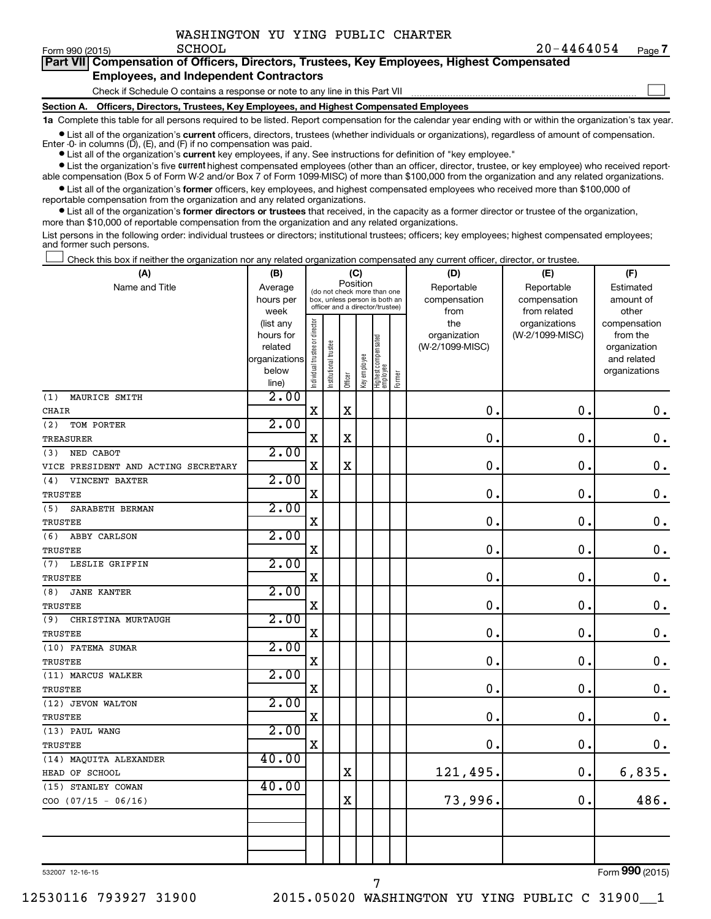**7**

| <b>Part VIII Compensation of Officers, Directors, Trustees, Key Employees, Highest Compensated</b> |  |
|----------------------------------------------------------------------------------------------------|--|
| <b>Employees, and Independent Contractors</b>                                                      |  |
| Check if Schedule O contains a response or note to any line in this Part VII                       |  |
| Section A. Officers, Directors, Trustees, Key Employees, and Highest Compensated Employees         |  |

**1a**  Complete this table for all persons required to be listed. Report compensation for the calendar year ending with or within the organization's tax year.

 $\bullet$  List all of the organization's current officers, directors, trustees (whether individuals or organizations), regardless of amount of compensation. Enter -0- in columns  $(D)$ ,  $(E)$ , and  $(F)$  if no compensation was paid.

**•** List all of the organization's **current** key employees, if any. See instructions for definition of "key employee."

**•** List the organization's five current highest compensated employees (other than an officer, director, trustee, or key employee) who received reportable compensation (Box 5 of Form W-2 and/or Box 7 of Form 1099-MISC) of more than \$100,000 from the organization and any related organizations.

**•** List all of the organization's former officers, key employees, and highest compensated employees who received more than \$100,000 of reportable compensation from the organization and any related organizations.

**•** List all of the organization's former directors or trustees that received, in the capacity as a former director or trustee of the organization, more than \$10,000 of reportable compensation from the organization and any related organizations.

List persons in the following order: individual trustees or directors; institutional trustees; officers; key employees; highest compensated employees; and former such persons.

Check this box if neither the organization nor any related organization compensated any current officer, director, or trustee.  $\Box$ 

| (A)                                 | (B)                  | (C)                                     |                                                                  |             |              |                                   |        | (D)                             | (E)             | (F)                      |
|-------------------------------------|----------------------|-----------------------------------------|------------------------------------------------------------------|-------------|--------------|-----------------------------------|--------|---------------------------------|-----------------|--------------------------|
| Name and Title                      | Average              | Position<br>(do not check more than one |                                                                  |             |              |                                   |        | Reportable                      | Reportable      | Estimated                |
|                                     | hours per            |                                         | box, unless person is both an<br>officer and a director/trustee) |             |              |                                   |        | compensation                    | compensation    | amount of                |
|                                     | week                 |                                         |                                                                  |             |              |                                   |        | from                            | from related    | other                    |
|                                     | (list any            |                                         |                                                                  |             |              |                                   |        | the                             | organizations   | compensation             |
|                                     | hours for<br>related |                                         |                                                                  |             |              |                                   |        | organization<br>(W-2/1099-MISC) | (W-2/1099-MISC) | from the<br>organization |
|                                     | organizations        |                                         |                                                                  |             |              |                                   |        |                                 |                 | and related              |
|                                     | below                |                                         |                                                                  |             |              |                                   |        |                                 |                 | organizations            |
|                                     | line)                | Individual trustee or director          | Institutional trustee                                            | Officer     | Key employee | Highest compensated<br>  employee | Former |                                 |                 |                          |
| (1)<br>MAURICE SMITH                | 2.00                 |                                         |                                                                  |             |              |                                   |        |                                 |                 |                          |
| <b>CHAIR</b>                        |                      | $\mathbf X$                             |                                                                  | $\mathbf X$ |              |                                   |        | 0.                              | $\mathbf 0$ .   | $\mathbf 0$ .            |
| (2)<br>TOM PORTER                   | 2.00                 |                                         |                                                                  |             |              |                                   |        |                                 |                 |                          |
| <b>TREASURER</b>                    |                      | $\rm X$                                 |                                                                  | $\rm X$     |              |                                   |        | 0                               | $\mathbf 0$ .   | $\mathbf 0$ .            |
| NED CABOT<br>(3)                    | 2.00                 |                                         |                                                                  |             |              |                                   |        |                                 |                 |                          |
| VICE PRESIDENT AND ACTING SECRETARY |                      | X                                       |                                                                  | $\rm X$     |              |                                   |        | $\mathbf 0$                     | $\mathbf 0$ .   | $\mathbf 0$ .            |
| VINCENT BAXTER<br>(4)               | 2.00                 |                                         |                                                                  |             |              |                                   |        |                                 |                 |                          |
| TRUSTEE                             |                      | $\rm X$                                 |                                                                  |             |              |                                   |        | $\mathbf 0$                     | $\mathbf 0$ .   | $\mathbf 0$ .            |
| SARABETH BERMAN<br>(5)              | 2.00                 |                                         |                                                                  |             |              |                                   |        |                                 |                 |                          |
| TRUSTEE                             |                      | $\rm X$                                 |                                                                  |             |              |                                   |        | $\mathbf 0$                     | $\mathbf 0$ .   | $\mathbf 0$ .            |
| (6)<br>ABBY CARLSON                 | 2.00                 |                                         |                                                                  |             |              |                                   |        |                                 |                 |                          |
| TRUSTEE                             |                      | $\rm X$                                 |                                                                  |             |              |                                   |        | $\mathbf 0$                     | $\mathbf 0$ .   | $\mathbf 0$ .            |
| (7)<br>LESLIE GRIFFIN               | 2.00                 |                                         |                                                                  |             |              |                                   |        |                                 |                 |                          |
| TRUSTEE                             |                      | $\mathbf X$                             |                                                                  |             |              |                                   |        | $\mathbf 0$                     | $\mathbf 0$ .   | $\mathbf 0$ .            |
| (8)<br><b>JANE KANTER</b>           | 2.00                 |                                         |                                                                  |             |              |                                   |        |                                 |                 |                          |
| TRUSTEE                             |                      | $\rm X$                                 |                                                                  |             |              |                                   |        | 0                               | $\mathbf 0$     | $\mathbf 0$ .            |
| (9)<br>CHRISTINA MURTAUGH           | 2.00                 |                                         |                                                                  |             |              |                                   |        |                                 |                 |                          |
| TRUSTEE                             |                      | $\mathbf X$                             |                                                                  |             |              |                                   |        | $\mathbf 0$                     | $\mathbf 0$ .   | $\mathbf 0$ .            |
| (10) FATEMA SUMAR                   | 2.00                 |                                         |                                                                  |             |              |                                   |        |                                 |                 |                          |
| TRUSTEE                             |                      | $\mathbf X$                             |                                                                  |             |              |                                   |        | $\mathbf 0$                     | $\mathbf 0$     | $\mathbf 0$ .            |
| (11) MARCUS WALKER                  | 2.00                 |                                         |                                                                  |             |              |                                   |        |                                 |                 |                          |
| <b>TRUSTEE</b>                      |                      | $\mathbf X$                             |                                                                  |             |              |                                   |        | $\mathbf 0$                     | $\mathbf 0$ .   | $\mathbf 0$ .            |
| (12) JEVON WALTON                   | 2.00                 |                                         |                                                                  |             |              |                                   |        |                                 |                 |                          |
| TRUSTEE                             |                      | $\rm X$                                 |                                                                  |             |              |                                   |        | 0                               | $\mathbf 0$     | $\mathbf 0$ .            |
| (13) PAUL WANG                      | 2.00                 |                                         |                                                                  |             |              |                                   |        |                                 |                 |                          |
| TRUSTEE                             |                      | $\mathbf X$                             |                                                                  |             |              |                                   |        | $\mathbf 0$                     | $\mathbf 0$ .   | $\mathbf 0$ .            |
| (14) MAQUITA ALEXANDER              | 40.00                |                                         |                                                                  |             |              |                                   |        |                                 |                 |                          |
| HEAD OF SCHOOL                      |                      |                                         |                                                                  | X           |              |                                   |        | 121,495.                        | $\mathbf 0$ .   | 6,835.                   |
| (15) STANLEY COWAN                  | 40.00                |                                         |                                                                  |             |              |                                   |        |                                 |                 |                          |
| $COO$ (07/15 - 06/16)               |                      |                                         |                                                                  | $\rm X$     |              |                                   |        | 73,996.                         | 0.              | 486.                     |
|                                     |                      |                                         |                                                                  |             |              |                                   |        |                                 |                 |                          |
|                                     |                      |                                         |                                                                  |             |              |                                   |        |                                 |                 |                          |
|                                     |                      |                                         |                                                                  |             |              |                                   |        |                                 |                 |                          |
|                                     |                      |                                         |                                                                  |             |              |                                   |        |                                 |                 |                          |

7

532007 12-16-15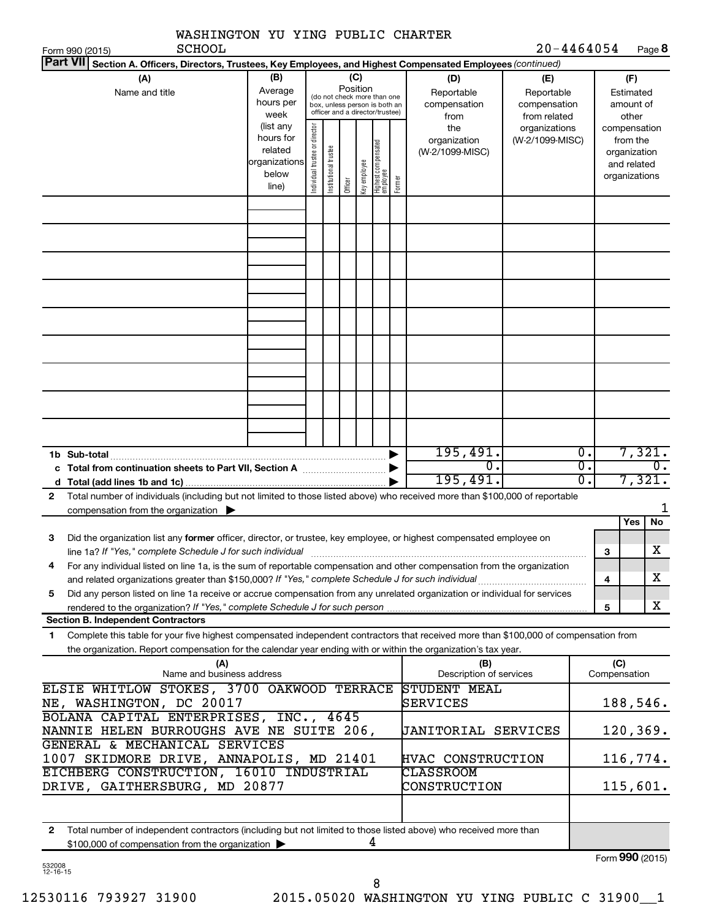| $20 - 4464054$<br>Part VII Section A. Officers, Directors, Trustees, Key Employees, and Highest Compensated Employees (continued)<br>(B)<br>(C)<br>(D)<br>(F)<br>(A)<br>(E)<br>Position<br>Average<br>Name and title<br>Reportable<br>Reportable<br>Estimated<br>(do not check more than one<br>hours per<br>compensation<br>compensation<br>amount of<br>box, unless person is both an<br>officer and a director/trustee)<br>week<br>from related<br>other<br>from<br>(list any<br>Individual trustee or director<br>the<br>organizations<br>compensation<br>hours for<br>(W-2/1099-MISC)<br>from the<br>organization<br>Highest compensated<br>employee<br>Institutional trustee<br>related<br>(W-2/1099-MISC)<br>organization<br>organizations<br>Key employee<br>and related<br>below<br>organizations<br>Former<br>Officer<br>line)<br>195,491.<br>$\overline{0}$ .<br>1b Sub-total<br>0.<br>σ.<br>$\overline{0}$ .<br>195,491.<br>σ.<br>Total number of individuals (including but not limited to those listed above) who received more than \$100,000 of reportable<br>$\mathbf{2}$<br>compensation from the organization $\blacktriangleright$<br>Yes<br>No<br>Did the organization list any former officer, director, or trustee, key employee, or highest compensated employee on<br>З<br>$\mathbf X$<br>line 1a? If "Yes," complete Schedule J for such individual manufactured content content for the complete schedu<br>З<br>For any individual listed on line 1a, is the sum of reportable compensation and other compensation from the organization<br>4<br>x<br>and related organizations greater than \$150,000? If "Yes," complete Schedule J for such individual<br>4<br>Did any person listed on line 1a receive or accrue compensation from any unrelated organization or individual for services<br>5<br>X<br>5<br>rendered to the organization? If "Yes," complete Schedule J for such person manufactured to the organization? If "Yes," complete Schedule J for such person manufactured and the organization?<br><b>Section B. Independent Contractors</b><br>Complete this table for your five highest compensated independent contractors that received more than \$100,000 of compensation from<br>1<br>the organization. Report compensation for the calendar year ending with or within the organization's tax year.<br>(C)<br>(A)<br>(B)<br>Name and business address<br>Description of services<br>Compensation<br>ELSIE WHITLOW STOKES, 3700 OAKWOOD TERRACE<br><b>STUDENT MEAL</b><br>NE, WASHINGTON, DC 20017<br>SERVICES<br>BOLANA CAPITAL ENTERPRISES, INC., 4645<br>120, 369.<br>NANNIE HELEN BURROUGHS AVE NE SUITE 206,<br>JANITORIAL SERVICES<br>GENERAL & MECHANICAL SERVICES<br>1007 SKIDMORE DRIVE, ANNAPOLIS, MD 21401<br>HVAC CONSTRUCTION<br>EICHBERG CONSTRUCTION, 16010 INDUSTRIAL<br>CLASSROOM<br>DRIVE, GAITHERSBURG, MD 20877<br>115,601.<br>CONSTRUCTION<br>$\mathbf{2}$<br>Total number of independent contractors (including but not limited to those listed above) who received more than<br>4<br>\$100,000 of compensation from the organization | WASHINGTON YU YING PUBLIC CHARTER |  |  |  |  |  |  |  |        |                 |
|-------------------------------------------------------------------------------------------------------------------------------------------------------------------------------------------------------------------------------------------------------------------------------------------------------------------------------------------------------------------------------------------------------------------------------------------------------------------------------------------------------------------------------------------------------------------------------------------------------------------------------------------------------------------------------------------------------------------------------------------------------------------------------------------------------------------------------------------------------------------------------------------------------------------------------------------------------------------------------------------------------------------------------------------------------------------------------------------------------------------------------------------------------------------------------------------------------------------------------------------------------------------------------------------------------------------------------------------------------------------------------------------------------------------------------------------------------------------------------------------------------------------------------------------------------------------------------------------------------------------------------------------------------------------------------------------------------------------------------------------------------------------------------------------------------------------------------------------------------------------------------------------------------------------------------------------------------------------------------------------------------------------------------------------------------------------------------------------------------------------------------------------------------------------------------------------------------------------------------------------------------------------------------------------------------------------------------------------------------------------------------------------------------------------------------------------------------------------------------------------------------------------------------------------------------------------------------------------------------------------------------------------------------------------------------------------------------------------------------------------------------------------------------------------------------------------------------------------------------------------------------------------------------------------------------------------------------------------------------------------------------------------------------------------------------------------------------------------------------------|-----------------------------------|--|--|--|--|--|--|--|--------|-----------------|
|                                                                                                                                                                                                                                                                                                                                                                                                                                                                                                                                                                                                                                                                                                                                                                                                                                                                                                                                                                                                                                                                                                                                                                                                                                                                                                                                                                                                                                                                                                                                                                                                                                                                                                                                                                                                                                                                                                                                                                                                                                                                                                                                                                                                                                                                                                                                                                                                                                                                                                                                                                                                                                                                                                                                                                                                                                                                                                                                                                                                                                                                                                             | <b>SCHOOL</b><br>Form 990 (2015)  |  |  |  |  |  |  |  | Page 8 |                 |
|                                                                                                                                                                                                                                                                                                                                                                                                                                                                                                                                                                                                                                                                                                                                                                                                                                                                                                                                                                                                                                                                                                                                                                                                                                                                                                                                                                                                                                                                                                                                                                                                                                                                                                                                                                                                                                                                                                                                                                                                                                                                                                                                                                                                                                                                                                                                                                                                                                                                                                                                                                                                                                                                                                                                                                                                                                                                                                                                                                                                                                                                                                             |                                   |  |  |  |  |  |  |  |        |                 |
|                                                                                                                                                                                                                                                                                                                                                                                                                                                                                                                                                                                                                                                                                                                                                                                                                                                                                                                                                                                                                                                                                                                                                                                                                                                                                                                                                                                                                                                                                                                                                                                                                                                                                                                                                                                                                                                                                                                                                                                                                                                                                                                                                                                                                                                                                                                                                                                                                                                                                                                                                                                                                                                                                                                                                                                                                                                                                                                                                                                                                                                                                                             |                                   |  |  |  |  |  |  |  |        |                 |
|                                                                                                                                                                                                                                                                                                                                                                                                                                                                                                                                                                                                                                                                                                                                                                                                                                                                                                                                                                                                                                                                                                                                                                                                                                                                                                                                                                                                                                                                                                                                                                                                                                                                                                                                                                                                                                                                                                                                                                                                                                                                                                                                                                                                                                                                                                                                                                                                                                                                                                                                                                                                                                                                                                                                                                                                                                                                                                                                                                                                                                                                                                             |                                   |  |  |  |  |  |  |  |        |                 |
|                                                                                                                                                                                                                                                                                                                                                                                                                                                                                                                                                                                                                                                                                                                                                                                                                                                                                                                                                                                                                                                                                                                                                                                                                                                                                                                                                                                                                                                                                                                                                                                                                                                                                                                                                                                                                                                                                                                                                                                                                                                                                                                                                                                                                                                                                                                                                                                                                                                                                                                                                                                                                                                                                                                                                                                                                                                                                                                                                                                                                                                                                                             |                                   |  |  |  |  |  |  |  |        |                 |
|                                                                                                                                                                                                                                                                                                                                                                                                                                                                                                                                                                                                                                                                                                                                                                                                                                                                                                                                                                                                                                                                                                                                                                                                                                                                                                                                                                                                                                                                                                                                                                                                                                                                                                                                                                                                                                                                                                                                                                                                                                                                                                                                                                                                                                                                                                                                                                                                                                                                                                                                                                                                                                                                                                                                                                                                                                                                                                                                                                                                                                                                                                             |                                   |  |  |  |  |  |  |  |        |                 |
|                                                                                                                                                                                                                                                                                                                                                                                                                                                                                                                                                                                                                                                                                                                                                                                                                                                                                                                                                                                                                                                                                                                                                                                                                                                                                                                                                                                                                                                                                                                                                                                                                                                                                                                                                                                                                                                                                                                                                                                                                                                                                                                                                                                                                                                                                                                                                                                                                                                                                                                                                                                                                                                                                                                                                                                                                                                                                                                                                                                                                                                                                                             |                                   |  |  |  |  |  |  |  |        |                 |
|                                                                                                                                                                                                                                                                                                                                                                                                                                                                                                                                                                                                                                                                                                                                                                                                                                                                                                                                                                                                                                                                                                                                                                                                                                                                                                                                                                                                                                                                                                                                                                                                                                                                                                                                                                                                                                                                                                                                                                                                                                                                                                                                                                                                                                                                                                                                                                                                                                                                                                                                                                                                                                                                                                                                                                                                                                                                                                                                                                                                                                                                                                             |                                   |  |  |  |  |  |  |  |        | 7,321.          |
|                                                                                                                                                                                                                                                                                                                                                                                                                                                                                                                                                                                                                                                                                                                                                                                                                                                                                                                                                                                                                                                                                                                                                                                                                                                                                                                                                                                                                                                                                                                                                                                                                                                                                                                                                                                                                                                                                                                                                                                                                                                                                                                                                                                                                                                                                                                                                                                                                                                                                                                                                                                                                                                                                                                                                                                                                                                                                                                                                                                                                                                                                                             |                                   |  |  |  |  |  |  |  |        | 7,321.          |
|                                                                                                                                                                                                                                                                                                                                                                                                                                                                                                                                                                                                                                                                                                                                                                                                                                                                                                                                                                                                                                                                                                                                                                                                                                                                                                                                                                                                                                                                                                                                                                                                                                                                                                                                                                                                                                                                                                                                                                                                                                                                                                                                                                                                                                                                                                                                                                                                                                                                                                                                                                                                                                                                                                                                                                                                                                                                                                                                                                                                                                                                                                             |                                   |  |  |  |  |  |  |  |        |                 |
|                                                                                                                                                                                                                                                                                                                                                                                                                                                                                                                                                                                                                                                                                                                                                                                                                                                                                                                                                                                                                                                                                                                                                                                                                                                                                                                                                                                                                                                                                                                                                                                                                                                                                                                                                                                                                                                                                                                                                                                                                                                                                                                                                                                                                                                                                                                                                                                                                                                                                                                                                                                                                                                                                                                                                                                                                                                                                                                                                                                                                                                                                                             |                                   |  |  |  |  |  |  |  |        |                 |
|                                                                                                                                                                                                                                                                                                                                                                                                                                                                                                                                                                                                                                                                                                                                                                                                                                                                                                                                                                                                                                                                                                                                                                                                                                                                                                                                                                                                                                                                                                                                                                                                                                                                                                                                                                                                                                                                                                                                                                                                                                                                                                                                                                                                                                                                                                                                                                                                                                                                                                                                                                                                                                                                                                                                                                                                                                                                                                                                                                                                                                                                                                             |                                   |  |  |  |  |  |  |  |        |                 |
|                                                                                                                                                                                                                                                                                                                                                                                                                                                                                                                                                                                                                                                                                                                                                                                                                                                                                                                                                                                                                                                                                                                                                                                                                                                                                                                                                                                                                                                                                                                                                                                                                                                                                                                                                                                                                                                                                                                                                                                                                                                                                                                                                                                                                                                                                                                                                                                                                                                                                                                                                                                                                                                                                                                                                                                                                                                                                                                                                                                                                                                                                                             |                                   |  |  |  |  |  |  |  |        |                 |
|                                                                                                                                                                                                                                                                                                                                                                                                                                                                                                                                                                                                                                                                                                                                                                                                                                                                                                                                                                                                                                                                                                                                                                                                                                                                                                                                                                                                                                                                                                                                                                                                                                                                                                                                                                                                                                                                                                                                                                                                                                                                                                                                                                                                                                                                                                                                                                                                                                                                                                                                                                                                                                                                                                                                                                                                                                                                                                                                                                                                                                                                                                             |                                   |  |  |  |  |  |  |  |        |                 |
|                                                                                                                                                                                                                                                                                                                                                                                                                                                                                                                                                                                                                                                                                                                                                                                                                                                                                                                                                                                                                                                                                                                                                                                                                                                                                                                                                                                                                                                                                                                                                                                                                                                                                                                                                                                                                                                                                                                                                                                                                                                                                                                                                                                                                                                                                                                                                                                                                                                                                                                                                                                                                                                                                                                                                                                                                                                                                                                                                                                                                                                                                                             |                                   |  |  |  |  |  |  |  |        |                 |
|                                                                                                                                                                                                                                                                                                                                                                                                                                                                                                                                                                                                                                                                                                                                                                                                                                                                                                                                                                                                                                                                                                                                                                                                                                                                                                                                                                                                                                                                                                                                                                                                                                                                                                                                                                                                                                                                                                                                                                                                                                                                                                                                                                                                                                                                                                                                                                                                                                                                                                                                                                                                                                                                                                                                                                                                                                                                                                                                                                                                                                                                                                             |                                   |  |  |  |  |  |  |  |        |                 |
|                                                                                                                                                                                                                                                                                                                                                                                                                                                                                                                                                                                                                                                                                                                                                                                                                                                                                                                                                                                                                                                                                                                                                                                                                                                                                                                                                                                                                                                                                                                                                                                                                                                                                                                                                                                                                                                                                                                                                                                                                                                                                                                                                                                                                                                                                                                                                                                                                                                                                                                                                                                                                                                                                                                                                                                                                                                                                                                                                                                                                                                                                                             |                                   |  |  |  |  |  |  |  |        | 188,546.        |
|                                                                                                                                                                                                                                                                                                                                                                                                                                                                                                                                                                                                                                                                                                                                                                                                                                                                                                                                                                                                                                                                                                                                                                                                                                                                                                                                                                                                                                                                                                                                                                                                                                                                                                                                                                                                                                                                                                                                                                                                                                                                                                                                                                                                                                                                                                                                                                                                                                                                                                                                                                                                                                                                                                                                                                                                                                                                                                                                                                                                                                                                                                             |                                   |  |  |  |  |  |  |  |        |                 |
|                                                                                                                                                                                                                                                                                                                                                                                                                                                                                                                                                                                                                                                                                                                                                                                                                                                                                                                                                                                                                                                                                                                                                                                                                                                                                                                                                                                                                                                                                                                                                                                                                                                                                                                                                                                                                                                                                                                                                                                                                                                                                                                                                                                                                                                                                                                                                                                                                                                                                                                                                                                                                                                                                                                                                                                                                                                                                                                                                                                                                                                                                                             |                                   |  |  |  |  |  |  |  |        | 116,774.        |
|                                                                                                                                                                                                                                                                                                                                                                                                                                                                                                                                                                                                                                                                                                                                                                                                                                                                                                                                                                                                                                                                                                                                                                                                                                                                                                                                                                                                                                                                                                                                                                                                                                                                                                                                                                                                                                                                                                                                                                                                                                                                                                                                                                                                                                                                                                                                                                                                                                                                                                                                                                                                                                                                                                                                                                                                                                                                                                                                                                                                                                                                                                             |                                   |  |  |  |  |  |  |  |        |                 |
|                                                                                                                                                                                                                                                                                                                                                                                                                                                                                                                                                                                                                                                                                                                                                                                                                                                                                                                                                                                                                                                                                                                                                                                                                                                                                                                                                                                                                                                                                                                                                                                                                                                                                                                                                                                                                                                                                                                                                                                                                                                                                                                                                                                                                                                                                                                                                                                                                                                                                                                                                                                                                                                                                                                                                                                                                                                                                                                                                                                                                                                                                                             |                                   |  |  |  |  |  |  |  |        |                 |
|                                                                                                                                                                                                                                                                                                                                                                                                                                                                                                                                                                                                                                                                                                                                                                                                                                                                                                                                                                                                                                                                                                                                                                                                                                                                                                                                                                                                                                                                                                                                                                                                                                                                                                                                                                                                                                                                                                                                                                                                                                                                                                                                                                                                                                                                                                                                                                                                                                                                                                                                                                                                                                                                                                                                                                                                                                                                                                                                                                                                                                                                                                             |                                   |  |  |  |  |  |  |  |        | Form 990 (2015) |

532008 12-16-15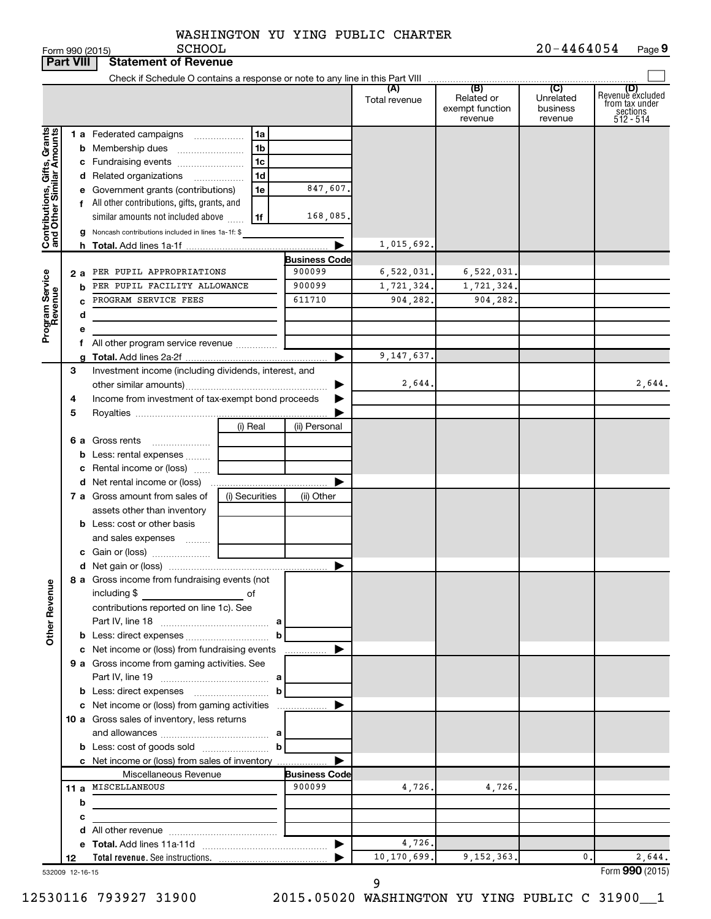| WASHINGTON YU YING PUBLIC CHARTER |  |  |  |  |
|-----------------------------------|--|--|--|--|
|-----------------------------------|--|--|--|--|

|                                                           | <b>Part VIII</b> | <b>Statement of Revenue</b>                                   |                                |                      |                      |                                                 |                                         |                                                                    |
|-----------------------------------------------------------|------------------|---------------------------------------------------------------|--------------------------------|----------------------|----------------------|-------------------------------------------------|-----------------------------------------|--------------------------------------------------------------------|
|                                                           |                  |                                                               |                                |                      |                      |                                                 |                                         |                                                                    |
|                                                           |                  |                                                               |                                |                      | (A)<br>Total revenue | (B)<br>Related or<br>exempt function<br>revenue | (C)<br>Unrelated<br>business<br>revenue | (D)<br>Revenue excluded<br>from tax under<br>sections<br>512 - 514 |
|                                                           |                  | <b>1 a</b> Federated campaigns                                | 1a                             |                      |                      |                                                 |                                         |                                                                    |
|                                                           |                  | <b>b</b> Membership dues                                      | 1b                             |                      |                      |                                                 |                                         |                                                                    |
|                                                           |                  | c Fundraising events                                          | 1c                             |                      |                      |                                                 |                                         |                                                                    |
|                                                           |                  | d Related organizations                                       | 1d<br>$\overline{\phantom{a}}$ |                      |                      |                                                 |                                         |                                                                    |
| Contributions, Gifts, Grants<br>and Other Similar Amounts |                  | e Government grants (contributions)                           | 1e                             | 847,607.             |                      |                                                 |                                         |                                                                    |
|                                                           |                  | All other contributions, gifts, grants, and                   |                                |                      |                      |                                                 |                                         |                                                                    |
|                                                           |                  | similar amounts not included above                            | 1f                             | 168,085.             |                      |                                                 |                                         |                                                                    |
|                                                           |                  | g Noncash contributions included in lines 1a-1f: \$           |                                |                      |                      |                                                 |                                         |                                                                    |
|                                                           |                  |                                                               |                                |                      | 1,015,692.           |                                                 |                                         |                                                                    |
|                                                           |                  |                                                               |                                | <b>Business Code</b> |                      |                                                 |                                         |                                                                    |
|                                                           | 2 a              | PER PUPIL APPROPRIATIONS                                      |                                | 900099               | 6,522,031.           | 6,522,031.                                      |                                         |                                                                    |
| Program Service<br>Revenue                                | b                | PER PUPIL FACILITY ALLOWANCE<br>PROGRAM SERVICE FEES          |                                | 900099<br>611710     | 1,721,324.           | 1,721,324.<br>904,282.                          |                                         |                                                                    |
|                                                           |                  |                                                               |                                |                      | 904,282.             |                                                 |                                         |                                                                    |
|                                                           | d                |                                                               |                                |                      |                      |                                                 |                                         |                                                                    |
|                                                           |                  | All other program service revenue                             |                                |                      |                      |                                                 |                                         |                                                                    |
|                                                           |                  |                                                               |                                |                      | 9,147,637.           |                                                 |                                         |                                                                    |
|                                                           | 3                | Investment income (including dividends, interest, and         |                                |                      |                      |                                                 |                                         |                                                                    |
|                                                           |                  |                                                               |                                |                      | 2,644.               |                                                 |                                         | 2,644.                                                             |
|                                                           | 4                | Income from investment of tax-exempt bond proceeds            |                                |                      |                      |                                                 |                                         |                                                                    |
|                                                           | 5                |                                                               |                                |                      |                      |                                                 |                                         |                                                                    |
|                                                           |                  |                                                               | (i) Real                       | (ii) Personal        |                      |                                                 |                                         |                                                                    |
|                                                           |                  | 6 a Gross rents                                               |                                |                      |                      |                                                 |                                         |                                                                    |
|                                                           |                  | <b>b</b> Less: rental expenses                                |                                |                      |                      |                                                 |                                         |                                                                    |
|                                                           |                  | Rental income or (loss)                                       |                                |                      |                      |                                                 |                                         |                                                                    |
|                                                           |                  |                                                               |                                |                      |                      |                                                 |                                         |                                                                    |
|                                                           |                  | 7 a Gross amount from sales of                                | (i) Securities                 | (ii) Other           |                      |                                                 |                                         |                                                                    |
|                                                           |                  | assets other than inventory                                   |                                |                      |                      |                                                 |                                         |                                                                    |
|                                                           |                  | <b>b</b> Less: cost or other basis                            |                                |                      |                      |                                                 |                                         |                                                                    |
|                                                           |                  | and sales expenses                                            |                                |                      |                      |                                                 |                                         |                                                                    |
|                                                           |                  |                                                               |                                |                      |                      |                                                 |                                         |                                                                    |
|                                                           |                  |                                                               |                                | ▶                    |                      |                                                 |                                         |                                                                    |
| <b>Other Revenue</b>                                      |                  | 8 a Gross income from fundraising events (not<br>including \$ |                                |                      |                      |                                                 |                                         |                                                                    |
|                                                           |                  | contributions reported on line 1c). See                       |                                |                      |                      |                                                 |                                         |                                                                    |
|                                                           |                  |                                                               |                                |                      |                      |                                                 |                                         |                                                                    |
|                                                           |                  |                                                               | b                              |                      |                      |                                                 |                                         |                                                                    |
|                                                           |                  | c Net income or (loss) from fundraising events                |                                | .                    |                      |                                                 |                                         |                                                                    |
|                                                           |                  | 9 a Gross income from gaming activities. See                  |                                |                      |                      |                                                 |                                         |                                                                    |
|                                                           |                  |                                                               | b                              |                      |                      |                                                 |                                         |                                                                    |
|                                                           |                  | c Net income or (loss) from gaming activities                 |                                |                      |                      |                                                 |                                         |                                                                    |
|                                                           |                  | 10 a Gross sales of inventory, less returns                   |                                |                      |                      |                                                 |                                         |                                                                    |
|                                                           |                  |                                                               |                                |                      |                      |                                                 |                                         |                                                                    |
|                                                           |                  |                                                               | b                              |                      |                      |                                                 |                                         |                                                                    |
|                                                           |                  | c Net income or (loss) from sales of inventory                |                                |                      |                      |                                                 |                                         |                                                                    |
|                                                           |                  | Miscellaneous Revenue                                         |                                | <b>Business Code</b> |                      |                                                 |                                         |                                                                    |
|                                                           |                  | 11 a MISCELLANEOUS                                            |                                | 900099               | 4,726.               | 4,726.                                          |                                         |                                                                    |
|                                                           | b                |                                                               |                                |                      |                      |                                                 |                                         |                                                                    |
|                                                           | с                |                                                               |                                |                      |                      |                                                 |                                         |                                                                    |
|                                                           |                  |                                                               |                                |                      |                      |                                                 |                                         |                                                                    |
|                                                           |                  |                                                               |                                |                      | 4,726.               |                                                 |                                         |                                                                    |
|                                                           | 12               |                                                               |                                |                      | 10,170,699.          | 9,152,363.                                      | $\mathbf{0}$ .                          | 2,644.                                                             |
|                                                           | 532009 12-16-15  |                                                               |                                |                      |                      |                                                 |                                         | Form 990 (2015)                                                    |

9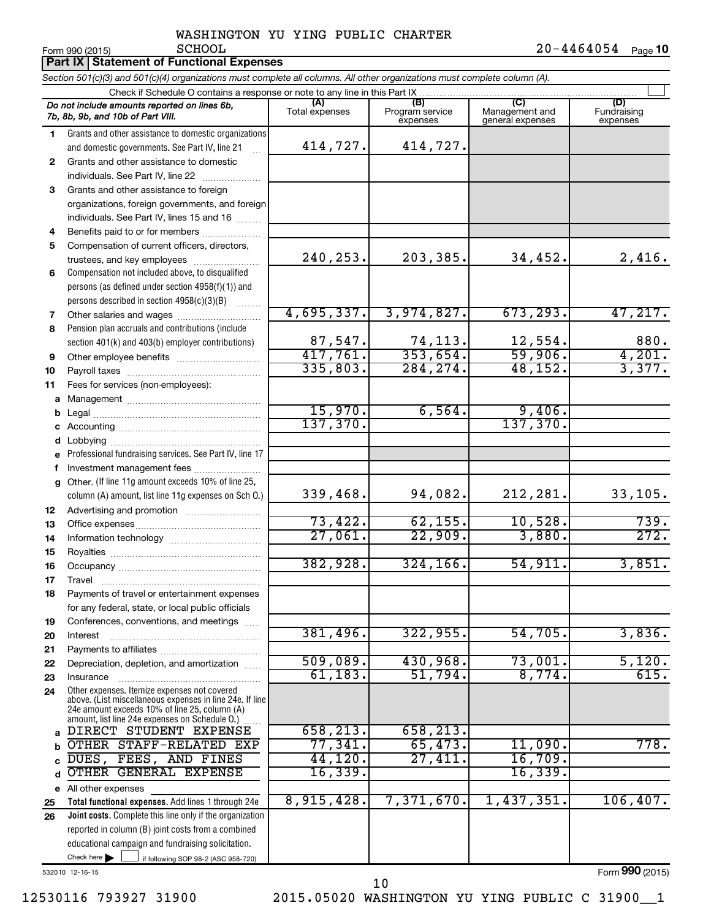Form 990 (2015) Page **10** SCHOOL 20-4464054

|          | Part IX Statement of Functional Expenses                                                                                                                                                                    |                          |                                    |                                           |                                |  |  |  |  |  |
|----------|-------------------------------------------------------------------------------------------------------------------------------------------------------------------------------------------------------------|--------------------------|------------------------------------|-------------------------------------------|--------------------------------|--|--|--|--|--|
|          | Section 501(c)(3) and 501(c)(4) organizations must complete all columns. All other organizations must complete column (A).                                                                                  |                          |                                    |                                           |                                |  |  |  |  |  |
|          | Check if Schedule O contains a response or note to any line in this Part IX                                                                                                                                 |                          |                                    |                                           |                                |  |  |  |  |  |
|          | Do not include amounts reported on lines 6b,<br>7b, 8b, 9b, and 10b of Part VIII.                                                                                                                           | (A)<br>Total expenses    | (B)<br>Program service<br>expenses | (C)<br>Management and<br>general expenses | (D)<br>Fundraising<br>expenses |  |  |  |  |  |
| 1        | Grants and other assistance to domestic organizations                                                                                                                                                       |                          |                                    |                                           |                                |  |  |  |  |  |
|          | and domestic governments. See Part IV, line 21                                                                                                                                                              | 414,727.                 | 414,727.                           |                                           |                                |  |  |  |  |  |
| 2        | Grants and other assistance to domestic                                                                                                                                                                     |                          |                                    |                                           |                                |  |  |  |  |  |
|          | individuals. See Part IV, line 22                                                                                                                                                                           |                          |                                    |                                           |                                |  |  |  |  |  |
| 3        | Grants and other assistance to foreign                                                                                                                                                                      |                          |                                    |                                           |                                |  |  |  |  |  |
|          | organizations, foreign governments, and foreign                                                                                                                                                             |                          |                                    |                                           |                                |  |  |  |  |  |
|          | individuals. See Part IV, lines 15 and 16                                                                                                                                                                   |                          |                                    |                                           |                                |  |  |  |  |  |
| 4        | Benefits paid to or for members                                                                                                                                                                             |                          |                                    |                                           |                                |  |  |  |  |  |
| 5        | Compensation of current officers, directors,                                                                                                                                                                | 240, 253.                | 203,385.                           | 34,452.                                   | 2,416.                         |  |  |  |  |  |
|          | trustees, and key employees                                                                                                                                                                                 |                          |                                    |                                           |                                |  |  |  |  |  |
| 6        | Compensation not included above, to disqualified<br>persons (as defined under section 4958(f)(1)) and                                                                                                       |                          |                                    |                                           |                                |  |  |  |  |  |
|          | persons described in section 4958(c)(3)(B)                                                                                                                                                                  |                          |                                    |                                           |                                |  |  |  |  |  |
| 7        | Other salaries and wages                                                                                                                                                                                    | 4,695,337.               | 3,974,827.                         | 673, 293.                                 | 47,217.                        |  |  |  |  |  |
| 8        | Pension plan accruals and contributions (include                                                                                                                                                            |                          |                                    |                                           |                                |  |  |  |  |  |
|          | section 401(k) and 403(b) employer contributions)                                                                                                                                                           |                          | 74,113.                            | 12,554.                                   | 880.                           |  |  |  |  |  |
| 9        | Other employee benefits                                                                                                                                                                                     | $\frac{87,547}{417,761}$ | 353,654.                           | 59,906.                                   |                                |  |  |  |  |  |
| 10       |                                                                                                                                                                                                             | 335,803.                 | 284, 274.                          | 48, 152.                                  | $\frac{4,201}{3,377}$ .        |  |  |  |  |  |
| 11       | Fees for services (non-employees):                                                                                                                                                                          |                          |                                    |                                           |                                |  |  |  |  |  |
| a        |                                                                                                                                                                                                             |                          |                                    |                                           |                                |  |  |  |  |  |
|          |                                                                                                                                                                                                             | 15,970.                  | 6,564.                             | $\frac{9,406}{137,370}$                   |                                |  |  |  |  |  |
|          |                                                                                                                                                                                                             | 137,370.                 |                                    |                                           |                                |  |  |  |  |  |
|          |                                                                                                                                                                                                             |                          |                                    |                                           |                                |  |  |  |  |  |
|          | e Professional fundraising services. See Part IV, line 17                                                                                                                                                   |                          |                                    |                                           |                                |  |  |  |  |  |
|          | Investment management fees                                                                                                                                                                                  |                          |                                    |                                           |                                |  |  |  |  |  |
|          | g Other. (If line 11g amount exceeds 10% of line 25,                                                                                                                                                        |                          |                                    |                                           |                                |  |  |  |  |  |
|          | column (A) amount, list line 11g expenses on Sch O.)                                                                                                                                                        | 339,468.                 | 94,082.                            | 212,281.                                  | 33,105.                        |  |  |  |  |  |
| 12       | Advertising and promotion <i>manually contained</i>                                                                                                                                                         |                          |                                    |                                           |                                |  |  |  |  |  |
| 13       |                                                                                                                                                                                                             | 73,422.<br>27,061.       | 62, 155.<br>22,909.                | 10,528.<br>3,880.                         | 739.<br>272.                   |  |  |  |  |  |
| 14       |                                                                                                                                                                                                             |                          |                                    |                                           |                                |  |  |  |  |  |
| 15       |                                                                                                                                                                                                             | 382,928.                 | 324, 166.                          | 54,911.                                   | 3,851.                         |  |  |  |  |  |
| 16       |                                                                                                                                                                                                             |                          |                                    |                                           |                                |  |  |  |  |  |
| 17<br>18 | Travel<br>Payments of travel or entertainment expenses                                                                                                                                                      |                          |                                    |                                           |                                |  |  |  |  |  |
|          | for any federal, state, or local public officials                                                                                                                                                           |                          |                                    |                                           |                                |  |  |  |  |  |
| 19       | Conferences, conventions, and meetings                                                                                                                                                                      |                          |                                    |                                           |                                |  |  |  |  |  |
| 20       | Interest                                                                                                                                                                                                    | 381,496.                 | 322,955.                           | 54,705.                                   | 3,836.                         |  |  |  |  |  |
| 21       |                                                                                                                                                                                                             |                          |                                    |                                           |                                |  |  |  |  |  |
| 22       | Depreciation, depletion, and amortization                                                                                                                                                                   | 509,089.                 | 430,968.                           | 73,001.                                   | 5,120.                         |  |  |  |  |  |
| 23       | Insurance                                                                                                                                                                                                   | 61, 183.                 | 51,794.                            | 8,774.                                    | 615.                           |  |  |  |  |  |
| 24       | Other expenses. Itemize expenses not covered<br>above. (List miscellaneous expenses in line 24e. If line<br>24e amount exceeds 10% of line 25, column (A)<br>amount, list line 24e expenses on Schedule O.) |                          |                                    |                                           |                                |  |  |  |  |  |
| a        | DIRECT STUDENT EXPENSE                                                                                                                                                                                      | 658, 213.                | 658, 213.                          |                                           |                                |  |  |  |  |  |
|          | OTHER STAFF-RELATED EXP                                                                                                                                                                                     | 77,341.                  | 65,473.                            | 11,090.                                   | 778.                           |  |  |  |  |  |
|          | DUES, FEES, AND FINES                                                                                                                                                                                       | 44,120.                  | 27,411.                            | 16,709.                                   |                                |  |  |  |  |  |
| d        | OTHER GENERAL EXPENSE                                                                                                                                                                                       | 16,339.                  |                                    | 16,339.                                   |                                |  |  |  |  |  |
|          | e All other expenses                                                                                                                                                                                        |                          |                                    |                                           |                                |  |  |  |  |  |
| 25       | Total functional expenses. Add lines 1 through 24e                                                                                                                                                          | 8,915,428.               | 7,371,670.                         | 1,437,351.                                | 106, 407.                      |  |  |  |  |  |
| 26       | Joint costs. Complete this line only if the organization                                                                                                                                                    |                          |                                    |                                           |                                |  |  |  |  |  |
|          | reported in column (B) joint costs from a combined                                                                                                                                                          |                          |                                    |                                           |                                |  |  |  |  |  |
|          | educational campaign and fundraising solicitation.                                                                                                                                                          |                          |                                    |                                           |                                |  |  |  |  |  |
|          | Check here $\blacktriangleright$<br>if following SOP 98-2 (ASC 958-720)                                                                                                                                     |                          |                                    |                                           |                                |  |  |  |  |  |

532010 12-16-15

12530116 793927 31900 2015.05020 WASHINGTON YU YING PUBLIC C 31900\_\_1 10

Form (2015) **990**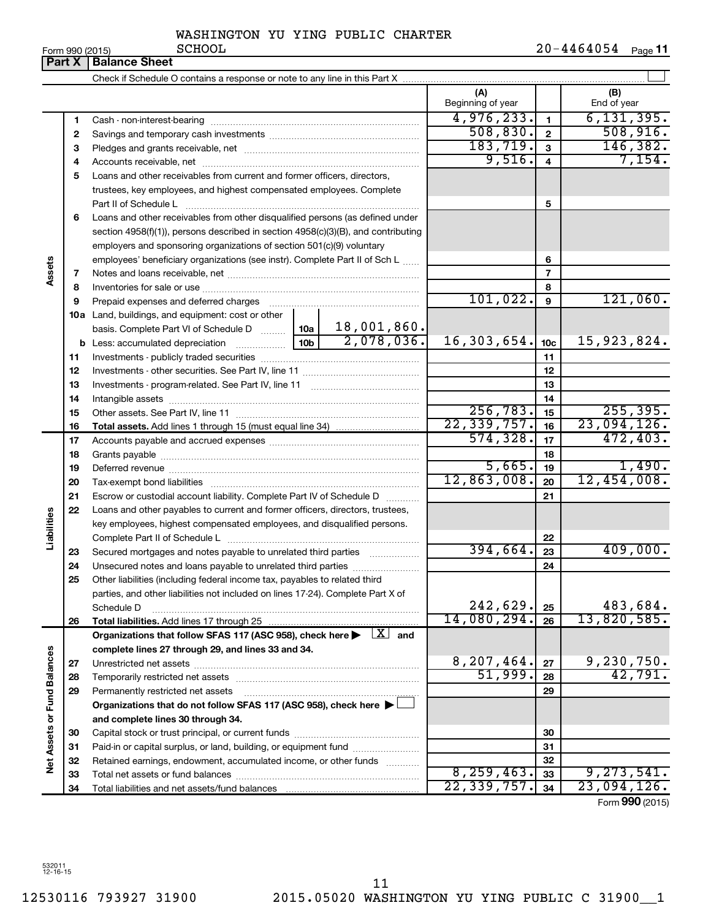**11**

| ---------- |                |
|------------|----------------|
|            | $20 - 4464054$ |

|                             | Part X | <b>Balance Sheet</b>                                                                                                    |                                         |                         |                          |
|-----------------------------|--------|-------------------------------------------------------------------------------------------------------------------------|-----------------------------------------|-------------------------|--------------------------|
|                             |        |                                                                                                                         |                                         |                         |                          |
|                             |        |                                                                                                                         | (A)<br>Beginning of year                |                         | (B)<br>End of year       |
|                             | 1      |                                                                                                                         | 4,976,233.                              | $\mathbf{1}$            | 6, 131, 395.             |
|                             | 2      |                                                                                                                         | 508, 830.                               | $\overline{\mathbf{2}}$ | 508, 916.                |
|                             | З      |                                                                                                                         | 183, 719.                               | $\mathbf{3}$            | 146, 382.                |
|                             | 4      |                                                                                                                         | 9,516.                                  | $\overline{\mathbf{4}}$ | 7,154.                   |
|                             | 5      | Loans and other receivables from current and former officers, directors,                                                |                                         |                         |                          |
|                             |        | trustees, key employees, and highest compensated employees. Complete                                                    |                                         |                         |                          |
|                             |        | Part II of Schedule L                                                                                                   |                                         | 5                       |                          |
|                             | 6      | Loans and other receivables from other disqualified persons (as defined under                                           |                                         |                         |                          |
|                             |        | section 4958(f)(1)), persons described in section 4958(c)(3)(B), and contributing                                       |                                         |                         |                          |
|                             |        | employers and sponsoring organizations of section 501(c)(9) voluntary                                                   |                                         |                         |                          |
|                             |        | employees' beneficiary organizations (see instr). Complete Part II of Sch L                                             |                                         | 6                       |                          |
| Assets                      | 7      |                                                                                                                         |                                         | $\overline{7}$          |                          |
|                             | 8      |                                                                                                                         |                                         | 8                       |                          |
|                             | 9      | Prepaid expenses and deferred charges                                                                                   | 101,022.                                | 9                       | 121,060.                 |
|                             |        | 10a Land, buildings, and equipment: cost or other                                                                       |                                         |                         |                          |
|                             |        | 18,001,860.<br>basis. Complete Part VI of Schedule D  10a                                                               |                                         |                         |                          |
|                             |        | 2,078,036.<br>$\frac{1}{10b}$<br><b>b</b> Less: accumulated depreciation                                                | 16, 303, 654.                           | 10 <sub>c</sub>         | 15,923,824.              |
|                             | 11     |                                                                                                                         |                                         | 11                      |                          |
|                             | 12     |                                                                                                                         |                                         | 12                      |                          |
|                             | 13     |                                                                                                                         |                                         | 13                      |                          |
|                             | 14     |                                                                                                                         |                                         | 14                      |                          |
|                             | 15     |                                                                                                                         | 256, 783.<br>$\overline{22, 339, 757.}$ | 15                      | 255, 395.<br>23,094,126. |
|                             | 16     |                                                                                                                         | 574, 328.                               | 16                      | 472, 403.                |
|                             | 17     |                                                                                                                         |                                         | 17                      |                          |
|                             | 18     |                                                                                                                         | 5,665.                                  | 18<br>19                | 1,490.                   |
|                             | 19     |                                                                                                                         | 12,863,008.                             | 20                      | 12,454,008.              |
|                             | 20     | Escrow or custodial account liability. Complete Part IV of Schedule D                                                   |                                         | 21                      |                          |
|                             | 21     | Loans and other payables to current and former officers, directors, trustees,                                           |                                         |                         |                          |
| Liabilities                 | 22     | key employees, highest compensated employees, and disqualified persons.                                                 |                                         |                         |                          |
|                             |        |                                                                                                                         |                                         | 22                      |                          |
|                             | 23     | Secured mortgages and notes payable to unrelated third parties                                                          | 394,664.                                | 23                      | 409,000.                 |
|                             | 24     |                                                                                                                         |                                         | 24                      |                          |
|                             | 25     | Other liabilities (including federal income tax, payables to related third                                              |                                         |                         |                          |
|                             |        | parties, and other liabilities not included on lines 17-24). Complete Part X of                                         |                                         |                         |                          |
|                             |        | Schedule D                                                                                                              | 242,629.                                | 25                      | 483,684.                 |
|                             | 26     | Total liabilities. Add lines 17 through 25                                                                              | 14,080,294.                             | 26                      | 13,820,585.              |
|                             |        | Organizations that follow SFAS 117 (ASC 958), check here $\blacktriangleright \begin{array}{c} \perp X \end{array}$ and |                                         |                         |                          |
|                             |        | complete lines 27 through 29, and lines 33 and 34.                                                                      |                                         |                         |                          |
|                             | 27     |                                                                                                                         | 8,207,464.                              | 27                      | 9,230,750.               |
|                             | 28     | Temporarily restricted net assets                                                                                       | 51,999.                                 | 28                      | $\overline{42,791}$ .    |
|                             | 29     | Permanently restricted net assets                                                                                       |                                         | 29                      |                          |
|                             |        | Organizations that do not follow SFAS 117 (ASC 958), check here ▶ □                                                     |                                         |                         |                          |
|                             |        | and complete lines 30 through 34.                                                                                       |                                         |                         |                          |
| Net Assets or Fund Balances | 30     |                                                                                                                         |                                         | 30                      |                          |
|                             | 31     | Paid-in or capital surplus, or land, building, or equipment fund                                                        |                                         | 31                      |                          |
|                             | 32     | Retained earnings, endowment, accumulated income, or other funds                                                        |                                         | 32                      |                          |
|                             | 33     |                                                                                                                         | 8, 259, 463.                            | 33                      | 9, 273, 541.             |
|                             | 34     |                                                                                                                         | 22, 339, 757.                           | 34                      | 23,094,126.              |
|                             |        |                                                                                                                         |                                         |                         | Form 990 (2015)          |

532011 12-16-15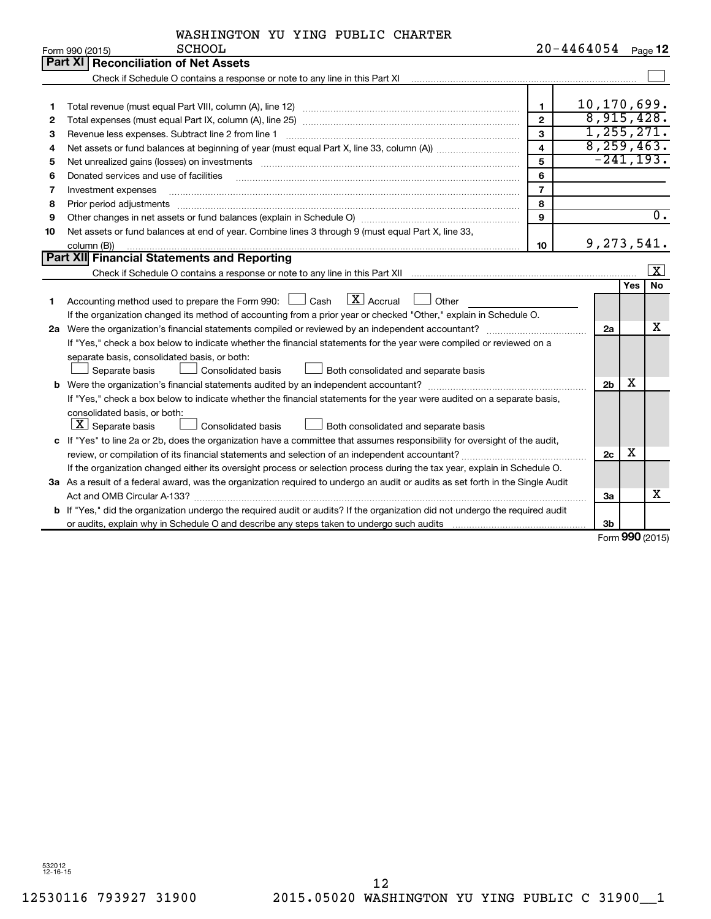| $20 - 4464054$ Page 12<br><b>SCHOOL</b><br>Form 990 (2015)<br>Part XI   Reconciliation of Net Assets<br>Check if Schedule O contains a response or note to any line in this Part XI [11] [12] Check if Schedule O contains a response or note to any line in this Part XI<br>10,170,699.<br>1<br>1<br>8,915,428.<br>$\mathbf{2}$<br>2<br>1, 255, 271.<br>3<br>З<br>8, 259, 463.<br>$\overline{\mathbf{4}}$<br>4<br>$-241, 193.$<br>5<br>Net unrealized gains (losses) on investments [11] matter contracts and the state of the state of the state of the state of the state of the state of the state of the state of the state of the state of the state of the stat<br>5<br>6<br>Donated services and use of facilities<br>6<br>$\overline{7}$<br>7<br>Investment expenses<br>8<br>Prior period adjustments<br>8<br>9<br>9<br>Net assets or fund balances at end of year. Combine lines 3 through 9 (must equal Part X, line 33,<br>10<br>9,273,541.<br>10<br>column (B))<br>Part XII Financial Statements and Reporting<br><b>Yes</b><br>$\boxed{\text{X}}$ Accrual<br>Accounting method used to prepare the Form 990: $\Box$ Cash<br>Other<br>1<br>If the organization changed its method of accounting from a prior year or checked "Other," explain in Schedule O.<br>2a Were the organization's financial statements compiled or reviewed by an independent accountant?<br>2a<br>If "Yes," check a box below to indicate whether the financial statements for the year were compiled or reviewed on a | WASHINGTON YU YING PUBLIC CHARTER            |  |                         |
|---------------------------------------------------------------------------------------------------------------------------------------------------------------------------------------------------------------------------------------------------------------------------------------------------------------------------------------------------------------------------------------------------------------------------------------------------------------------------------------------------------------------------------------------------------------------------------------------------------------------------------------------------------------------------------------------------------------------------------------------------------------------------------------------------------------------------------------------------------------------------------------------------------------------------------------------------------------------------------------------------------------------------------------------------------------------------------------------------------------------------------------------------------------------------------------------------------------------------------------------------------------------------------------------------------------------------------------------------------------------------------------------------------------------------------------------------------------------------------------------------------------|----------------------------------------------|--|-------------------------|
|                                                                                                                                                                                                                                                                                                                                                                                                                                                                                                                                                                                                                                                                                                                                                                                                                                                                                                                                                                                                                                                                                                                                                                                                                                                                                                                                                                                                                                                                                                               |                                              |  |                         |
|                                                                                                                                                                                                                                                                                                                                                                                                                                                                                                                                                                                                                                                                                                                                                                                                                                                                                                                                                                                                                                                                                                                                                                                                                                                                                                                                                                                                                                                                                                               |                                              |  |                         |
|                                                                                                                                                                                                                                                                                                                                                                                                                                                                                                                                                                                                                                                                                                                                                                                                                                                                                                                                                                                                                                                                                                                                                                                                                                                                                                                                                                                                                                                                                                               |                                              |  |                         |
|                                                                                                                                                                                                                                                                                                                                                                                                                                                                                                                                                                                                                                                                                                                                                                                                                                                                                                                                                                                                                                                                                                                                                                                                                                                                                                                                                                                                                                                                                                               |                                              |  |                         |
|                                                                                                                                                                                                                                                                                                                                                                                                                                                                                                                                                                                                                                                                                                                                                                                                                                                                                                                                                                                                                                                                                                                                                                                                                                                                                                                                                                                                                                                                                                               |                                              |  |                         |
|                                                                                                                                                                                                                                                                                                                                                                                                                                                                                                                                                                                                                                                                                                                                                                                                                                                                                                                                                                                                                                                                                                                                                                                                                                                                                                                                                                                                                                                                                                               |                                              |  |                         |
|                                                                                                                                                                                                                                                                                                                                                                                                                                                                                                                                                                                                                                                                                                                                                                                                                                                                                                                                                                                                                                                                                                                                                                                                                                                                                                                                                                                                                                                                                                               |                                              |  |                         |
|                                                                                                                                                                                                                                                                                                                                                                                                                                                                                                                                                                                                                                                                                                                                                                                                                                                                                                                                                                                                                                                                                                                                                                                                                                                                                                                                                                                                                                                                                                               |                                              |  |                         |
|                                                                                                                                                                                                                                                                                                                                                                                                                                                                                                                                                                                                                                                                                                                                                                                                                                                                                                                                                                                                                                                                                                                                                                                                                                                                                                                                                                                                                                                                                                               |                                              |  |                         |
|                                                                                                                                                                                                                                                                                                                                                                                                                                                                                                                                                                                                                                                                                                                                                                                                                                                                                                                                                                                                                                                                                                                                                                                                                                                                                                                                                                                                                                                                                                               |                                              |  |                         |
|                                                                                                                                                                                                                                                                                                                                                                                                                                                                                                                                                                                                                                                                                                                                                                                                                                                                                                                                                                                                                                                                                                                                                                                                                                                                                                                                                                                                                                                                                                               |                                              |  |                         |
|                                                                                                                                                                                                                                                                                                                                                                                                                                                                                                                                                                                                                                                                                                                                                                                                                                                                                                                                                                                                                                                                                                                                                                                                                                                                                                                                                                                                                                                                                                               |                                              |  |                         |
|                                                                                                                                                                                                                                                                                                                                                                                                                                                                                                                                                                                                                                                                                                                                                                                                                                                                                                                                                                                                                                                                                                                                                                                                                                                                                                                                                                                                                                                                                                               |                                              |  | $\overline{0}$ .        |
|                                                                                                                                                                                                                                                                                                                                                                                                                                                                                                                                                                                                                                                                                                                                                                                                                                                                                                                                                                                                                                                                                                                                                                                                                                                                                                                                                                                                                                                                                                               |                                              |  |                         |
|                                                                                                                                                                                                                                                                                                                                                                                                                                                                                                                                                                                                                                                                                                                                                                                                                                                                                                                                                                                                                                                                                                                                                                                                                                                                                                                                                                                                                                                                                                               |                                              |  |                         |
|                                                                                                                                                                                                                                                                                                                                                                                                                                                                                                                                                                                                                                                                                                                                                                                                                                                                                                                                                                                                                                                                                                                                                                                                                                                                                                                                                                                                                                                                                                               |                                              |  |                         |
|                                                                                                                                                                                                                                                                                                                                                                                                                                                                                                                                                                                                                                                                                                                                                                                                                                                                                                                                                                                                                                                                                                                                                                                                                                                                                                                                                                                                                                                                                                               |                                              |  | $\overline{\mathbf{X}}$ |
|                                                                                                                                                                                                                                                                                                                                                                                                                                                                                                                                                                                                                                                                                                                                                                                                                                                                                                                                                                                                                                                                                                                                                                                                                                                                                                                                                                                                                                                                                                               |                                              |  | No                      |
|                                                                                                                                                                                                                                                                                                                                                                                                                                                                                                                                                                                                                                                                                                                                                                                                                                                                                                                                                                                                                                                                                                                                                                                                                                                                                                                                                                                                                                                                                                               |                                              |  |                         |
|                                                                                                                                                                                                                                                                                                                                                                                                                                                                                                                                                                                                                                                                                                                                                                                                                                                                                                                                                                                                                                                                                                                                                                                                                                                                                                                                                                                                                                                                                                               |                                              |  |                         |
|                                                                                                                                                                                                                                                                                                                                                                                                                                                                                                                                                                                                                                                                                                                                                                                                                                                                                                                                                                                                                                                                                                                                                                                                                                                                                                                                                                                                                                                                                                               |                                              |  | х                       |
|                                                                                                                                                                                                                                                                                                                                                                                                                                                                                                                                                                                                                                                                                                                                                                                                                                                                                                                                                                                                                                                                                                                                                                                                                                                                                                                                                                                                                                                                                                               |                                              |  |                         |
|                                                                                                                                                                                                                                                                                                                                                                                                                                                                                                                                                                                                                                                                                                                                                                                                                                                                                                                                                                                                                                                                                                                                                                                                                                                                                                                                                                                                                                                                                                               | separate basis, consolidated basis, or both: |  |                         |
| <b>Consolidated basis</b><br>Separate basis<br>Both consolidated and separate basis                                                                                                                                                                                                                                                                                                                                                                                                                                                                                                                                                                                                                                                                                                                                                                                                                                                                                                                                                                                                                                                                                                                                                                                                                                                                                                                                                                                                                           |                                              |  |                         |
| х<br>2 <sub>b</sub>                                                                                                                                                                                                                                                                                                                                                                                                                                                                                                                                                                                                                                                                                                                                                                                                                                                                                                                                                                                                                                                                                                                                                                                                                                                                                                                                                                                                                                                                                           |                                              |  |                         |
| If "Yes," check a box below to indicate whether the financial statements for the year were audited on a separate basis,                                                                                                                                                                                                                                                                                                                                                                                                                                                                                                                                                                                                                                                                                                                                                                                                                                                                                                                                                                                                                                                                                                                                                                                                                                                                                                                                                                                       |                                              |  |                         |
| consolidated basis, or both:                                                                                                                                                                                                                                                                                                                                                                                                                                                                                                                                                                                                                                                                                                                                                                                                                                                                                                                                                                                                                                                                                                                                                                                                                                                                                                                                                                                                                                                                                  |                                              |  |                         |
| $X$ Separate basis<br><b>Consolidated basis</b><br>Both consolidated and separate basis                                                                                                                                                                                                                                                                                                                                                                                                                                                                                                                                                                                                                                                                                                                                                                                                                                                                                                                                                                                                                                                                                                                                                                                                                                                                                                                                                                                                                       |                                              |  |                         |
| c If "Yes" to line 2a or 2b, does the organization have a committee that assumes responsibility for oversight of the audit,                                                                                                                                                                                                                                                                                                                                                                                                                                                                                                                                                                                                                                                                                                                                                                                                                                                                                                                                                                                                                                                                                                                                                                                                                                                                                                                                                                                   |                                              |  |                         |
| x<br>2c                                                                                                                                                                                                                                                                                                                                                                                                                                                                                                                                                                                                                                                                                                                                                                                                                                                                                                                                                                                                                                                                                                                                                                                                                                                                                                                                                                                                                                                                                                       |                                              |  |                         |
| If the organization changed either its oversight process or selection process during the tax year, explain in Schedule O.                                                                                                                                                                                                                                                                                                                                                                                                                                                                                                                                                                                                                                                                                                                                                                                                                                                                                                                                                                                                                                                                                                                                                                                                                                                                                                                                                                                     |                                              |  |                         |
| 3a As a result of a federal award, was the organization required to undergo an audit or audits as set forth in the Single Audit                                                                                                                                                                                                                                                                                                                                                                                                                                                                                                                                                                                                                                                                                                                                                                                                                                                                                                                                                                                                                                                                                                                                                                                                                                                                                                                                                                               |                                              |  |                         |
| За                                                                                                                                                                                                                                                                                                                                                                                                                                                                                                                                                                                                                                                                                                                                                                                                                                                                                                                                                                                                                                                                                                                                                                                                                                                                                                                                                                                                                                                                                                            |                                              |  | X                       |
| b If "Yes," did the organization undergo the required audit or audits? If the organization did not undergo the required audit                                                                                                                                                                                                                                                                                                                                                                                                                                                                                                                                                                                                                                                                                                                                                                                                                                                                                                                                                                                                                                                                                                                                                                                                                                                                                                                                                                                 |                                              |  |                         |
| 3 <sub>b</sub><br><b>000</b>                                                                                                                                                                                                                                                                                                                                                                                                                                                                                                                                                                                                                                                                                                                                                                                                                                                                                                                                                                                                                                                                                                                                                                                                                                                                                                                                                                                                                                                                                  |                                              |  |                         |

Form (2015) **990**

532012 12-16-15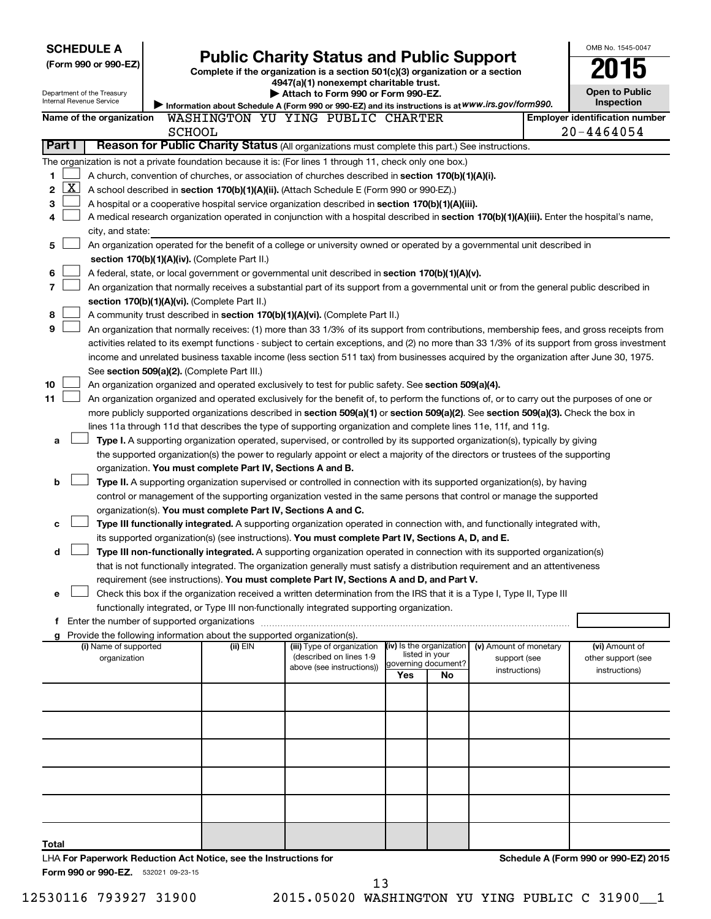| <b>SCHEDULE A</b>                                                        |                                               |          |                                                                                                                                               |     |                                       |                        | OMB No. 1545-0047                     |
|--------------------------------------------------------------------------|-----------------------------------------------|----------|-----------------------------------------------------------------------------------------------------------------------------------------------|-----|---------------------------------------|------------------------|---------------------------------------|
| (Form 990 or 990-EZ)                                                     |                                               |          | <b>Public Charity Status and Public Support</b>                                                                                               |     |                                       |                        |                                       |
|                                                                          |                                               |          | Complete if the organization is a section 501(c)(3) organization or a section<br>4947(a)(1) nonexempt charitable trust.                       |     |                                       |                        |                                       |
| Department of the Treasury                                               |                                               |          | Attach to Form 990 or Form 990-EZ.                                                                                                            |     |                                       |                        | <b>Open to Public</b>                 |
| Internal Revenue Service                                                 |                                               |          | Information about Schedule A (Form 990 or 990-EZ) and its instructions is at WWW.irs.gov/form990.                                             |     |                                       |                        | Inspection                            |
| Name of the organization                                                 |                                               |          | WASHINGTON YU YING PUBLIC CHARTER                                                                                                             |     |                                       |                        | <b>Employer identification number</b> |
|                                                                          | <b>SCHOOL</b>                                 |          |                                                                                                                                               |     |                                       |                        | $20 - 4464054$                        |
| Part I                                                                   |                                               |          | Reason for Public Charity Status (All organizations must complete this part.) See instructions.                                               |     |                                       |                        |                                       |
|                                                                          |                                               |          | The organization is not a private foundation because it is: (For lines 1 through 11, check only one box.)                                     |     |                                       |                        |                                       |
| 1                                                                        |                                               |          | A church, convention of churches, or association of churches described in section 170(b)(1)(A)(i).                                            |     |                                       |                        |                                       |
| $\overline{\text{X}}$<br>2                                               |                                               |          | A school described in section 170(b)(1)(A)(ii). (Attach Schedule E (Form 990 or 990-EZ).)                                                     |     |                                       |                        |                                       |
| 3                                                                        |                                               |          | A hospital or a cooperative hospital service organization described in section 170(b)(1)(A)(iii).                                             |     |                                       |                        |                                       |
| 4                                                                        |                                               |          | A medical research organization operated in conjunction with a hospital described in section 170(b)(1)(A)(iii). Enter the hospital's name,    |     |                                       |                        |                                       |
| city, and state:                                                         |                                               |          |                                                                                                                                               |     |                                       |                        |                                       |
| 5                                                                        |                                               |          | An organization operated for the benefit of a college or university owned or operated by a governmental unit described in                     |     |                                       |                        |                                       |
|                                                                          | section 170(b)(1)(A)(iv). (Complete Part II.) |          |                                                                                                                                               |     |                                       |                        |                                       |
| 6                                                                        |                                               |          | A federal, state, or local government or governmental unit described in section 170(b)(1)(A)(v).                                              |     |                                       |                        |                                       |
| 7                                                                        |                                               |          | An organization that normally receives a substantial part of its support from a governmental unit or from the general public described in     |     |                                       |                        |                                       |
|                                                                          | section 170(b)(1)(A)(vi). (Complete Part II.) |          |                                                                                                                                               |     |                                       |                        |                                       |
| 8                                                                        |                                               |          | A community trust described in section 170(b)(1)(A)(vi). (Complete Part II.)                                                                  |     |                                       |                        |                                       |
| 9                                                                        |                                               |          | An organization that normally receives: (1) more than 33 1/3% of its support from contributions, membership fees, and gross receipts from     |     |                                       |                        |                                       |
|                                                                          |                                               |          | activities related to its exempt functions - subject to certain exceptions, and (2) no more than 33 1/3% of its support from gross investment |     |                                       |                        |                                       |
|                                                                          |                                               |          | income and unrelated business taxable income (less section 511 tax) from businesses acquired by the organization after June 30, 1975.         |     |                                       |                        |                                       |
|                                                                          | See section 509(a)(2). (Complete Part III.)   |          |                                                                                                                                               |     |                                       |                        |                                       |
| 10                                                                       |                                               |          | An organization organized and operated exclusively to test for public safety. See section 509(a)(4).                                          |     |                                       |                        |                                       |
| 11                                                                       |                                               |          | An organization organized and operated exclusively for the benefit of, to perform the functions of, or to carry out the purposes of one or    |     |                                       |                        |                                       |
|                                                                          |                                               |          | more publicly supported organizations described in section 509(a)(1) or section 509(a)(2). See section 509(a)(3). Check the box in            |     |                                       |                        |                                       |
|                                                                          |                                               |          | lines 11a through 11d that describes the type of supporting organization and complete lines 11e, 11f, and 11g.                                |     |                                       |                        |                                       |
| a                                                                        |                                               |          | Type I. A supporting organization operated, supervised, or controlled by its supported organization(s), typically by giving                   |     |                                       |                        |                                       |
|                                                                          |                                               |          | the supported organization(s) the power to regularly appoint or elect a majority of the directors or trustees of the supporting               |     |                                       |                        |                                       |
|                                                                          |                                               |          | organization. You must complete Part IV, Sections A and B.                                                                                    |     |                                       |                        |                                       |
| b                                                                        |                                               |          | Type II. A supporting organization supervised or controlled in connection with its supported organization(s), by having                       |     |                                       |                        |                                       |
|                                                                          |                                               |          | control or management of the supporting organization vested in the same persons that control or manage the supported                          |     |                                       |                        |                                       |
|                                                                          |                                               |          | organization(s). You must complete Part IV, Sections A and C.                                                                                 |     |                                       |                        |                                       |
| c                                                                        |                                               |          | Type III functionally integrated. A supporting organization operated in connection with, and functionally integrated with,                    |     |                                       |                        |                                       |
|                                                                          |                                               |          | its supported organization(s) (see instructions). You must complete Part IV, Sections A, D, and E.                                            |     |                                       |                        |                                       |
| d                                                                        |                                               |          | Type III non-functionally integrated. A supporting organization operated in connection with its supported organization(s)                     |     |                                       |                        |                                       |
|                                                                          |                                               |          | that is not functionally integrated. The organization generally must satisfy a distribution requirement and an attentiveness                  |     |                                       |                        |                                       |
|                                                                          |                                               |          | requirement (see instructions). You must complete Part IV, Sections A and D, and Part V.                                                      |     |                                       |                        |                                       |
| е                                                                        |                                               |          | Check this box if the organization received a written determination from the IRS that it is a Type I, Type II, Type III                       |     |                                       |                        |                                       |
|                                                                          |                                               |          | functionally integrated, or Type III non-functionally integrated supporting organization.                                                     |     |                                       |                        |                                       |
| g Provide the following information about the supported organization(s). |                                               |          |                                                                                                                                               |     |                                       |                        |                                       |
| (i) Name of supported                                                    |                                               | (ii) EIN | (iii) Type of organization                                                                                                                    |     | (iv) Is the organization              | (v) Amount of monetary | (vi) Amount of                        |
| organization                                                             |                                               |          | (described on lines 1-9                                                                                                                       |     | listed in your<br>governing document? | support (see           | other support (see                    |
|                                                                          |                                               |          | above (see instructions))                                                                                                                     | Yes | No                                    | instructions)          | instructions)                         |
|                                                                          |                                               |          |                                                                                                                                               |     |                                       |                        |                                       |
|                                                                          |                                               |          |                                                                                                                                               |     |                                       |                        |                                       |
|                                                                          |                                               |          |                                                                                                                                               |     |                                       |                        |                                       |
|                                                                          |                                               |          |                                                                                                                                               |     |                                       |                        |                                       |
|                                                                          |                                               |          |                                                                                                                                               |     |                                       |                        |                                       |
|                                                                          |                                               |          |                                                                                                                                               |     |                                       |                        |                                       |
|                                                                          |                                               |          |                                                                                                                                               |     |                                       |                        |                                       |
|                                                                          |                                               |          |                                                                                                                                               |     |                                       |                        |                                       |
|                                                                          |                                               |          |                                                                                                                                               |     |                                       |                        |                                       |
|                                                                          |                                               |          |                                                                                                                                               |     |                                       |                        |                                       |
|                                                                          |                                               |          |                                                                                                                                               |     |                                       |                        |                                       |
|                                                                          |                                               |          |                                                                                                                                               |     |                                       |                        |                                       |
| Total                                                                    |                                               |          |                                                                                                                                               |     |                                       |                        |                                       |

12530116 793927 31900 2015.05020 WASHINGTON YU YING PUBLIC C 31900\_\_1 13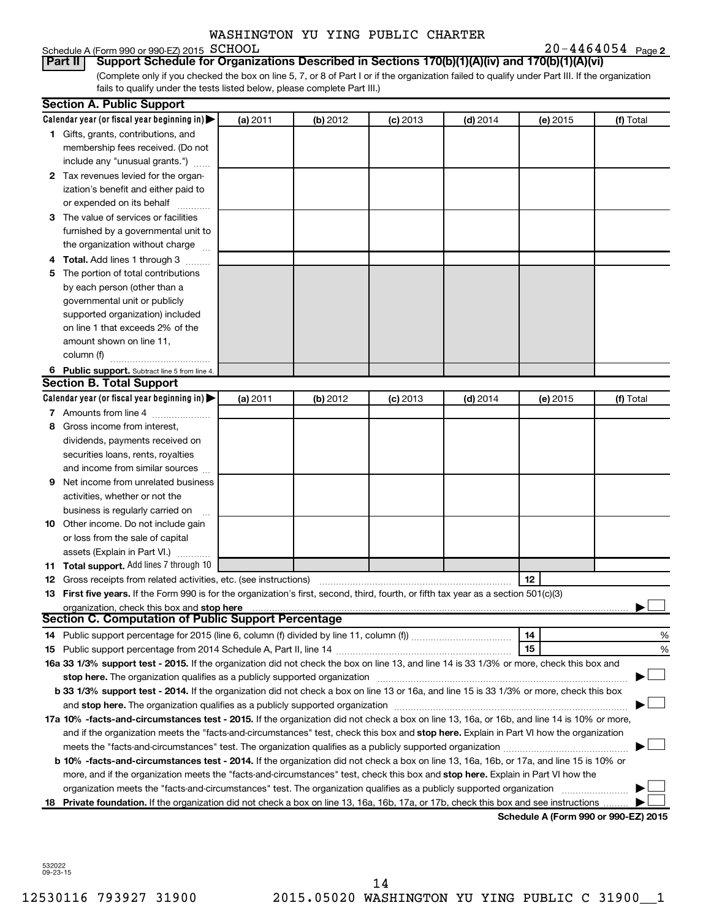# Schedule A (Form 990 or 990-EZ) 2015 SCHOOL<br>**Part II** Support Schedule for Organiz

**20-4464054** Page 2

(Complete only if you checked the box on line 5, 7, or 8 of Part I or if the organization failed to qualify under Part III. If the organization fails to qualify under the tests listed below, please complete Part III.) **Bupport Schedule for Organizations Described in Sections 170(b)(1)(A)(iv) and 170(b)(1)(A)(vi)** 

| Calendar year (or fiscal year beginning in)<br>(a) 2011<br>(b) 2012<br>$(c)$ 2013<br>$(d)$ 2014<br>(f) Total<br>(e) 2015<br>1 Gifts, grants, contributions, and<br>membership fees received. (Do not<br>include any "unusual grants.")<br>2 Tax revenues levied for the organ-<br>ization's benefit and either paid to<br>or expended on its behalf<br>3 The value of services or facilities<br>furnished by a governmental unit to<br>the organization without charge<br>4 Total. Add lines 1 through 3<br>5 The portion of total contributions<br>by each person (other than a<br>governmental unit or publicly<br>supported organization) included<br>on line 1 that exceeds 2% of the<br>amount shown on line 11,<br>column (f)<br>6 Public support. Subtract line 5 from line 4.<br><b>Section B. Total Support</b><br>Calendar year (or fiscal year beginning in)<br>(a) 2011<br>(b) 2012<br>$(c)$ 2013<br>$(d)$ 2014<br>(f) Total<br>(e) 2015<br>7 Amounts from line 4<br>Gross income from interest,<br>8<br>dividends, payments received on<br>securities loans, rents, royalties<br>and income from similar sources<br>Net income from unrelated business<br>9<br>activities, whether or not the<br>business is regularly carried on<br>10 Other income. Do not include gain<br>or loss from the sale of capital<br>assets (Explain in Part VI.)<br>11 Total support. Add lines 7 through 10<br>12<br><b>12</b> Gross receipts from related activities, etc. (see instructions)<br>13 First five years. If the Form 990 is for the organization's first, second, third, fourth, or fifth tax year as a section 501(c)(3)<br>organization, check this box and stop here<br><b>Section C. Computation of Public Support Percentage</b><br>14<br>15<br>16a 33 1/3% support test - 2015. If the organization did not check the box on line 13, and line 14 is 33 1/3% or more, check this box and<br>stop here. The organization qualifies as a publicly supported organization manufaction manufacture or the organization manufacture or the organization manufacture or the organization of the state of the state of the state<br>b 33 1/3% support test - 2014. If the organization did not check a box on line 13 or 16a, and line 15 is 33 1/3% or more, check this box<br>17a 10% -facts-and-circumstances test - 2015. If the organization did not check a box on line 13, 16a, or 16b, and line 14 is 10% or more,<br>and if the organization meets the "facts-and-circumstances" test, check this box and stop here. Explain in Part VI how the organization<br>b 10% -facts-and-circumstances test - 2014. If the organization did not check a box on line 13, 16a, 16b, or 17a, and line 15 is 10% or<br>more, and if the organization meets the "facts-and-circumstances" test, check this box and stop here. Explain in Part VI how the<br>organization meets the "facts-and-circumstances" test. The organization qualifies as a publicly supported organization | <b>Section A. Public Support</b> |  |  |   |
|----------------------------------------------------------------------------------------------------------------------------------------------------------------------------------------------------------------------------------------------------------------------------------------------------------------------------------------------------------------------------------------------------------------------------------------------------------------------------------------------------------------------------------------------------------------------------------------------------------------------------------------------------------------------------------------------------------------------------------------------------------------------------------------------------------------------------------------------------------------------------------------------------------------------------------------------------------------------------------------------------------------------------------------------------------------------------------------------------------------------------------------------------------------------------------------------------------------------------------------------------------------------------------------------------------------------------------------------------------------------------------------------------------------------------------------------------------------------------------------------------------------------------------------------------------------------------------------------------------------------------------------------------------------------------------------------------------------------------------------------------------------------------------------------------------------------------------------------------------------------------------------------------------------------------------------------------------------------------------------------------------------------------------------------------------------------------------------------------------------------------------------------------------------------------------------------------------------------------------------------------------------------------------------------------------------------------------------------------------------------------------------------------------------------------------------------------------------------------------------------------------------------------------------------------------------------------------------------------------------------------------------------------------------------------------------------------------------------------------------------------------------------------------------------------------------------------------------------------------------------------------------------------------------------------------------------------------------------------------------|----------------------------------|--|--|---|
|                                                                                                                                                                                                                                                                                                                                                                                                                                                                                                                                                                                                                                                                                                                                                                                                                                                                                                                                                                                                                                                                                                                                                                                                                                                                                                                                                                                                                                                                                                                                                                                                                                                                                                                                                                                                                                                                                                                                                                                                                                                                                                                                                                                                                                                                                                                                                                                                                                                                                                                                                                                                                                                                                                                                                                                                                                                                                                                                                                                        |                                  |  |  |   |
|                                                                                                                                                                                                                                                                                                                                                                                                                                                                                                                                                                                                                                                                                                                                                                                                                                                                                                                                                                                                                                                                                                                                                                                                                                                                                                                                                                                                                                                                                                                                                                                                                                                                                                                                                                                                                                                                                                                                                                                                                                                                                                                                                                                                                                                                                                                                                                                                                                                                                                                                                                                                                                                                                                                                                                                                                                                                                                                                                                                        |                                  |  |  |   |
|                                                                                                                                                                                                                                                                                                                                                                                                                                                                                                                                                                                                                                                                                                                                                                                                                                                                                                                                                                                                                                                                                                                                                                                                                                                                                                                                                                                                                                                                                                                                                                                                                                                                                                                                                                                                                                                                                                                                                                                                                                                                                                                                                                                                                                                                                                                                                                                                                                                                                                                                                                                                                                                                                                                                                                                                                                                                                                                                                                                        |                                  |  |  |   |
|                                                                                                                                                                                                                                                                                                                                                                                                                                                                                                                                                                                                                                                                                                                                                                                                                                                                                                                                                                                                                                                                                                                                                                                                                                                                                                                                                                                                                                                                                                                                                                                                                                                                                                                                                                                                                                                                                                                                                                                                                                                                                                                                                                                                                                                                                                                                                                                                                                                                                                                                                                                                                                                                                                                                                                                                                                                                                                                                                                                        |                                  |  |  |   |
|                                                                                                                                                                                                                                                                                                                                                                                                                                                                                                                                                                                                                                                                                                                                                                                                                                                                                                                                                                                                                                                                                                                                                                                                                                                                                                                                                                                                                                                                                                                                                                                                                                                                                                                                                                                                                                                                                                                                                                                                                                                                                                                                                                                                                                                                                                                                                                                                                                                                                                                                                                                                                                                                                                                                                                                                                                                                                                                                                                                        |                                  |  |  |   |
|                                                                                                                                                                                                                                                                                                                                                                                                                                                                                                                                                                                                                                                                                                                                                                                                                                                                                                                                                                                                                                                                                                                                                                                                                                                                                                                                                                                                                                                                                                                                                                                                                                                                                                                                                                                                                                                                                                                                                                                                                                                                                                                                                                                                                                                                                                                                                                                                                                                                                                                                                                                                                                                                                                                                                                                                                                                                                                                                                                                        |                                  |  |  |   |
|                                                                                                                                                                                                                                                                                                                                                                                                                                                                                                                                                                                                                                                                                                                                                                                                                                                                                                                                                                                                                                                                                                                                                                                                                                                                                                                                                                                                                                                                                                                                                                                                                                                                                                                                                                                                                                                                                                                                                                                                                                                                                                                                                                                                                                                                                                                                                                                                                                                                                                                                                                                                                                                                                                                                                                                                                                                                                                                                                                                        |                                  |  |  |   |
|                                                                                                                                                                                                                                                                                                                                                                                                                                                                                                                                                                                                                                                                                                                                                                                                                                                                                                                                                                                                                                                                                                                                                                                                                                                                                                                                                                                                                                                                                                                                                                                                                                                                                                                                                                                                                                                                                                                                                                                                                                                                                                                                                                                                                                                                                                                                                                                                                                                                                                                                                                                                                                                                                                                                                                                                                                                                                                                                                                                        |                                  |  |  |   |
|                                                                                                                                                                                                                                                                                                                                                                                                                                                                                                                                                                                                                                                                                                                                                                                                                                                                                                                                                                                                                                                                                                                                                                                                                                                                                                                                                                                                                                                                                                                                                                                                                                                                                                                                                                                                                                                                                                                                                                                                                                                                                                                                                                                                                                                                                                                                                                                                                                                                                                                                                                                                                                                                                                                                                                                                                                                                                                                                                                                        |                                  |  |  |   |
|                                                                                                                                                                                                                                                                                                                                                                                                                                                                                                                                                                                                                                                                                                                                                                                                                                                                                                                                                                                                                                                                                                                                                                                                                                                                                                                                                                                                                                                                                                                                                                                                                                                                                                                                                                                                                                                                                                                                                                                                                                                                                                                                                                                                                                                                                                                                                                                                                                                                                                                                                                                                                                                                                                                                                                                                                                                                                                                                                                                        |                                  |  |  |   |
|                                                                                                                                                                                                                                                                                                                                                                                                                                                                                                                                                                                                                                                                                                                                                                                                                                                                                                                                                                                                                                                                                                                                                                                                                                                                                                                                                                                                                                                                                                                                                                                                                                                                                                                                                                                                                                                                                                                                                                                                                                                                                                                                                                                                                                                                                                                                                                                                                                                                                                                                                                                                                                                                                                                                                                                                                                                                                                                                                                                        |                                  |  |  |   |
|                                                                                                                                                                                                                                                                                                                                                                                                                                                                                                                                                                                                                                                                                                                                                                                                                                                                                                                                                                                                                                                                                                                                                                                                                                                                                                                                                                                                                                                                                                                                                                                                                                                                                                                                                                                                                                                                                                                                                                                                                                                                                                                                                                                                                                                                                                                                                                                                                                                                                                                                                                                                                                                                                                                                                                                                                                                                                                                                                                                        |                                  |  |  |   |
|                                                                                                                                                                                                                                                                                                                                                                                                                                                                                                                                                                                                                                                                                                                                                                                                                                                                                                                                                                                                                                                                                                                                                                                                                                                                                                                                                                                                                                                                                                                                                                                                                                                                                                                                                                                                                                                                                                                                                                                                                                                                                                                                                                                                                                                                                                                                                                                                                                                                                                                                                                                                                                                                                                                                                                                                                                                                                                                                                                                        |                                  |  |  |   |
|                                                                                                                                                                                                                                                                                                                                                                                                                                                                                                                                                                                                                                                                                                                                                                                                                                                                                                                                                                                                                                                                                                                                                                                                                                                                                                                                                                                                                                                                                                                                                                                                                                                                                                                                                                                                                                                                                                                                                                                                                                                                                                                                                                                                                                                                                                                                                                                                                                                                                                                                                                                                                                                                                                                                                                                                                                                                                                                                                                                        |                                  |  |  |   |
|                                                                                                                                                                                                                                                                                                                                                                                                                                                                                                                                                                                                                                                                                                                                                                                                                                                                                                                                                                                                                                                                                                                                                                                                                                                                                                                                                                                                                                                                                                                                                                                                                                                                                                                                                                                                                                                                                                                                                                                                                                                                                                                                                                                                                                                                                                                                                                                                                                                                                                                                                                                                                                                                                                                                                                                                                                                                                                                                                                                        |                                  |  |  |   |
|                                                                                                                                                                                                                                                                                                                                                                                                                                                                                                                                                                                                                                                                                                                                                                                                                                                                                                                                                                                                                                                                                                                                                                                                                                                                                                                                                                                                                                                                                                                                                                                                                                                                                                                                                                                                                                                                                                                                                                                                                                                                                                                                                                                                                                                                                                                                                                                                                                                                                                                                                                                                                                                                                                                                                                                                                                                                                                                                                                                        |                                  |  |  |   |
|                                                                                                                                                                                                                                                                                                                                                                                                                                                                                                                                                                                                                                                                                                                                                                                                                                                                                                                                                                                                                                                                                                                                                                                                                                                                                                                                                                                                                                                                                                                                                                                                                                                                                                                                                                                                                                                                                                                                                                                                                                                                                                                                                                                                                                                                                                                                                                                                                                                                                                                                                                                                                                                                                                                                                                                                                                                                                                                                                                                        |                                  |  |  |   |
|                                                                                                                                                                                                                                                                                                                                                                                                                                                                                                                                                                                                                                                                                                                                                                                                                                                                                                                                                                                                                                                                                                                                                                                                                                                                                                                                                                                                                                                                                                                                                                                                                                                                                                                                                                                                                                                                                                                                                                                                                                                                                                                                                                                                                                                                                                                                                                                                                                                                                                                                                                                                                                                                                                                                                                                                                                                                                                                                                                                        |                                  |  |  |   |
|                                                                                                                                                                                                                                                                                                                                                                                                                                                                                                                                                                                                                                                                                                                                                                                                                                                                                                                                                                                                                                                                                                                                                                                                                                                                                                                                                                                                                                                                                                                                                                                                                                                                                                                                                                                                                                                                                                                                                                                                                                                                                                                                                                                                                                                                                                                                                                                                                                                                                                                                                                                                                                                                                                                                                                                                                                                                                                                                                                                        |                                  |  |  |   |
|                                                                                                                                                                                                                                                                                                                                                                                                                                                                                                                                                                                                                                                                                                                                                                                                                                                                                                                                                                                                                                                                                                                                                                                                                                                                                                                                                                                                                                                                                                                                                                                                                                                                                                                                                                                                                                                                                                                                                                                                                                                                                                                                                                                                                                                                                                                                                                                                                                                                                                                                                                                                                                                                                                                                                                                                                                                                                                                                                                                        |                                  |  |  |   |
|                                                                                                                                                                                                                                                                                                                                                                                                                                                                                                                                                                                                                                                                                                                                                                                                                                                                                                                                                                                                                                                                                                                                                                                                                                                                                                                                                                                                                                                                                                                                                                                                                                                                                                                                                                                                                                                                                                                                                                                                                                                                                                                                                                                                                                                                                                                                                                                                                                                                                                                                                                                                                                                                                                                                                                                                                                                                                                                                                                                        |                                  |  |  |   |
|                                                                                                                                                                                                                                                                                                                                                                                                                                                                                                                                                                                                                                                                                                                                                                                                                                                                                                                                                                                                                                                                                                                                                                                                                                                                                                                                                                                                                                                                                                                                                                                                                                                                                                                                                                                                                                                                                                                                                                                                                                                                                                                                                                                                                                                                                                                                                                                                                                                                                                                                                                                                                                                                                                                                                                                                                                                                                                                                                                                        |                                  |  |  |   |
|                                                                                                                                                                                                                                                                                                                                                                                                                                                                                                                                                                                                                                                                                                                                                                                                                                                                                                                                                                                                                                                                                                                                                                                                                                                                                                                                                                                                                                                                                                                                                                                                                                                                                                                                                                                                                                                                                                                                                                                                                                                                                                                                                                                                                                                                                                                                                                                                                                                                                                                                                                                                                                                                                                                                                                                                                                                                                                                                                                                        |                                  |  |  |   |
|                                                                                                                                                                                                                                                                                                                                                                                                                                                                                                                                                                                                                                                                                                                                                                                                                                                                                                                                                                                                                                                                                                                                                                                                                                                                                                                                                                                                                                                                                                                                                                                                                                                                                                                                                                                                                                                                                                                                                                                                                                                                                                                                                                                                                                                                                                                                                                                                                                                                                                                                                                                                                                                                                                                                                                                                                                                                                                                                                                                        |                                  |  |  |   |
|                                                                                                                                                                                                                                                                                                                                                                                                                                                                                                                                                                                                                                                                                                                                                                                                                                                                                                                                                                                                                                                                                                                                                                                                                                                                                                                                                                                                                                                                                                                                                                                                                                                                                                                                                                                                                                                                                                                                                                                                                                                                                                                                                                                                                                                                                                                                                                                                                                                                                                                                                                                                                                                                                                                                                                                                                                                                                                                                                                                        |                                  |  |  |   |
|                                                                                                                                                                                                                                                                                                                                                                                                                                                                                                                                                                                                                                                                                                                                                                                                                                                                                                                                                                                                                                                                                                                                                                                                                                                                                                                                                                                                                                                                                                                                                                                                                                                                                                                                                                                                                                                                                                                                                                                                                                                                                                                                                                                                                                                                                                                                                                                                                                                                                                                                                                                                                                                                                                                                                                                                                                                                                                                                                                                        |                                  |  |  |   |
|                                                                                                                                                                                                                                                                                                                                                                                                                                                                                                                                                                                                                                                                                                                                                                                                                                                                                                                                                                                                                                                                                                                                                                                                                                                                                                                                                                                                                                                                                                                                                                                                                                                                                                                                                                                                                                                                                                                                                                                                                                                                                                                                                                                                                                                                                                                                                                                                                                                                                                                                                                                                                                                                                                                                                                                                                                                                                                                                                                                        |                                  |  |  |   |
|                                                                                                                                                                                                                                                                                                                                                                                                                                                                                                                                                                                                                                                                                                                                                                                                                                                                                                                                                                                                                                                                                                                                                                                                                                                                                                                                                                                                                                                                                                                                                                                                                                                                                                                                                                                                                                                                                                                                                                                                                                                                                                                                                                                                                                                                                                                                                                                                                                                                                                                                                                                                                                                                                                                                                                                                                                                                                                                                                                                        |                                  |  |  |   |
|                                                                                                                                                                                                                                                                                                                                                                                                                                                                                                                                                                                                                                                                                                                                                                                                                                                                                                                                                                                                                                                                                                                                                                                                                                                                                                                                                                                                                                                                                                                                                                                                                                                                                                                                                                                                                                                                                                                                                                                                                                                                                                                                                                                                                                                                                                                                                                                                                                                                                                                                                                                                                                                                                                                                                                                                                                                                                                                                                                                        |                                  |  |  |   |
|                                                                                                                                                                                                                                                                                                                                                                                                                                                                                                                                                                                                                                                                                                                                                                                                                                                                                                                                                                                                                                                                                                                                                                                                                                                                                                                                                                                                                                                                                                                                                                                                                                                                                                                                                                                                                                                                                                                                                                                                                                                                                                                                                                                                                                                                                                                                                                                                                                                                                                                                                                                                                                                                                                                                                                                                                                                                                                                                                                                        |                                  |  |  |   |
|                                                                                                                                                                                                                                                                                                                                                                                                                                                                                                                                                                                                                                                                                                                                                                                                                                                                                                                                                                                                                                                                                                                                                                                                                                                                                                                                                                                                                                                                                                                                                                                                                                                                                                                                                                                                                                                                                                                                                                                                                                                                                                                                                                                                                                                                                                                                                                                                                                                                                                                                                                                                                                                                                                                                                                                                                                                                                                                                                                                        |                                  |  |  |   |
|                                                                                                                                                                                                                                                                                                                                                                                                                                                                                                                                                                                                                                                                                                                                                                                                                                                                                                                                                                                                                                                                                                                                                                                                                                                                                                                                                                                                                                                                                                                                                                                                                                                                                                                                                                                                                                                                                                                                                                                                                                                                                                                                                                                                                                                                                                                                                                                                                                                                                                                                                                                                                                                                                                                                                                                                                                                                                                                                                                                        |                                  |  |  |   |
|                                                                                                                                                                                                                                                                                                                                                                                                                                                                                                                                                                                                                                                                                                                                                                                                                                                                                                                                                                                                                                                                                                                                                                                                                                                                                                                                                                                                                                                                                                                                                                                                                                                                                                                                                                                                                                                                                                                                                                                                                                                                                                                                                                                                                                                                                                                                                                                                                                                                                                                                                                                                                                                                                                                                                                                                                                                                                                                                                                                        |                                  |  |  |   |
|                                                                                                                                                                                                                                                                                                                                                                                                                                                                                                                                                                                                                                                                                                                                                                                                                                                                                                                                                                                                                                                                                                                                                                                                                                                                                                                                                                                                                                                                                                                                                                                                                                                                                                                                                                                                                                                                                                                                                                                                                                                                                                                                                                                                                                                                                                                                                                                                                                                                                                                                                                                                                                                                                                                                                                                                                                                                                                                                                                                        |                                  |  |  |   |
|                                                                                                                                                                                                                                                                                                                                                                                                                                                                                                                                                                                                                                                                                                                                                                                                                                                                                                                                                                                                                                                                                                                                                                                                                                                                                                                                                                                                                                                                                                                                                                                                                                                                                                                                                                                                                                                                                                                                                                                                                                                                                                                                                                                                                                                                                                                                                                                                                                                                                                                                                                                                                                                                                                                                                                                                                                                                                                                                                                                        |                                  |  |  |   |
|                                                                                                                                                                                                                                                                                                                                                                                                                                                                                                                                                                                                                                                                                                                                                                                                                                                                                                                                                                                                                                                                                                                                                                                                                                                                                                                                                                                                                                                                                                                                                                                                                                                                                                                                                                                                                                                                                                                                                                                                                                                                                                                                                                                                                                                                                                                                                                                                                                                                                                                                                                                                                                                                                                                                                                                                                                                                                                                                                                                        |                                  |  |  |   |
|                                                                                                                                                                                                                                                                                                                                                                                                                                                                                                                                                                                                                                                                                                                                                                                                                                                                                                                                                                                                                                                                                                                                                                                                                                                                                                                                                                                                                                                                                                                                                                                                                                                                                                                                                                                                                                                                                                                                                                                                                                                                                                                                                                                                                                                                                                                                                                                                                                                                                                                                                                                                                                                                                                                                                                                                                                                                                                                                                                                        |                                  |  |  |   |
|                                                                                                                                                                                                                                                                                                                                                                                                                                                                                                                                                                                                                                                                                                                                                                                                                                                                                                                                                                                                                                                                                                                                                                                                                                                                                                                                                                                                                                                                                                                                                                                                                                                                                                                                                                                                                                                                                                                                                                                                                                                                                                                                                                                                                                                                                                                                                                                                                                                                                                                                                                                                                                                                                                                                                                                                                                                                                                                                                                                        |                                  |  |  | % |
|                                                                                                                                                                                                                                                                                                                                                                                                                                                                                                                                                                                                                                                                                                                                                                                                                                                                                                                                                                                                                                                                                                                                                                                                                                                                                                                                                                                                                                                                                                                                                                                                                                                                                                                                                                                                                                                                                                                                                                                                                                                                                                                                                                                                                                                                                                                                                                                                                                                                                                                                                                                                                                                                                                                                                                                                                                                                                                                                                                                        |                                  |  |  | % |
|                                                                                                                                                                                                                                                                                                                                                                                                                                                                                                                                                                                                                                                                                                                                                                                                                                                                                                                                                                                                                                                                                                                                                                                                                                                                                                                                                                                                                                                                                                                                                                                                                                                                                                                                                                                                                                                                                                                                                                                                                                                                                                                                                                                                                                                                                                                                                                                                                                                                                                                                                                                                                                                                                                                                                                                                                                                                                                                                                                                        |                                  |  |  |   |
|                                                                                                                                                                                                                                                                                                                                                                                                                                                                                                                                                                                                                                                                                                                                                                                                                                                                                                                                                                                                                                                                                                                                                                                                                                                                                                                                                                                                                                                                                                                                                                                                                                                                                                                                                                                                                                                                                                                                                                                                                                                                                                                                                                                                                                                                                                                                                                                                                                                                                                                                                                                                                                                                                                                                                                                                                                                                                                                                                                                        |                                  |  |  |   |
|                                                                                                                                                                                                                                                                                                                                                                                                                                                                                                                                                                                                                                                                                                                                                                                                                                                                                                                                                                                                                                                                                                                                                                                                                                                                                                                                                                                                                                                                                                                                                                                                                                                                                                                                                                                                                                                                                                                                                                                                                                                                                                                                                                                                                                                                                                                                                                                                                                                                                                                                                                                                                                                                                                                                                                                                                                                                                                                                                                                        |                                  |  |  |   |
|                                                                                                                                                                                                                                                                                                                                                                                                                                                                                                                                                                                                                                                                                                                                                                                                                                                                                                                                                                                                                                                                                                                                                                                                                                                                                                                                                                                                                                                                                                                                                                                                                                                                                                                                                                                                                                                                                                                                                                                                                                                                                                                                                                                                                                                                                                                                                                                                                                                                                                                                                                                                                                                                                                                                                                                                                                                                                                                                                                                        |                                  |  |  |   |
|                                                                                                                                                                                                                                                                                                                                                                                                                                                                                                                                                                                                                                                                                                                                                                                                                                                                                                                                                                                                                                                                                                                                                                                                                                                                                                                                                                                                                                                                                                                                                                                                                                                                                                                                                                                                                                                                                                                                                                                                                                                                                                                                                                                                                                                                                                                                                                                                                                                                                                                                                                                                                                                                                                                                                                                                                                                                                                                                                                                        |                                  |  |  |   |
|                                                                                                                                                                                                                                                                                                                                                                                                                                                                                                                                                                                                                                                                                                                                                                                                                                                                                                                                                                                                                                                                                                                                                                                                                                                                                                                                                                                                                                                                                                                                                                                                                                                                                                                                                                                                                                                                                                                                                                                                                                                                                                                                                                                                                                                                                                                                                                                                                                                                                                                                                                                                                                                                                                                                                                                                                                                                                                                                                                                        |                                  |  |  |   |
|                                                                                                                                                                                                                                                                                                                                                                                                                                                                                                                                                                                                                                                                                                                                                                                                                                                                                                                                                                                                                                                                                                                                                                                                                                                                                                                                                                                                                                                                                                                                                                                                                                                                                                                                                                                                                                                                                                                                                                                                                                                                                                                                                                                                                                                                                                                                                                                                                                                                                                                                                                                                                                                                                                                                                                                                                                                                                                                                                                                        |                                  |  |  |   |
|                                                                                                                                                                                                                                                                                                                                                                                                                                                                                                                                                                                                                                                                                                                                                                                                                                                                                                                                                                                                                                                                                                                                                                                                                                                                                                                                                                                                                                                                                                                                                                                                                                                                                                                                                                                                                                                                                                                                                                                                                                                                                                                                                                                                                                                                                                                                                                                                                                                                                                                                                                                                                                                                                                                                                                                                                                                                                                                                                                                        |                                  |  |  |   |
|                                                                                                                                                                                                                                                                                                                                                                                                                                                                                                                                                                                                                                                                                                                                                                                                                                                                                                                                                                                                                                                                                                                                                                                                                                                                                                                                                                                                                                                                                                                                                                                                                                                                                                                                                                                                                                                                                                                                                                                                                                                                                                                                                                                                                                                                                                                                                                                                                                                                                                                                                                                                                                                                                                                                                                                                                                                                                                                                                                                        |                                  |  |  |   |
|                                                                                                                                                                                                                                                                                                                                                                                                                                                                                                                                                                                                                                                                                                                                                                                                                                                                                                                                                                                                                                                                                                                                                                                                                                                                                                                                                                                                                                                                                                                                                                                                                                                                                                                                                                                                                                                                                                                                                                                                                                                                                                                                                                                                                                                                                                                                                                                                                                                                                                                                                                                                                                                                                                                                                                                                                                                                                                                                                                                        |                                  |  |  |   |
| 18 Private foundation. If the organization did not check a box on line 13, 16a, 16b, 17a, or 17b, check this box and see instructions<br>Schedule A (Form 990 or 990-F7) 2015                                                                                                                                                                                                                                                                                                                                                                                                                                                                                                                                                                                                                                                                                                                                                                                                                                                                                                                                                                                                                                                                                                                                                                                                                                                                                                                                                                                                                                                                                                                                                                                                                                                                                                                                                                                                                                                                                                                                                                                                                                                                                                                                                                                                                                                                                                                                                                                                                                                                                                                                                                                                                                                                                                                                                                                                          |                                  |  |  |   |

**Schedule A (Form 990 or 990-EZ) 2015**

532022 09-23-15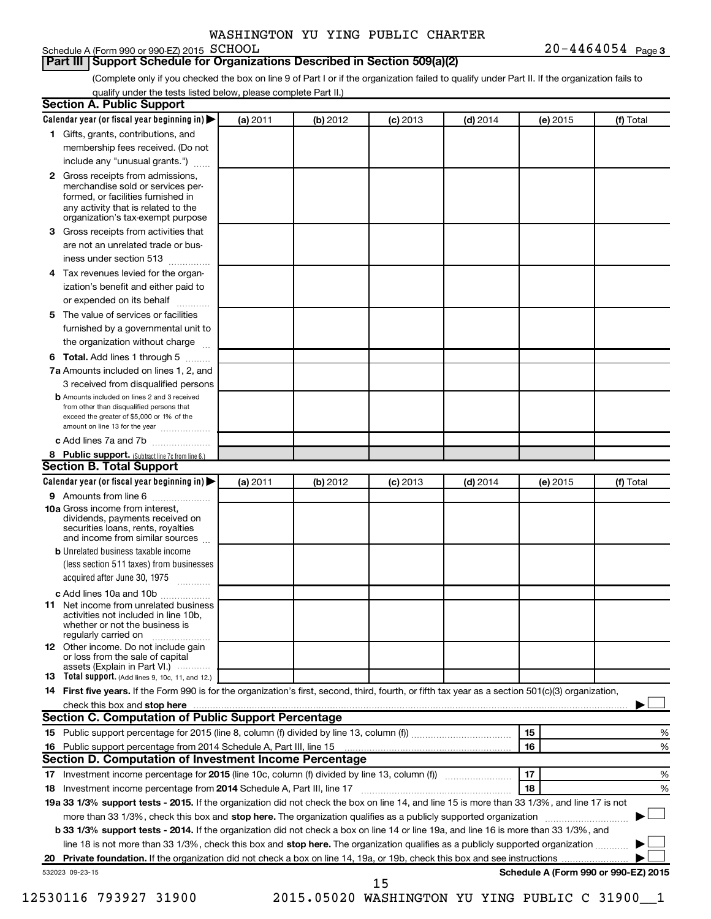#### **Part III Support Schedule for Organizations Described in Section 509(a)(2)**

(Complete only if you checked the box on line 9 of Part I or if the organization failed to qualify under Part II. If the organization fails to qualify under the tests listed below, please complete Part II.)

|    | Calendar year (or fiscal year beginning in)                                                                                                                                      | (a) 2011 | (b) 2012 | $(c)$ 2013 | $(d)$ 2014                                     |    | (e) 2015 | (f) Total                            |
|----|----------------------------------------------------------------------------------------------------------------------------------------------------------------------------------|----------|----------|------------|------------------------------------------------|----|----------|--------------------------------------|
|    | 1 Gifts, grants, contributions, and                                                                                                                                              |          |          |            |                                                |    |          |                                      |
|    | membership fees received. (Do not                                                                                                                                                |          |          |            |                                                |    |          |                                      |
|    | include any "unusual grants.")                                                                                                                                                   |          |          |            |                                                |    |          |                                      |
|    | 2 Gross receipts from admissions,<br>merchandise sold or services per-<br>formed, or facilities furnished in<br>any activity that is related to the                              |          |          |            |                                                |    |          |                                      |
|    | organization's tax-exempt purpose                                                                                                                                                |          |          |            |                                                |    |          |                                      |
| 3. | Gross receipts from activities that                                                                                                                                              |          |          |            |                                                |    |          |                                      |
|    | are not an unrelated trade or bus-                                                                                                                                               |          |          |            |                                                |    |          |                                      |
|    | iness under section 513                                                                                                                                                          |          |          |            |                                                |    |          |                                      |
| 4  | Tax revenues levied for the organ-                                                                                                                                               |          |          |            |                                                |    |          |                                      |
|    | ization's benefit and either paid to<br>or expended on its behalf<br>.                                                                                                           |          |          |            |                                                |    |          |                                      |
| 5. | The value of services or facilities                                                                                                                                              |          |          |            |                                                |    |          |                                      |
|    | furnished by a governmental unit to                                                                                                                                              |          |          |            |                                                |    |          |                                      |
|    | the organization without charge                                                                                                                                                  |          |          |            |                                                |    |          |                                      |
| 6  | Total. Add lines 1 through 5                                                                                                                                                     |          |          |            |                                                |    |          |                                      |
|    | 7a Amounts included on lines 1, 2, and                                                                                                                                           |          |          |            |                                                |    |          |                                      |
|    | 3 received from disqualified persons                                                                                                                                             |          |          |            |                                                |    |          |                                      |
|    | <b>b</b> Amounts included on lines 2 and 3 received<br>from other than disqualified persons that<br>exceed the greater of \$5,000 or 1% of the<br>amount on line 13 for the year |          |          |            |                                                |    |          |                                      |
|    | c Add lines 7a and 7b                                                                                                                                                            |          |          |            |                                                |    |          |                                      |
|    | 8 Public support. (Subtract line 7c from line 6.)                                                                                                                                |          |          |            |                                                |    |          |                                      |
|    | <b>Section B. Total Support</b>                                                                                                                                                  |          |          |            |                                                |    |          |                                      |
|    | Calendar year (or fiscal year beginning in)                                                                                                                                      | (a) 2011 | (b) 2012 | $(c)$ 2013 | $(d)$ 2014                                     |    | (e) 2015 | (f) Total                            |
|    | 9 Amounts from line 6                                                                                                                                                            |          |          |            |                                                |    |          |                                      |
|    | <b>10a</b> Gross income from interest,<br>dividends, payments received on<br>securities loans, rents, royalties<br>and income from similar sources                               |          |          |            |                                                |    |          |                                      |
|    | <b>b</b> Unrelated business taxable income                                                                                                                                       |          |          |            |                                                |    |          |                                      |
|    | (less section 511 taxes) from businesses<br>acquired after June 30, 1975                                                                                                         |          |          |            |                                                |    |          |                                      |
|    | c Add lines 10a and 10b                                                                                                                                                          |          |          |            |                                                |    |          |                                      |
| 11 | Net income from unrelated business<br>activities not included in line 10b.<br>whether or not the business is<br>regularly carried on                                             |          |          |            |                                                |    |          |                                      |
|    | <b>12</b> Other income. Do not include gain<br>or loss from the sale of capital                                                                                                  |          |          |            |                                                |    |          |                                      |
|    | assets (Explain in Part VI.)<br><b>13</b> Total support. (Add lines 9, 10c, 11, and 12.)                                                                                         |          |          |            |                                                |    |          |                                      |
|    | 14 First five years. If the Form 990 is for the organization's first, second, third, fourth, or fifth tax year as a section 501(c)(3) organization,                              |          |          |            |                                                |    |          |                                      |
|    | check this box and stop here <b>contained and the contained and starting and stop here</b> check this box and stop here                                                          |          |          |            |                                                |    |          |                                      |
|    | Section C. Computation of Public Support Percentage                                                                                                                              |          |          |            |                                                |    |          |                                      |
|    |                                                                                                                                                                                  |          |          |            |                                                | 15 |          | %                                    |
|    |                                                                                                                                                                                  |          |          |            |                                                | 16 |          | %                                    |
|    | Section D. Computation of Investment Income Percentage                                                                                                                           |          |          |            |                                                |    |          |                                      |
|    |                                                                                                                                                                                  |          |          |            |                                                | 17 |          | %                                    |
|    |                                                                                                                                                                                  |          |          |            |                                                | 18 |          | %                                    |
|    | 19a 33 1/3% support tests - 2015. If the organization did not check the box on line 14, and line 15 is more than 33 1/3%, and line 17 is not                                     |          |          |            |                                                |    |          |                                      |
|    |                                                                                                                                                                                  |          |          |            |                                                |    |          |                                      |
|    | more than 33 1/3%, check this box and stop here. The organization qualifies as a publicly supported organization <i>marroummanness</i>                                           |          |          |            |                                                |    |          |                                      |
|    | b 33 1/3% support tests - 2014. If the organization did not check a box on line 14 or line 19a, and line 16 is more than 33 1/3%, and                                            |          |          |            |                                                |    |          |                                      |
|    | line 18 is not more than 33 1/3%, check this box and stop here. The organization qualifies as a publicly supported organization                                                  |          |          |            |                                                |    |          |                                      |
|    |                                                                                                                                                                                  |          |          |            |                                                |    |          |                                      |
|    | 532023 09-23-15                                                                                                                                                                  |          |          | 15         |                                                |    |          | Schedule A (Form 990 or 990-EZ) 2015 |
|    | 12530116 793927 31900                                                                                                                                                            |          |          |            |                                                |    |          |                                      |
|    |                                                                                                                                                                                  |          |          |            | 2015.05020 WASHINGTON YU YING PUBLIC C 31900 1 |    |          |                                      |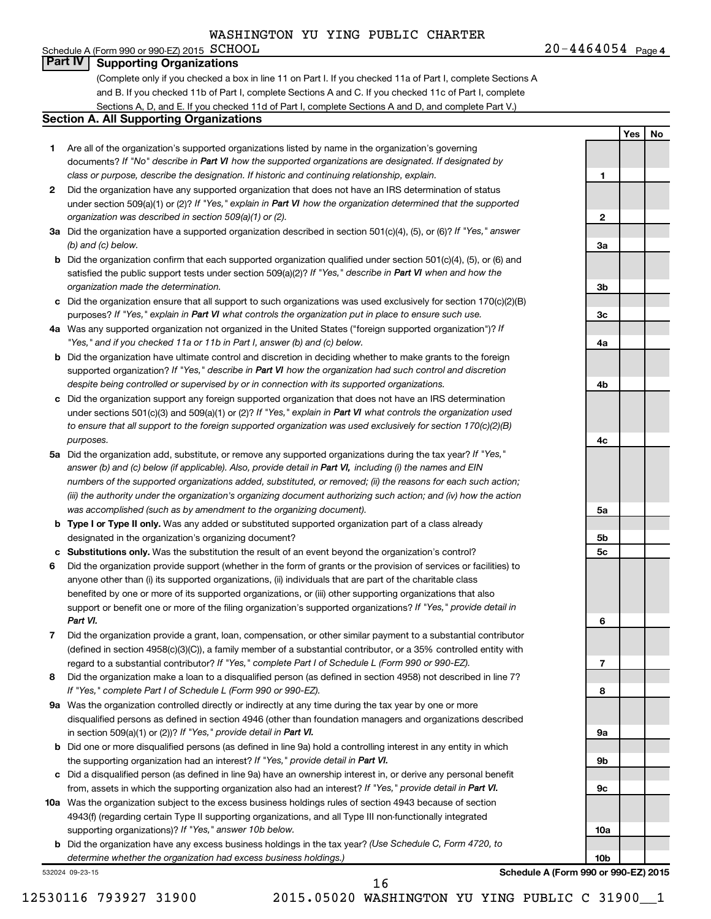#### Schedule A (Form 990 or 990-EZ) 2015  $SCHOOL$ **Part IV Supporting Organizations**

(Complete only if you checked a box in line 11 on Part I. If you checked 11a of Part I, complete Sections A and B. If you checked 11b of Part I, complete Sections A and C. If you checked 11c of Part I, complete Sections A, D, and E. If you checked 11d of Part I, complete Sections A and D, and complete Part V.)

#### **Section A. All Supporting Organizations**

- **1** Are all of the organization's supported organizations listed by name in the organization's governing documents? If "No" describe in Part VI how the supported organizations are designated. If designated by *class or purpose, describe the designation. If historic and continuing relationship, explain.*
- **2** Did the organization have any supported organization that does not have an IRS determination of status under section 509(a)(1) or (2)? If "Yes," explain in Part VI how the organization determined that the supported *organization was described in section 509(a)(1) or (2).*
- **3a** Did the organization have a supported organization described in section 501(c)(4), (5), or (6)? If "Yes," answer *(b) and (c) below.*
- **b** Did the organization confirm that each supported organization qualified under section 501(c)(4), (5), or (6) and satisfied the public support tests under section 509(a)(2)? If "Yes," describe in Part VI when and how the *organization made the determination.*
- **c** Did the organization ensure that all support to such organizations was used exclusively for section 170(c)(2)(B) purposes? If "Yes," explain in Part VI what controls the organization put in place to ensure such use.
- **4 a** *If* Was any supported organization not organized in the United States ("foreign supported organization")? *"Yes," and if you checked 11a or 11b in Part I, answer (b) and (c) below.*
- **b** Did the organization have ultimate control and discretion in deciding whether to make grants to the foreign supported organization? If "Yes," describe in Part VI how the organization had such control and discretion *despite being controlled or supervised by or in connection with its supported organizations.*
- **c** Did the organization support any foreign supported organization that does not have an IRS determination under sections 501(c)(3) and 509(a)(1) or (2)? If "Yes," explain in Part VI what controls the organization used *to ensure that all support to the foreign supported organization was used exclusively for section 170(c)(2)(B) purposes.*
- **5a** Did the organization add, substitute, or remove any supported organizations during the tax year? If "Yes," answer (b) and (c) below (if applicable). Also, provide detail in Part VI, including (i) the names and EIN *numbers of the supported organizations added, substituted, or removed; (ii) the reasons for each such action; (iii) the authority under the organization's organizing document authorizing such action; and (iv) how the action was accomplished (such as by amendment to the organizing document).*
- **b** Type I or Type II only. Was any added or substituted supported organization part of a class already designated in the organization's organizing document?
- **c Substitutions only.**  Was the substitution the result of an event beyond the organization's control?
- **6** Did the organization provide support (whether in the form of grants or the provision of services or facilities) to support or benefit one or more of the filing organization's supported organizations? If "Yes," provide detail in anyone other than (i) its supported organizations, (ii) individuals that are part of the charitable class benefited by one or more of its supported organizations, or (iii) other supporting organizations that also *Part VI.*
- **7** Did the organization provide a grant, loan, compensation, or other similar payment to a substantial contributor regard to a substantial contributor? If "Yes," complete Part I of Schedule L (Form 990 or 990-EZ). (defined in section 4958(c)(3)(C)), a family member of a substantial contributor, or a 35% controlled entity with
- **8** Did the organization make a loan to a disqualified person (as defined in section 4958) not described in line 7? *If "Yes," complete Part I of Schedule L (Form 990 or 990-EZ).*
- **9 a** Was the organization controlled directly or indirectly at any time during the tax year by one or more in section 509(a)(1) or (2))? If "Yes," provide detail in Part VI. disqualified persons as defined in section 4946 (other than foundation managers and organizations described
- **b** Did one or more disqualified persons (as defined in line 9a) hold a controlling interest in any entity in which the supporting organization had an interest? If "Yes," provide detail in Part VI.
- **c** Did a disqualified person (as defined in line 9a) have an ownership interest in, or derive any personal benefit from, assets in which the supporting organization also had an interest? If "Yes," provide detail in Part VI.
- **10 a** Was the organization subject to the excess business holdings rules of section 4943 because of section supporting organizations)? If "Yes," answer 10b below. 4943(f) (regarding certain Type II supporting organizations, and all Type III non-functionally integrated
	- **b** Did the organization have any excess business holdings in the tax year? (Use Schedule C, Form 4720, to *determine whether the organization had excess business holdings.)*

532024 09-23-15

**Yes No 1 2 3a 3b 3c 4a 4b 4c 5a 5b 5c 6 7 8 9a 9b 9c**

**Schedule A (Form 990 or 990-EZ) 2015**

**10a**

**10b**

16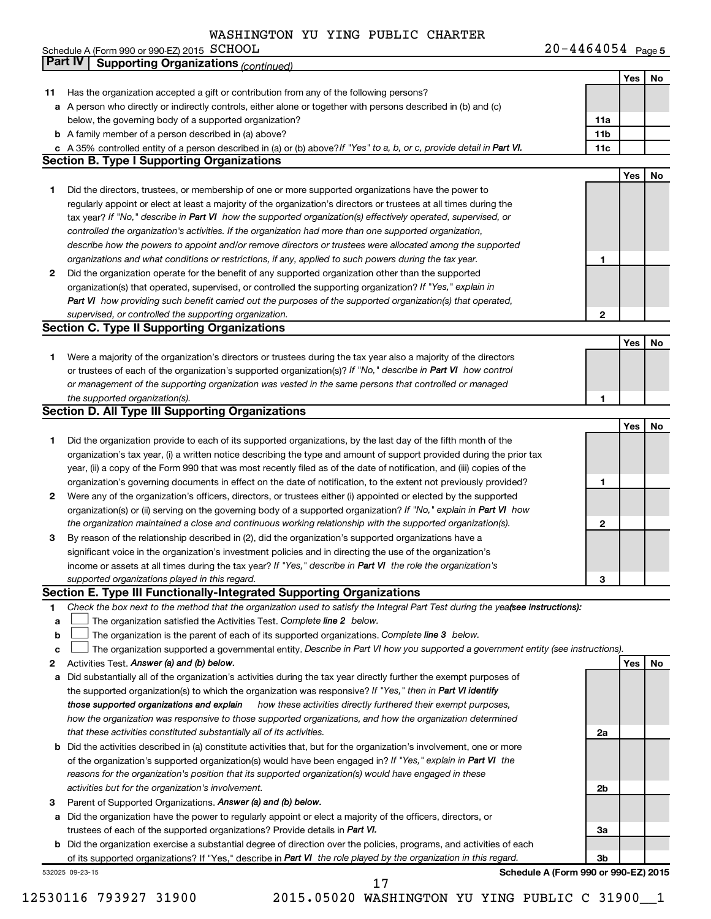|              | Schedule A (Form 990 or 990-EZ) 2015 SCHOOL                                                                                                                                                                                      | $20 - 4464054$ Page 5 |     |           |
|--------------|----------------------------------------------------------------------------------------------------------------------------------------------------------------------------------------------------------------------------------|-----------------------|-----|-----------|
|              | <b>Part IV</b><br><b>Supporting Organizations (continued)</b>                                                                                                                                                                    |                       |     |           |
|              |                                                                                                                                                                                                                                  |                       | Yes | No        |
| 11           | Has the organization accepted a gift or contribution from any of the following persons?                                                                                                                                          |                       |     |           |
|              | a A person who directly or indirectly controls, either alone or together with persons described in (b) and (c)                                                                                                                   |                       |     |           |
|              | below, the governing body of a supported organization?                                                                                                                                                                           | 11a                   |     |           |
|              | <b>b</b> A family member of a person described in (a) above?                                                                                                                                                                     | 11b                   |     |           |
|              | c A 35% controlled entity of a person described in (a) or (b) above? If "Yes" to a, b, or c, provide detail in Part VI.                                                                                                          | 11c                   |     |           |
|              | <b>Section B. Type I Supporting Organizations</b>                                                                                                                                                                                |                       |     |           |
|              |                                                                                                                                                                                                                                  |                       | Yes | <b>No</b> |
| 1.           | Did the directors, trustees, or membership of one or more supported organizations have the power to                                                                                                                              |                       |     |           |
|              | regularly appoint or elect at least a majority of the organization's directors or trustees at all times during the                                                                                                               |                       |     |           |
|              | tax year? If "No," describe in Part VI how the supported organization(s) effectively operated, supervised, or                                                                                                                    |                       |     |           |
|              | controlled the organization's activities. If the organization had more than one supported organization,                                                                                                                          |                       |     |           |
|              | describe how the powers to appoint and/or remove directors or trustees were allocated among the supported                                                                                                                        |                       |     |           |
|              | organizations and what conditions or restrictions, if any, applied to such powers during the tax year.                                                                                                                           | 1                     |     |           |
| $\mathbf{2}$ | Did the organization operate for the benefit of any supported organization other than the supported                                                                                                                              |                       |     |           |
|              | organization(s) that operated, supervised, or controlled the supporting organization? If "Yes," explain in                                                                                                                       |                       |     |           |
|              | Part VI how providing such benefit carried out the purposes of the supported organization(s) that operated,                                                                                                                      |                       |     |           |
|              | supervised, or controlled the supporting organization.<br><b>Section C. Type II Supporting Organizations</b>                                                                                                                     | 2                     |     |           |
|              |                                                                                                                                                                                                                                  |                       | Yes | No        |
| 1.           | Were a majority of the organization's directors or trustees during the tax year also a majority of the directors                                                                                                                 |                       |     |           |
|              | or trustees of each of the organization's supported organization(s)? If "No," describe in Part VI how control                                                                                                                    |                       |     |           |
|              | or management of the supporting organization was vested in the same persons that controlled or managed                                                                                                                           |                       |     |           |
|              | the supported organization(s).                                                                                                                                                                                                   | 1                     |     |           |
|              | <b>Section D. All Type III Supporting Organizations</b>                                                                                                                                                                          |                       |     |           |
|              |                                                                                                                                                                                                                                  |                       | Yes | No        |
| 1.           | Did the organization provide to each of its supported organizations, by the last day of the fifth month of the                                                                                                                   |                       |     |           |
|              | organization's tax year, (i) a written notice describing the type and amount of support provided during the prior tax                                                                                                            |                       |     |           |
|              | year, (ii) a copy of the Form 990 that was most recently filed as of the date of notification, and (iii) copies of the                                                                                                           |                       |     |           |
|              | organization's governing documents in effect on the date of notification, to the extent not previously provided?                                                                                                                 | 1                     |     |           |
| $\mathbf{2}$ | Were any of the organization's officers, directors, or trustees either (i) appointed or elected by the supported                                                                                                                 |                       |     |           |
|              | organization(s) or (ii) serving on the governing body of a supported organization? If "No," explain in Part VI how                                                                                                               |                       |     |           |
|              | the organization maintained a close and continuous working relationship with the supported organization(s).                                                                                                                      | 2                     |     |           |
| 3            | By reason of the relationship described in (2), did the organization's supported organizations have a                                                                                                                            |                       |     |           |
|              | significant voice in the organization's investment policies and in directing the use of the organization's                                                                                                                       |                       |     |           |
|              | income or assets at all times during the tax year? If "Yes," describe in Part VI the role the organization's                                                                                                                     |                       |     |           |
|              | supported organizations played in this regard.                                                                                                                                                                                   | 3                     |     |           |
|              | Section E. Type III Functionally-Integrated Supporting Organizations                                                                                                                                                             |                       |     |           |
| 1.           | Check the box next to the method that the organization used to satisfy the Integral Part Test during the yeafsee instructions):                                                                                                  |                       |     |           |
| a            | The organization satisfied the Activities Test. Complete line 2 below.                                                                                                                                                           |                       |     |           |
| b<br>с       | The organization is the parent of each of its supported organizations. Complete line 3 below.<br>The organization supported a governmental entity. Describe in Part VI how you supported a government entity (see instructions). |                       |     |           |
| 2            | Activities Test. Answer (a) and (b) below.                                                                                                                                                                                       |                       | Yes | No        |
| а            | Did substantially all of the organization's activities during the tax year directly further the exempt purposes of                                                                                                               |                       |     |           |
|              | the supported organization(s) to which the organization was responsive? If "Yes," then in Part VI identify                                                                                                                       |                       |     |           |
|              | those supported organizations and explain<br>how these activities directly furthered their exempt purposes,                                                                                                                      |                       |     |           |
|              | how the organization was responsive to those supported organizations, and how the organization determined                                                                                                                        |                       |     |           |
|              | that these activities constituted substantially all of its activities.                                                                                                                                                           | 2a                    |     |           |
| b            | Did the activities described in (a) constitute activities that, but for the organization's involvement, one or more                                                                                                              |                       |     |           |
|              | of the organization's supported organization(s) would have been engaged in? If "Yes," explain in Part VI the                                                                                                                     |                       |     |           |
|              | reasons for the organization's position that its supported organization(s) would have engaged in these                                                                                                                           |                       |     |           |
|              | activities but for the organization's involvement.                                                                                                                                                                               | 2 <sub>b</sub>        |     |           |
| 3            | Parent of Supported Organizations. Answer (a) and (b) below.                                                                                                                                                                     |                       |     |           |
| a            | Did the organization have the power to regularly appoint or elect a majority of the officers, directors, or                                                                                                                      |                       |     |           |
|              | trustees of each of the supported organizations? Provide details in Part VI.                                                                                                                                                     | За                    |     |           |
| b            | Did the organization exercise a substantial degree of direction over the policies, programs, and activities of each                                                                                                              |                       |     |           |
|              | of its supported organizations? If "Yes," describe in Part VI the role played by the organization in this regard.                                                                                                                | 3b                    |     |           |

532025 09-23-15

**Schedule A (Form 990 or 990-EZ) 2015**

17

12530116 793927 31900 2015.05020 WASHINGTON YU YING PUBLIC C 31900\_\_1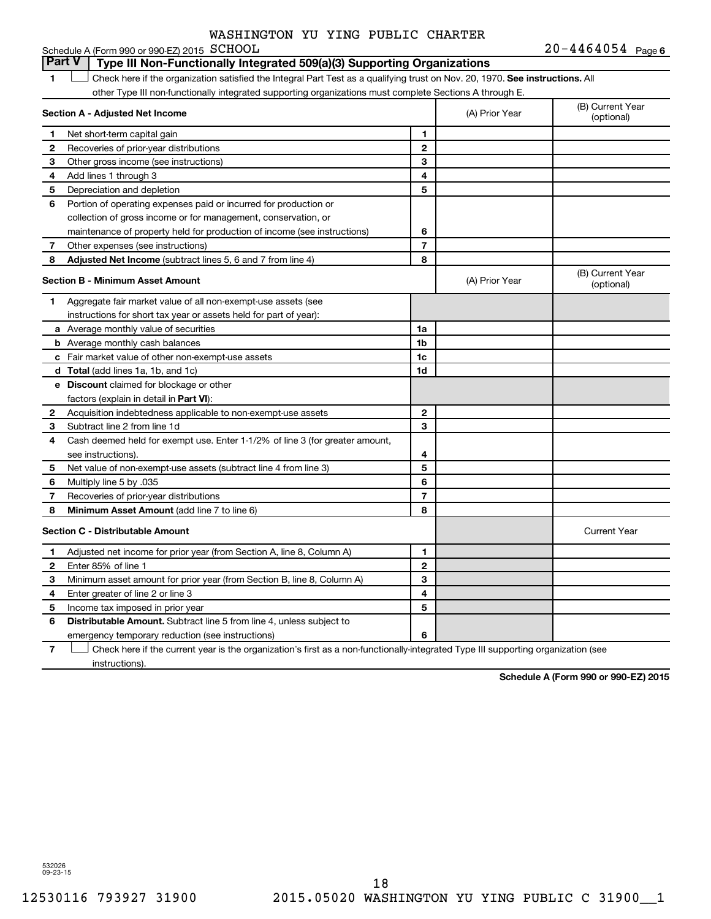**6**  $20 - 4464054$ 

|              | Schedule A (Form 990 or 990-EZ) 2015 SCHOOL                                                                                   |                |                | $20 - 4404034$ Page 6          |
|--------------|-------------------------------------------------------------------------------------------------------------------------------|----------------|----------------|--------------------------------|
|              | <b>Part V</b><br>Type III Non-Functionally Integrated 509(a)(3) Supporting Organizations                                      |                |                |                                |
| 1            | Check here if the organization satisfied the Integral Part Test as a qualifying trust on Nov. 20, 1970. See instructions. All |                |                |                                |
|              | other Type III non-functionally integrated supporting organizations must complete Sections A through E.                       |                |                |                                |
|              | Section A - Adjusted Net Income                                                                                               |                | (A) Prior Year | (B) Current Year<br>(optional) |
| 1            | Net short-term capital gain                                                                                                   | 1              |                |                                |
| $\mathbf{2}$ | Recoveries of prior-year distributions                                                                                        | $\mathbf{2}$   |                |                                |
| 3            | Other gross income (see instructions)                                                                                         | 3              |                |                                |
| 4            | Add lines 1 through 3                                                                                                         | 4              |                |                                |
| 5            | Depreciation and depletion                                                                                                    | 5              |                |                                |
| 6            | Portion of operating expenses paid or incurred for production or                                                              |                |                |                                |
|              | collection of gross income or for management, conservation, or                                                                |                |                |                                |
|              | maintenance of property held for production of income (see instructions)                                                      | 6              |                |                                |
| 7            | Other expenses (see instructions)                                                                                             | $\overline{7}$ |                |                                |
| 8            | Adjusted Net Income (subtract lines 5, 6 and 7 from line 4)                                                                   | 8              |                |                                |
|              | <b>Section B - Minimum Asset Amount</b>                                                                                       |                | (A) Prior Year | (B) Current Year<br>(optional) |
| 1            | Aggregate fair market value of all non-exempt-use assets (see                                                                 |                |                |                                |
|              | instructions for short tax year or assets held for part of year):                                                             |                |                |                                |
|              | <b>a</b> Average monthly value of securities                                                                                  | 1a             |                |                                |
|              | <b>b</b> Average monthly cash balances                                                                                        | 1 <sub>b</sub> |                |                                |
|              | c Fair market value of other non-exempt-use assets                                                                            | 1c             |                |                                |
|              | <b>d</b> Total (add lines 1a, 1b, and 1c)                                                                                     | 1d             |                |                                |
|              | e Discount claimed for blockage or other                                                                                      |                |                |                                |
|              | factors (explain in detail in Part VI):                                                                                       |                |                |                                |
| 2            | Acquisition indebtedness applicable to non-exempt-use assets                                                                  | $\mathbf{2}$   |                |                                |
| 3            | Subtract line 2 from line 1d                                                                                                  | 3              |                |                                |
| 4            | Cash deemed held for exempt use. Enter 1-1/2% of line 3 (for greater amount,                                                  |                |                |                                |
|              | see instructions).                                                                                                            | 4              |                |                                |
| 5            | Net value of non-exempt-use assets (subtract line 4 from line 3)                                                              | 5              |                |                                |
| 6            | Multiply line 5 by .035                                                                                                       | 6              |                |                                |
| 7            | Recoveries of prior-year distributions                                                                                        | $\overline{7}$ |                |                                |
| 8            | <b>Minimum Asset Amount (add line 7 to line 6)</b>                                                                            | 8              |                |                                |
|              | <b>Section C - Distributable Amount</b>                                                                                       |                |                | <b>Current Year</b>            |
| 1            | Adjusted net income for prior year (from Section A, line 8, Column A)                                                         | 1              |                |                                |
| $\mathbf{2}$ | Enter 85% of line 1                                                                                                           | $\mathbf{2}$   |                |                                |
| 3            | Minimum asset amount for prior year (from Section B, line 8, Column A)                                                        | 3              |                |                                |
| 4            | Enter greater of line 2 or line 3                                                                                             | 4              |                |                                |
| 5            | Income tax imposed in prior year                                                                                              | 5              |                |                                |
| 6            | <b>Distributable Amount.</b> Subtract line 5 from line 4, unless subject to                                                   |                |                |                                |
|              | emergency temporary reduction (see instructions)                                                                              | 6              |                |                                |

**7** Let Check here if the current year is the organization's first as a non-functionally-integrated Type III supporting organization (see instructions).

**Schedule A (Form 990 or 990-EZ) 2015**

532026 09-23-15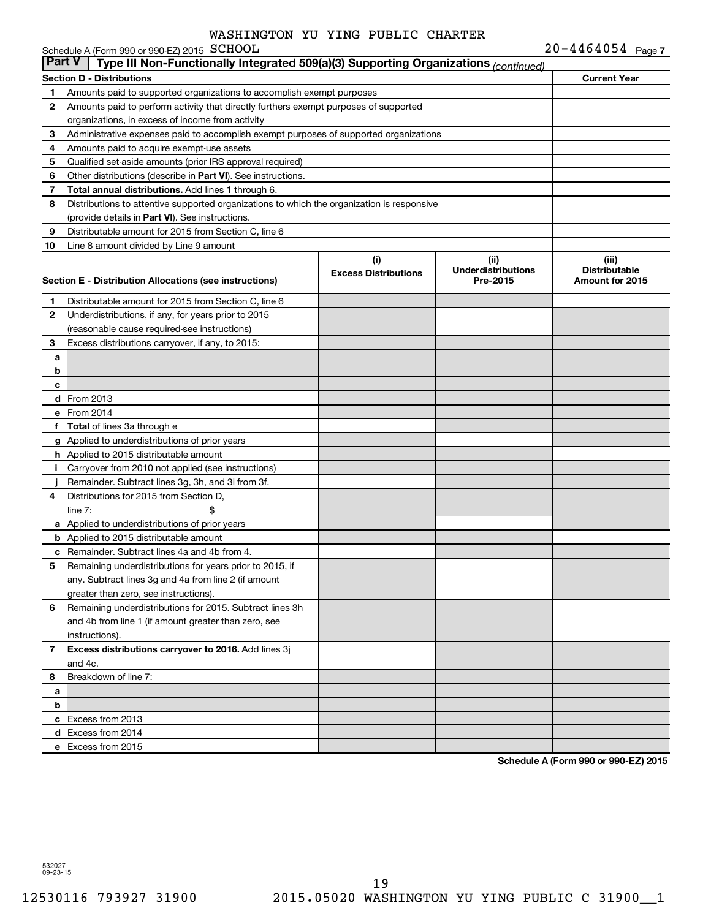|               | Schedule A (Form 990 or 990-EZ) 2015 SCHOOL                                                |                                    |                                               | $20 - 4464054$ Page 7                            |  |  |
|---------------|--------------------------------------------------------------------------------------------|------------------------------------|-----------------------------------------------|--------------------------------------------------|--|--|
| <b>Part V</b> | Type III Non-Functionally Integrated 509(a)(3) Supporting Organizations (continued)        |                                    |                                               |                                                  |  |  |
|               | <b>Section D - Distributions</b>                                                           |                                    |                                               | <b>Current Year</b>                              |  |  |
| 1             | Amounts paid to supported organizations to accomplish exempt purposes                      |                                    |                                               |                                                  |  |  |
| 2             | Amounts paid to perform activity that directly furthers exempt purposes of supported       |                                    |                                               |                                                  |  |  |
|               | organizations, in excess of income from activity                                           |                                    |                                               |                                                  |  |  |
| 3             | Administrative expenses paid to accomplish exempt purposes of supported organizations      |                                    |                                               |                                                  |  |  |
| 4             | Amounts paid to acquire exempt-use assets                                                  |                                    |                                               |                                                  |  |  |
| 5             | Qualified set-aside amounts (prior IRS approval required)                                  |                                    |                                               |                                                  |  |  |
| 6             | Other distributions (describe in Part VI). See instructions.                               |                                    |                                               |                                                  |  |  |
| 7             | Total annual distributions. Add lines 1 through 6.                                         |                                    |                                               |                                                  |  |  |
| 8             | Distributions to attentive supported organizations to which the organization is responsive |                                    |                                               |                                                  |  |  |
|               | (provide details in Part VI). See instructions.                                            |                                    |                                               |                                                  |  |  |
| 9             | Distributable amount for 2015 from Section C, line 6                                       |                                    |                                               |                                                  |  |  |
| 10            | Line 8 amount divided by Line 9 amount                                                     |                                    |                                               |                                                  |  |  |
|               | Section E - Distribution Allocations (see instructions)                                    | (i)<br><b>Excess Distributions</b> | (ii)<br><b>Underdistributions</b><br>Pre-2015 | (iii)<br><b>Distributable</b><br>Amount for 2015 |  |  |
| 1             | Distributable amount for 2015 from Section C, line 6                                       |                                    |                                               |                                                  |  |  |
| $\mathbf{2}$  | Underdistributions, if any, for years prior to 2015                                        |                                    |                                               |                                                  |  |  |
|               | (reasonable cause required-see instructions)                                               |                                    |                                               |                                                  |  |  |
| 3             | Excess distributions carryover, if any, to 2015:                                           |                                    |                                               |                                                  |  |  |
| a             |                                                                                            |                                    |                                               |                                                  |  |  |
| b             |                                                                                            |                                    |                                               |                                                  |  |  |
| c             |                                                                                            |                                    |                                               |                                                  |  |  |
|               | d From 2013                                                                                |                                    |                                               |                                                  |  |  |
|               | e From 2014                                                                                |                                    |                                               |                                                  |  |  |
|               | f Total of lines 3a through e                                                              |                                    |                                               |                                                  |  |  |
|               | g Applied to underdistributions of prior years                                             |                                    |                                               |                                                  |  |  |
|               | <b>h</b> Applied to 2015 distributable amount                                              |                                    |                                               |                                                  |  |  |
| j.            | Carryover from 2010 not applied (see instructions)                                         |                                    |                                               |                                                  |  |  |
|               | Remainder. Subtract lines 3g, 3h, and 3i from 3f.                                          |                                    |                                               |                                                  |  |  |
| 4             | Distributions for 2015 from Section D,                                                     |                                    |                                               |                                                  |  |  |
|               | \$<br>line $7:$                                                                            |                                    |                                               |                                                  |  |  |
|               | a Applied to underdistributions of prior years                                             |                                    |                                               |                                                  |  |  |
|               | <b>b</b> Applied to 2015 distributable amount                                              |                                    |                                               |                                                  |  |  |
|               | <b>c</b> Remainder. Subtract lines 4a and 4b from 4.                                       |                                    |                                               |                                                  |  |  |
| 5             | Remaining underdistributions for years prior to 2015, if                                   |                                    |                                               |                                                  |  |  |
|               | any. Subtract lines 3g and 4a from line 2 (if amount                                       |                                    |                                               |                                                  |  |  |
|               | greater than zero, see instructions).                                                      |                                    |                                               |                                                  |  |  |
| 6             | Remaining underdistributions for 2015. Subtract lines 3h                                   |                                    |                                               |                                                  |  |  |
|               | and 4b from line 1 (if amount greater than zero, see                                       |                                    |                                               |                                                  |  |  |
|               | instructions).                                                                             |                                    |                                               |                                                  |  |  |
| $\mathbf{7}$  | Excess distributions carryover to 2016. Add lines 3j                                       |                                    |                                               |                                                  |  |  |
|               | and 4c.                                                                                    |                                    |                                               |                                                  |  |  |
| 8             | Breakdown of line 7:                                                                       |                                    |                                               |                                                  |  |  |
| a             |                                                                                            |                                    |                                               |                                                  |  |  |
| b             |                                                                                            |                                    |                                               |                                                  |  |  |
|               | c Excess from 2013                                                                         |                                    |                                               |                                                  |  |  |
|               | d Excess from 2014                                                                         |                                    |                                               |                                                  |  |  |
|               | e Excess from 2015                                                                         |                                    |                                               |                                                  |  |  |
|               |                                                                                            |                                    |                                               |                                                  |  |  |

**Schedule A (Form 990 or 990-EZ) 2015**

532027 09-23-15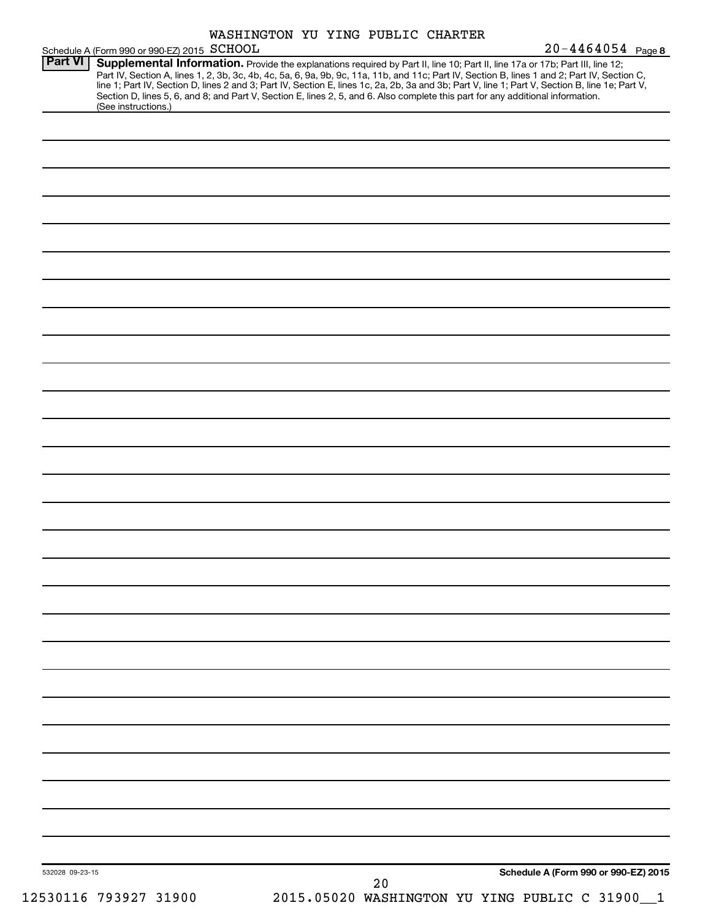| WASHINGTON YU YING PUBLIC CHARTER |  |  |
|-----------------------------------|--|--|
|                                   |  |  |

|                 | Schedule A (Form 990 or 990-EZ) 2015 SCHOOL                                                                                                                                                                                                                                                                                                                                                                                                                                                                                                                         |    |                                                | $20 - 4464054$ Page 8 |
|-----------------|---------------------------------------------------------------------------------------------------------------------------------------------------------------------------------------------------------------------------------------------------------------------------------------------------------------------------------------------------------------------------------------------------------------------------------------------------------------------------------------------------------------------------------------------------------------------|----|------------------------------------------------|-----------------------|
| <b>Part VI</b>  | Supplemental Information. Provide the explanations required by Part II, line 10; Part II, line 17a or 17b; Part III, line 12;<br>Part IV, Section A, lines 1, 2, 3b, 3c, 4b, 4c, 5a, 6, 9a, 9b, 9c, 11a, 11b, and 11c; Part IV, Section B, lines 1 and 2; Part IV, Section C,<br>line 1; Part IV, Section D, lines 2 and 3; Part IV, Section E, lines 1c, 2a, 2b, 3a and 3b; Part V, line 1; Part V, Section B, line 1e; Part V,<br>Section D, lines 5, 6, and 8; and Part V, Section E, lines 2, 5, and 6. Also complete this part for any additional information. |    |                                                |                       |
|                 | (See instructions.)                                                                                                                                                                                                                                                                                                                                                                                                                                                                                                                                                 |    |                                                |                       |
|                 |                                                                                                                                                                                                                                                                                                                                                                                                                                                                                                                                                                     |    |                                                |                       |
|                 |                                                                                                                                                                                                                                                                                                                                                                                                                                                                                                                                                                     |    |                                                |                       |
|                 |                                                                                                                                                                                                                                                                                                                                                                                                                                                                                                                                                                     |    |                                                |                       |
|                 |                                                                                                                                                                                                                                                                                                                                                                                                                                                                                                                                                                     |    |                                                |                       |
|                 |                                                                                                                                                                                                                                                                                                                                                                                                                                                                                                                                                                     |    |                                                |                       |
|                 |                                                                                                                                                                                                                                                                                                                                                                                                                                                                                                                                                                     |    |                                                |                       |
|                 |                                                                                                                                                                                                                                                                                                                                                                                                                                                                                                                                                                     |    |                                                |                       |
|                 |                                                                                                                                                                                                                                                                                                                                                                                                                                                                                                                                                                     |    |                                                |                       |
|                 |                                                                                                                                                                                                                                                                                                                                                                                                                                                                                                                                                                     |    |                                                |                       |
|                 |                                                                                                                                                                                                                                                                                                                                                                                                                                                                                                                                                                     |    |                                                |                       |
|                 |                                                                                                                                                                                                                                                                                                                                                                                                                                                                                                                                                                     |    |                                                |                       |
|                 |                                                                                                                                                                                                                                                                                                                                                                                                                                                                                                                                                                     |    |                                                |                       |
|                 |                                                                                                                                                                                                                                                                                                                                                                                                                                                                                                                                                                     |    |                                                |                       |
|                 |                                                                                                                                                                                                                                                                                                                                                                                                                                                                                                                                                                     |    |                                                |                       |
|                 |                                                                                                                                                                                                                                                                                                                                                                                                                                                                                                                                                                     |    |                                                |                       |
|                 |                                                                                                                                                                                                                                                                                                                                                                                                                                                                                                                                                                     |    |                                                |                       |
|                 |                                                                                                                                                                                                                                                                                                                                                                                                                                                                                                                                                                     |    |                                                |                       |
|                 |                                                                                                                                                                                                                                                                                                                                                                                                                                                                                                                                                                     |    |                                                |                       |
|                 |                                                                                                                                                                                                                                                                                                                                                                                                                                                                                                                                                                     |    |                                                |                       |
|                 |                                                                                                                                                                                                                                                                                                                                                                                                                                                                                                                                                                     |    |                                                |                       |
|                 |                                                                                                                                                                                                                                                                                                                                                                                                                                                                                                                                                                     |    |                                                |                       |
|                 |                                                                                                                                                                                                                                                                                                                                                                                                                                                                                                                                                                     |    |                                                |                       |
|                 |                                                                                                                                                                                                                                                                                                                                                                                                                                                                                                                                                                     |    |                                                |                       |
|                 |                                                                                                                                                                                                                                                                                                                                                                                                                                                                                                                                                                     |    |                                                |                       |
|                 |                                                                                                                                                                                                                                                                                                                                                                                                                                                                                                                                                                     |    |                                                |                       |
|                 |                                                                                                                                                                                                                                                                                                                                                                                                                                                                                                                                                                     |    |                                                |                       |
|                 |                                                                                                                                                                                                                                                                                                                                                                                                                                                                                                                                                                     |    |                                                |                       |
|                 |                                                                                                                                                                                                                                                                                                                                                                                                                                                                                                                                                                     |    |                                                |                       |
|                 |                                                                                                                                                                                                                                                                                                                                                                                                                                                                                                                                                                     |    |                                                |                       |
|                 |                                                                                                                                                                                                                                                                                                                                                                                                                                                                                                                                                                     |    |                                                |                       |
|                 |                                                                                                                                                                                                                                                                                                                                                                                                                                                                                                                                                                     |    |                                                |                       |
|                 |                                                                                                                                                                                                                                                                                                                                                                                                                                                                                                                                                                     |    |                                                |                       |
|                 |                                                                                                                                                                                                                                                                                                                                                                                                                                                                                                                                                                     |    |                                                |                       |
| 532028 09-23-15 |                                                                                                                                                                                                                                                                                                                                                                                                                                                                                                                                                                     | 20 | Schedule A (Form 990 or 990-EZ) 2015           |                       |
|                 | 12530116 793927 31900                                                                                                                                                                                                                                                                                                                                                                                                                                                                                                                                               |    | 2015.05020 WASHINGTON YU YING PUBLIC C 31900_1 |                       |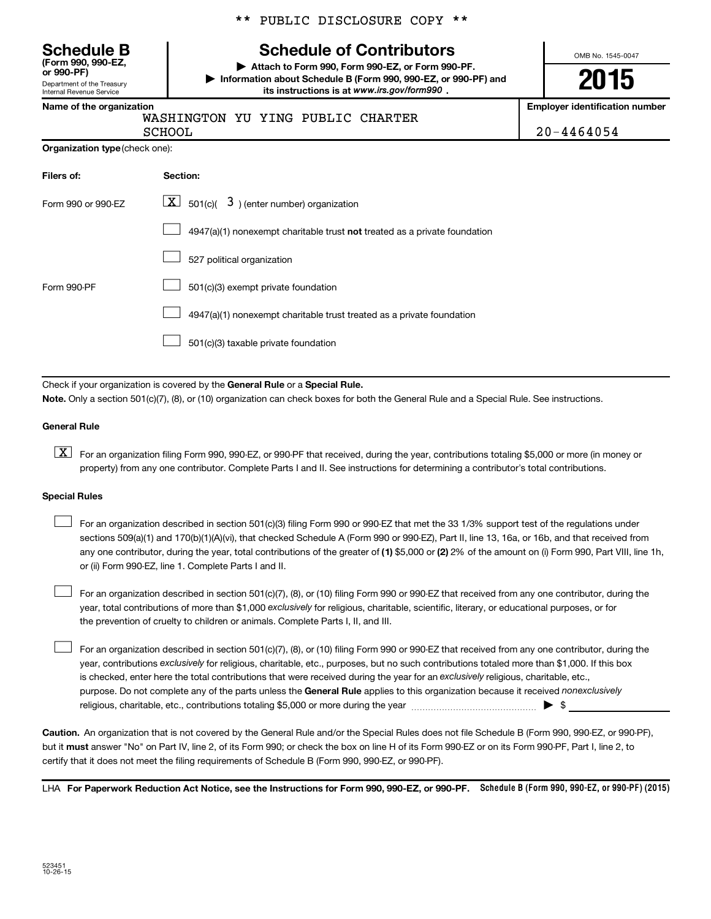\*\* PUBLIC DISCLOSURE COPY \*\*

# **Schedule B Schedule of Contributors**

**or 990-PF) | Attach to Form 990, Form 990-EZ, or Form 990-PF. | Information about Schedule B (Form 990, 990-EZ, or 990-PF) and** its instructions is at www.irs.gov/form990.

OMB No. 1545-0047

**2015**

**Employer identification number** 

|  | Name of the organization |  |
|--|--------------------------|--|

Department of the Treasury Internal Revenue Service

**(Form 990, 990-EZ,**

WASHINGTON YU YING PUBLIC CHARTER SCHOOL 20-4464054

| Organization type (check one): |  |  |
|--------------------------------|--|--|
|                                |  |  |

| Filers of:         | Section:                                                                  |
|--------------------|---------------------------------------------------------------------------|
| Form 990 or 990-EZ | $\lfloor \mathbf{X} \rfloor$ 501(c)( 3) (enter number) organization       |
|                    | 4947(a)(1) nonexempt charitable trust not treated as a private foundation |
|                    | 527 political organization                                                |
| Form 990-PF        | 501(c)(3) exempt private foundation                                       |
|                    | 4947(a)(1) nonexempt charitable trust treated as a private foundation     |
|                    | 501(c)(3) taxable private foundation                                      |

Check if your organization is covered by the General Rule or a Special Rule.

**Note.**  Only a section 501(c)(7), (8), or (10) organization can check boxes for both the General Rule and a Special Rule. See instructions.

#### **General Rule**

**K** For an organization filing Form 990, 990-EZ, or 990-PF that received, during the year, contributions totaling \$5,000 or more (in money or property) from any one contributor. Complete Parts I and II. See instructions for determining a contributor's total contributions.

#### **Special Rules**

 $\Box$ 

any one contributor, during the year, total contributions of the greater of **(1)** \$5,000 or **(2)** 2% of the amount on (i) Form 990, Part VIII, line 1h, For an organization described in section 501(c)(3) filing Form 990 or 990-EZ that met the 33 1/3% support test of the regulations under sections 509(a)(1) and 170(b)(1)(A)(vi), that checked Schedule A (Form 990 or 990-EZ), Part II, line 13, 16a, or 16b, and that received from or (ii) Form 990-EZ, line 1. Complete Parts I and II.  $\Box$ 

year, total contributions of more than \$1,000 *exclusively* for religious, charitable, scientific, literary, or educational purposes, or for For an organization described in section 501(c)(7), (8), or (10) filing Form 990 or 990-EZ that received from any one contributor, during the the prevention of cruelty to children or animals. Complete Parts I, II, and III.  $\Box$ 

purpose. Do not complete any of the parts unless the General Rule applies to this organization because it received nonexclusively year, contributions exclusively for religious, charitable, etc., purposes, but no such contributions totaled more than \$1,000. If this box is checked, enter here the total contributions that were received during the year for an exclusively religious, charitable, etc., For an organization described in section 501(c)(7), (8), or (10) filing Form 990 or 990-EZ that received from any one contributor, during the religious, charitable, etc., contributions totaling \$5,000 or more during the year  $\ldots$  $\ldots$  $\ldots$  $\ldots$  $\ldots$  $\ldots$ 

**Caution.** An organization that is not covered by the General Rule and/or the Special Rules does not file Schedule B (Form 990, 990-EZ, or 990-PF),  **must** but it answer "No" on Part IV, line 2, of its Form 990; or check the box on line H of its Form 990-EZ or on its Form 990-PF, Part I, line 2, to certify that it does not meet the filing requirements of Schedule B (Form 990, 990-EZ, or 990-PF).

LHA For Paperwork Reduction Act Notice, see the Instructions for Form 990, 990-EZ, or 990-PF. Schedule B (Form 990, 990-EZ, or 990-PF) (2015)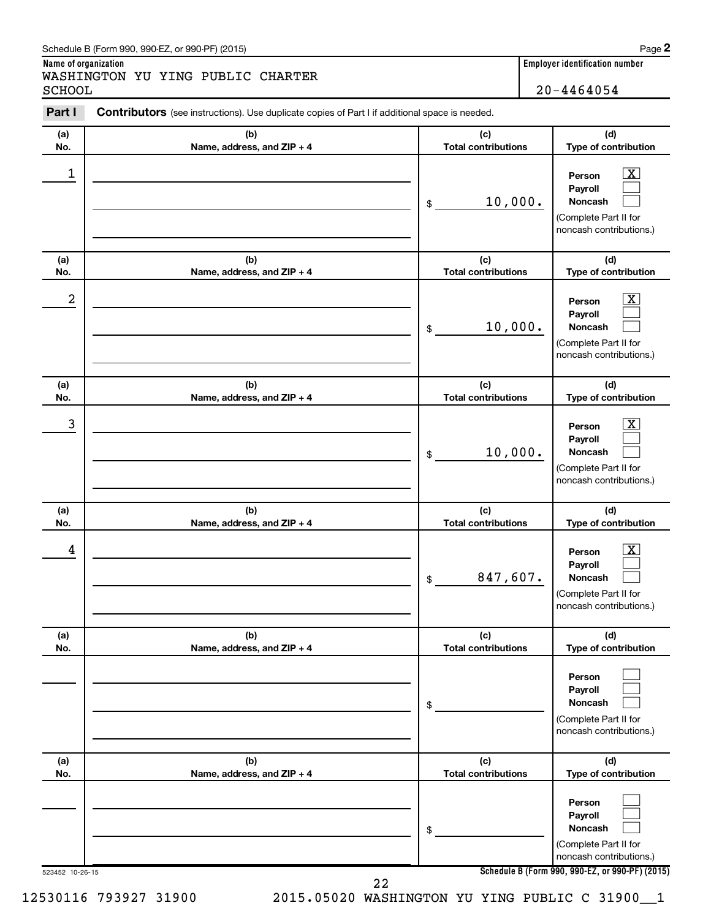#### Schedule B (Form 990, 990-EZ, or 990-PF) (2015)

**Name of organization Employer identification number** WASHINGTON YU YING PUBLIC CHARTER SCHOOL 20-4464054

| Part I          | Contributors (see instructions). Use duplicate copies of Part I if additional space is needed. |                                   |                                                                                                                                     |
|-----------------|------------------------------------------------------------------------------------------------|-----------------------------------|-------------------------------------------------------------------------------------------------------------------------------------|
| (a)<br>No.      | (b)<br>Name, address, and ZIP + 4                                                              | (c)<br><b>Total contributions</b> | (d)<br>Type of contribution                                                                                                         |
| 1               |                                                                                                | 10,000.<br>\$                     | $\overline{\mathbf{x}}$<br>Person<br>Payroll<br>Noncash<br>(Complete Part II for<br>noncash contributions.)                         |
| (a)<br>No.      | (b)<br>Name, address, and ZIP + 4                                                              | (c)<br><b>Total contributions</b> | (d)<br>Type of contribution                                                                                                         |
| 2               |                                                                                                | 10,000.<br>\$                     | $\overline{\mathbf{X}}$<br>Person<br>Payroll<br>Noncash<br>(Complete Part II for<br>noncash contributions.)                         |
| (a)<br>No.      | (b)<br>Name, address, and ZIP + 4                                                              | (c)<br><b>Total contributions</b> | (d)<br>Type of contribution                                                                                                         |
| 3               |                                                                                                | 10,000.<br>\$                     | $\overline{\mathbf{X}}$<br>Person<br>Payroll<br>Noncash<br>(Complete Part II for<br>noncash contributions.)                         |
| (a)<br>No.      | (b)<br>Name, address, and ZIP + 4                                                              | (c)<br><b>Total contributions</b> | (d)<br>Type of contribution                                                                                                         |
| 4               |                                                                                                | 847,607.<br>\$                    | $\overline{\mathbf{X}}$<br>Person<br>Payroll<br>Noncash<br>(Complete Part II for<br>noncash contributions.)                         |
| (a)<br>No.      | (b)<br>Name, address, and ZIP + 4                                                              | (c)<br><b>Total contributions</b> | (d)<br>Type of contribution                                                                                                         |
|                 |                                                                                                | \$                                | Person<br>Payroll<br>Noncash<br>(Complete Part II for<br>noncash contributions.)                                                    |
| (a)<br>No.      | (b)<br>Name, address, and ZIP + 4                                                              | (c)<br><b>Total contributions</b> | (d)<br>Type of contribution                                                                                                         |
| 523452 10-26-15 |                                                                                                | \$                                | Person<br>Payroll<br>Noncash<br>(Complete Part II for<br>noncash contributions.)<br>Schedule B (Form 990, 990-EZ, or 990-PF) (2015) |
|                 | 22                                                                                             |                                   |                                                                                                                                     |

12530116 793927 31900 2015.05020 WASHINGTON YU YING PUBLIC C 31900\_\_1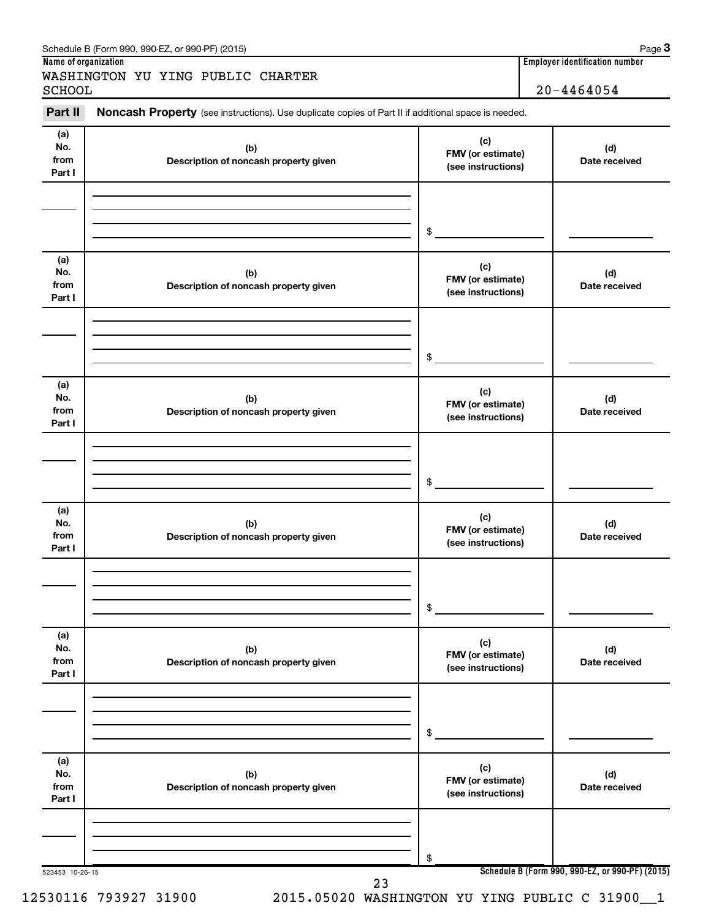| Schedule B (Form 990, 990-EZ, or 990-PF) (2015)                                                                       |                                       |
|-----------------------------------------------------------------------------------------------------------------------|---------------------------------------|
| Name of organization                                                                                                  | <b>Employer identification number</b> |
| WASHINGTON YU YING PUBLIC CHARTER<br>SCHOOL                                                                           | $20 - 4464054$                        |
| Part II<br><b>Noncash Property</b> (see instructions). Use duplicate copies of Part II if additional space is needed. |                                       |

| (a)<br>No.<br>from<br>Part I | (b)<br>Description of noncash property given | (c)<br>FMV (or estimate)<br>(see instructions)                                                  | (d)<br>Date received                            |
|------------------------------|----------------------------------------------|-------------------------------------------------------------------------------------------------|-------------------------------------------------|
|                              |                                              | $\begin{array}{c c} \updownarrow & \downarrow \\ \downarrow & \downarrow \\ \hline \end{array}$ |                                                 |
| (a)<br>No.<br>from<br>Part I | (b)<br>Description of noncash property given | (c)<br>FMV (or estimate)<br>(see instructions)                                                  | (d)<br>Date received                            |
|                              |                                              | $\begin{array}{c c} \updownarrow & \downarrow \\ \downarrow & \downarrow \\ \hline \end{array}$ |                                                 |
| (a)<br>No.<br>from<br>Part I | (b)<br>Description of noncash property given | (c)<br>FMV (or estimate)<br>(see instructions)                                                  | (d)<br>Date received                            |
|                              |                                              |                                                                                                 |                                                 |
| (a)<br>No.<br>from<br>Part I | (b)<br>Description of noncash property given | (c)<br>FMV (or estimate)<br>(see instructions)                                                  | (d)<br>Date received                            |
|                              |                                              | $\frac{1}{2}$                                                                                   |                                                 |
| (a)<br>No.<br>from<br>Part I | (b)<br>Description of noncash property given | (c)<br>FMV (or estimate)<br>(see instructions)                                                  | (d)<br>Date received                            |
|                              |                                              | \$                                                                                              |                                                 |
| (a)<br>No.<br>from<br>Part I | (b)<br>Description of noncash property given | (c)<br>FMV (or estimate)<br>(see instructions)                                                  | (d)<br>Date received                            |
|                              |                                              | \$                                                                                              |                                                 |
| 523453 10-26-15              | 23                                           |                                                                                                 | Schedule B (Form 990, 990-EZ, or 990-PF) (2015) |

Page 3<br> **Tumber**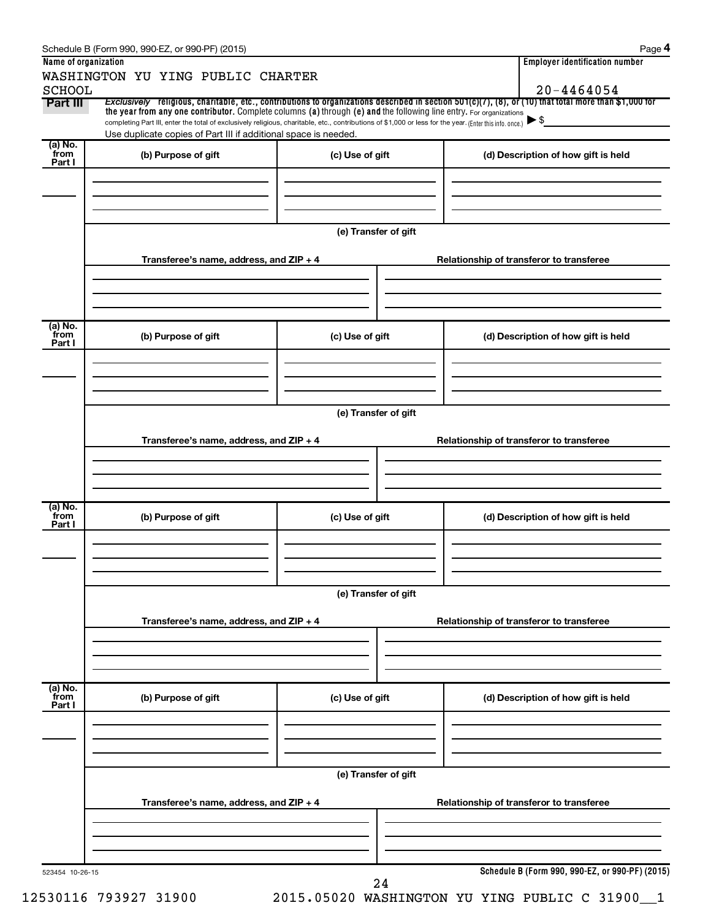|                 | WASHINGTON YU YING PUBLIC CHARTER                                                                                                                                                                                           |                      |                                                                                                                                                       |  |
|-----------------|-----------------------------------------------------------------------------------------------------------------------------------------------------------------------------------------------------------------------------|----------------------|-------------------------------------------------------------------------------------------------------------------------------------------------------|--|
| <b>SCHOOL</b>   |                                                                                                                                                                                                                             |                      | $20 - 4464054$                                                                                                                                        |  |
| Part III        | the year from any one contributor. Complete columns (a) through (e) and the following line entry. For organizations                                                                                                         |                      | Exclusively religious, charitable, etc., contributions to organizations described in section 501(c)(7), (8), or (10) that total more than \$1,000 for |  |
|                 | completing Part III, enter the total of exclusively religious, charitable, etc., contributions of \$1,000 or less for the year. (Enter this info. once.)<br>Use duplicate copies of Part III if additional space is needed. |                      | $\blacktriangleright$ \$                                                                                                                              |  |
| (a) No.         |                                                                                                                                                                                                                             |                      |                                                                                                                                                       |  |
| from<br>Part I  | (b) Purpose of gift                                                                                                                                                                                                         | (c) Use of gift      | (d) Description of how gift is held                                                                                                                   |  |
|                 |                                                                                                                                                                                                                             |                      |                                                                                                                                                       |  |
|                 |                                                                                                                                                                                                                             |                      |                                                                                                                                                       |  |
|                 |                                                                                                                                                                                                                             |                      |                                                                                                                                                       |  |
|                 |                                                                                                                                                                                                                             | (e) Transfer of gift |                                                                                                                                                       |  |
|                 |                                                                                                                                                                                                                             |                      |                                                                                                                                                       |  |
|                 | Transferee's name, address, and ZIP + 4                                                                                                                                                                                     |                      | Relationship of transferor to transferee                                                                                                              |  |
|                 |                                                                                                                                                                                                                             |                      |                                                                                                                                                       |  |
|                 |                                                                                                                                                                                                                             |                      |                                                                                                                                                       |  |
| (a) No.         |                                                                                                                                                                                                                             |                      |                                                                                                                                                       |  |
| `from<br>Part I | (b) Purpose of gift                                                                                                                                                                                                         | (c) Use of gift      | (d) Description of how gift is held                                                                                                                   |  |
|                 |                                                                                                                                                                                                                             |                      |                                                                                                                                                       |  |
|                 |                                                                                                                                                                                                                             |                      |                                                                                                                                                       |  |
|                 |                                                                                                                                                                                                                             |                      |                                                                                                                                                       |  |
|                 |                                                                                                                                                                                                                             | (e) Transfer of gift |                                                                                                                                                       |  |
|                 |                                                                                                                                                                                                                             |                      |                                                                                                                                                       |  |
|                 | Transferee's name, address, and ZIP + 4                                                                                                                                                                                     |                      | Relationship of transferor to transferee                                                                                                              |  |
|                 |                                                                                                                                                                                                                             |                      |                                                                                                                                                       |  |
|                 |                                                                                                                                                                                                                             |                      |                                                                                                                                                       |  |
| (a) No.         |                                                                                                                                                                                                                             |                      |                                                                                                                                                       |  |
| `from<br>Part I | (b) Purpose of gift                                                                                                                                                                                                         | (c) Use of gift      | (d) Description of how gift is held                                                                                                                   |  |
|                 |                                                                                                                                                                                                                             |                      |                                                                                                                                                       |  |
|                 |                                                                                                                                                                                                                             |                      |                                                                                                                                                       |  |
|                 |                                                                                                                                                                                                                             |                      |                                                                                                                                                       |  |
|                 |                                                                                                                                                                                                                             | (e) Transfer of gift |                                                                                                                                                       |  |
|                 | Transferee's name, address, and ZIP + 4                                                                                                                                                                                     |                      |                                                                                                                                                       |  |
|                 |                                                                                                                                                                                                                             |                      | Relationship of transferor to transferee                                                                                                              |  |
|                 |                                                                                                                                                                                                                             |                      |                                                                                                                                                       |  |
|                 |                                                                                                                                                                                                                             |                      |                                                                                                                                                       |  |
| (a) No.<br>from |                                                                                                                                                                                                                             |                      |                                                                                                                                                       |  |
| Part I          | (b) Purpose of gift                                                                                                                                                                                                         | (c) Use of gift      | (d) Description of how gift is held                                                                                                                   |  |
|                 |                                                                                                                                                                                                                             |                      |                                                                                                                                                       |  |
|                 |                                                                                                                                                                                                                             |                      |                                                                                                                                                       |  |
|                 |                                                                                                                                                                                                                             |                      |                                                                                                                                                       |  |
|                 |                                                                                                                                                                                                                             | (e) Transfer of gift |                                                                                                                                                       |  |
|                 | Transferee's name, address, and ZIP + 4                                                                                                                                                                                     |                      | Relationship of transferor to transferee                                                                                                              |  |
|                 |                                                                                                                                                                                                                             |                      |                                                                                                                                                       |  |
|                 |                                                                                                                                                                                                                             |                      |                                                                                                                                                       |  |
|                 |                                                                                                                                                                                                                             |                      |                                                                                                                                                       |  |
|                 |                                                                                                                                                                                                                             |                      |                                                                                                                                                       |  |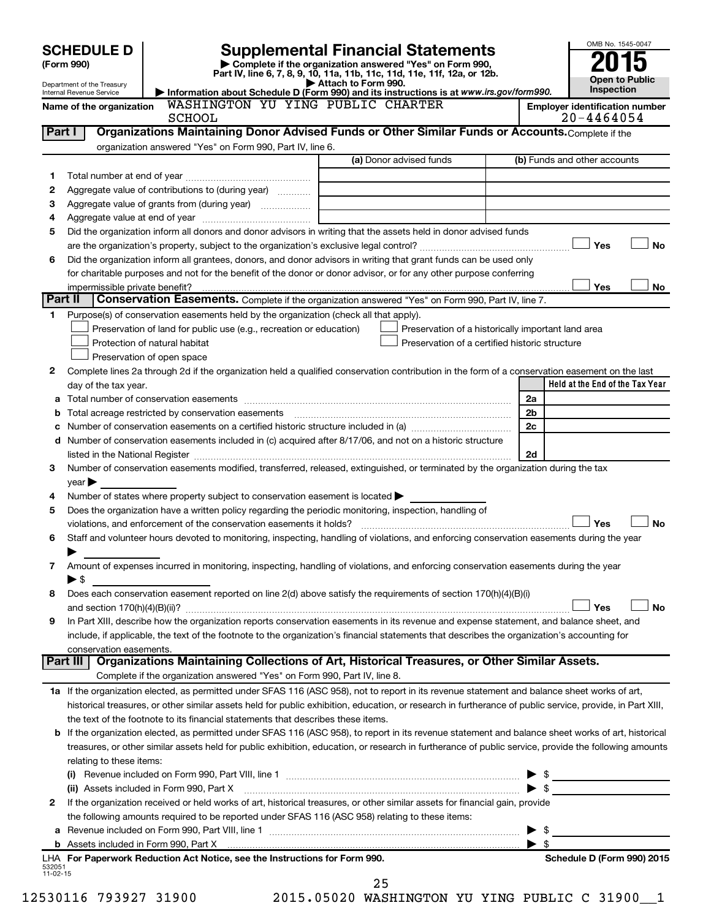|          | <b>SCHEDULE D</b>                   |                                                                                                                                                           | <b>Supplemental Financial Statements</b>                                                        |                         | OMB No. 1545-0047                                   |
|----------|-------------------------------------|-----------------------------------------------------------------------------------------------------------------------------------------------------------|-------------------------------------------------------------------------------------------------|-------------------------|-----------------------------------------------------|
|          | (Form 990)                          |                                                                                                                                                           | Complete if the organization answered "Yes" on Form 990,                                        |                         |                                                     |
|          | Department of the Treasury          |                                                                                                                                                           | Part IV, line 6, 7, 8, 9, 10, 11a, 11b, 11c, 11d, 11e, 11f, 12a, or 12b.<br>Attach to Form 990. |                         | <b>Open to Public</b>                               |
|          | Internal Revenue Service            |                                                                                                                                                           | Information about Schedule D (Form 990) and its instructions is at www.irs.gov/form990.         |                         | <b>Inspection</b>                                   |
|          | Name of the organization            | WASHINGTON YU YING PUBLIC CHARTER<br>SCHOOL                                                                                                               |                                                                                                 |                         | <b>Employer identification number</b><br>20-4464054 |
|          | Part I                              | Organizations Maintaining Donor Advised Funds or Other Similar Funds or Accounts. Complete if the                                                         |                                                                                                 |                         |                                                     |
|          |                                     | organization answered "Yes" on Form 990, Part IV, line 6.                                                                                                 |                                                                                                 |                         |                                                     |
|          |                                     |                                                                                                                                                           | (a) Donor advised funds                                                                         |                         | (b) Funds and other accounts                        |
| 1        |                                     |                                                                                                                                                           |                                                                                                 |                         |                                                     |
| 2        |                                     | Aggregate value of contributions to (during year)                                                                                                         |                                                                                                 |                         |                                                     |
| З        |                                     | Aggregate value of grants from (during year)                                                                                                              |                                                                                                 |                         |                                                     |
| 4        |                                     |                                                                                                                                                           |                                                                                                 |                         |                                                     |
| 5        |                                     | Did the organization inform all donors and donor advisors in writing that the assets held in donor advised funds                                          |                                                                                                 |                         |                                                     |
|          |                                     |                                                                                                                                                           |                                                                                                 |                         | Yes<br><b>No</b>                                    |
| 6        |                                     | Did the organization inform all grantees, donors, and donor advisors in writing that grant funds can be used only                                         |                                                                                                 |                         |                                                     |
|          | impermissible private benefit?      | for charitable purposes and not for the benefit of the donor or donor advisor, or for any other purpose conferring                                        |                                                                                                 |                         | Yes<br>No                                           |
|          | Part II                             | Conservation Easements. Complete if the organization answered "Yes" on Form 990, Part IV, line 7.                                                         |                                                                                                 |                         |                                                     |
| 1.       |                                     | Purpose(s) of conservation easements held by the organization (check all that apply).                                                                     |                                                                                                 |                         |                                                     |
|          |                                     | Preservation of land for public use (e.g., recreation or education)                                                                                       | Preservation of a historically important land area                                              |                         |                                                     |
|          |                                     | Protection of natural habitat                                                                                                                             | Preservation of a certified historic structure                                                  |                         |                                                     |
|          |                                     | Preservation of open space                                                                                                                                |                                                                                                 |                         |                                                     |
| 2        |                                     | Complete lines 2a through 2d if the organization held a qualified conservation contribution in the form of a conservation easement on the last            |                                                                                                 |                         |                                                     |
|          | day of the tax year.                |                                                                                                                                                           |                                                                                                 |                         | Held at the End of the Tax Year                     |
| а        |                                     |                                                                                                                                                           |                                                                                                 | 2a                      |                                                     |
| b        |                                     | Total acreage restricted by conservation easements                                                                                                        |                                                                                                 | 2b                      |                                                     |
| с        |                                     |                                                                                                                                                           |                                                                                                 | 2c                      |                                                     |
| d        |                                     | Number of conservation easements included in (c) acquired after 8/17/06, and not on a historic structure                                                  |                                                                                                 |                         |                                                     |
|          |                                     |                                                                                                                                                           |                                                                                                 | 2d                      |                                                     |
| 3        |                                     | Number of conservation easements modified, transferred, released, extinguished, or terminated by the organization during the tax                          |                                                                                                 |                         |                                                     |
| 4        | year                                | Number of states where property subject to conservation easement is located >                                                                             |                                                                                                 |                         |                                                     |
| 5        |                                     | Does the organization have a written policy regarding the periodic monitoring, inspection, handling of                                                    |                                                                                                 |                         |                                                     |
|          |                                     | violations, and enforcement of the conservation easements it holds?                                                                                       |                                                                                                 |                         | Yes<br><b>No</b>                                    |
| 6        |                                     | Staff and volunteer hours devoted to monitoring, inspecting, handling of violations, and enforcing conservation easements during the year                 |                                                                                                 |                         |                                                     |
|          |                                     |                                                                                                                                                           |                                                                                                 |                         |                                                     |
| 7        |                                     | Amount of expenses incurred in monitoring, inspecting, handling of violations, and enforcing conservation easements during the year                       |                                                                                                 |                         |                                                     |
|          | $\blacktriangleright$ \$            |                                                                                                                                                           |                                                                                                 |                         |                                                     |
| 8        |                                     | Does each conservation easement reported on line 2(d) above satisfy the requirements of section 170(h)(4)(B)(i)                                           |                                                                                                 |                         |                                                     |
|          |                                     |                                                                                                                                                           |                                                                                                 |                         | Yes<br>No                                           |
| 9        |                                     | In Part XIII, describe how the organization reports conservation easements in its revenue and expense statement, and balance sheet, and                   |                                                                                                 |                         |                                                     |
|          |                                     | include, if applicable, the text of the footnote to the organization's financial statements that describes the organization's accounting for              |                                                                                                 |                         |                                                     |
|          | conservation easements.<br>Part III | Organizations Maintaining Collections of Art, Historical Treasures, or Other Similar Assets.                                                              |                                                                                                 |                         |                                                     |
|          |                                     | Complete if the organization answered "Yes" on Form 990, Part IV, line 8.                                                                                 |                                                                                                 |                         |                                                     |
|          |                                     | 1a If the organization elected, as permitted under SFAS 116 (ASC 958), not to report in its revenue statement and balance sheet works of art,             |                                                                                                 |                         |                                                     |
|          |                                     | historical treasures, or other similar assets held for public exhibition, education, or research in furtherance of public service, provide, in Part XIII, |                                                                                                 |                         |                                                     |
|          |                                     | the text of the footnote to its financial statements that describes these items.                                                                          |                                                                                                 |                         |                                                     |
| b        |                                     | If the organization elected, as permitted under SFAS 116 (ASC 958), to report in its revenue statement and balance sheet works of art, historical         |                                                                                                 |                         |                                                     |
|          |                                     | treasures, or other similar assets held for public exhibition, education, or research in furtherance of public service, provide the following amounts     |                                                                                                 |                         |                                                     |
|          | relating to these items:            |                                                                                                                                                           |                                                                                                 |                         |                                                     |
|          |                                     |                                                                                                                                                           |                                                                                                 |                         |                                                     |
|          |                                     | (ii) Assets included in Form 990, Part X [1] [1] [1] [1] [1] [1] [1] Assets included in Form 990, Part X                                                  |                                                                                                 |                         | $\blacktriangleright$ \$                            |
| 2        |                                     | If the organization received or held works of art, historical treasures, or other similar assets for financial gain, provide                              |                                                                                                 |                         |                                                     |
|          |                                     | the following amounts required to be reported under SFAS 116 (ASC 958) relating to these items:                                                           |                                                                                                 |                         |                                                     |
| а        |                                     |                                                                                                                                                           |                                                                                                 |                         |                                                     |
|          |                                     |                                                                                                                                                           |                                                                                                 | $\blacktriangleright$ s |                                                     |
| 532051   |                                     | LHA For Paperwork Reduction Act Notice, see the Instructions for Form 990.                                                                                |                                                                                                 |                         | Schedule D (Form 990) 2015                          |
| 11-02-15 |                                     |                                                                                                                                                           | 25                                                                                              |                         |                                                     |
|          |                                     |                                                                                                                                                           |                                                                                                 |                         |                                                     |

12530116 793927 31900 2015.05020 WASHINGTON YU YING PUBLIC C 31900\_\_1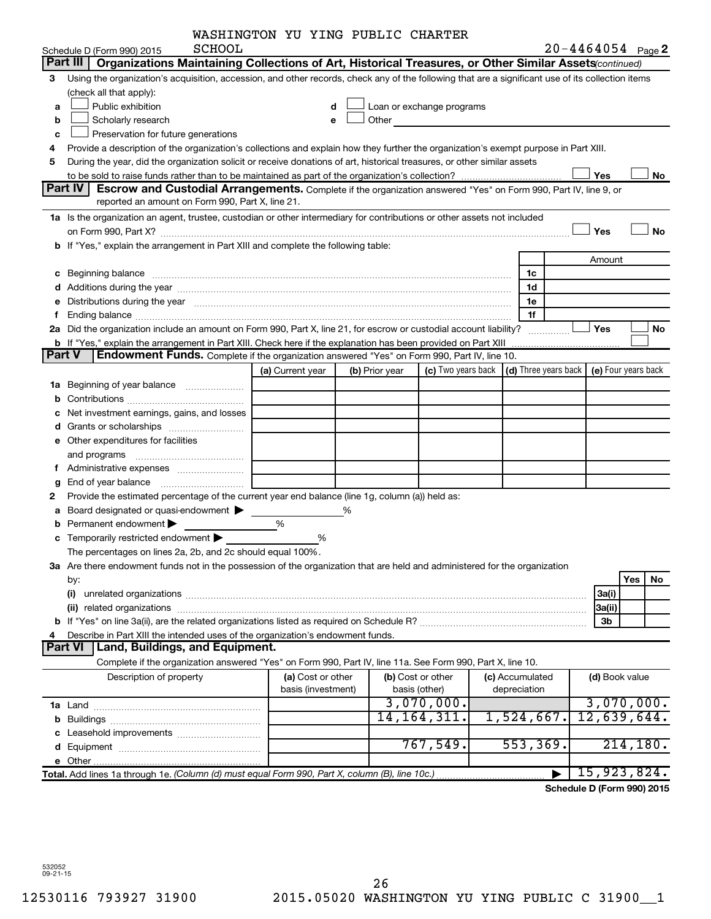|  | WASHINGTON YU YING PUBLIC CHARTER |  |  |  |  |
|--|-----------------------------------|--|--|--|--|
|--|-----------------------------------|--|--|--|--|

|               |                                                                                                                                                                                                                                | WASHINGTON YU YING PUBLIC CHARTER |   |                |                                                                                                                                                                                                                               |                                                         |                       |                     |
|---------------|--------------------------------------------------------------------------------------------------------------------------------------------------------------------------------------------------------------------------------|-----------------------------------|---|----------------|-------------------------------------------------------------------------------------------------------------------------------------------------------------------------------------------------------------------------------|---------------------------------------------------------|-----------------------|---------------------|
|               | <b>SCHOOL</b><br>Schedule D (Form 990) 2015                                                                                                                                                                                    |                                   |   |                |                                                                                                                                                                                                                               |                                                         | $20 - 4464054$ Page 2 |                     |
|               | Part III<br>Organizations Maintaining Collections of Art, Historical Treasures, or Other Similar Assets(continued)                                                                                                             |                                   |   |                |                                                                                                                                                                                                                               |                                                         |                       |                     |
| 3             | Using the organization's acquisition, accession, and other records, check any of the following that are a significant use of its collection items                                                                              |                                   |   |                |                                                                                                                                                                                                                               |                                                         |                       |                     |
|               | (check all that apply):                                                                                                                                                                                                        |                                   |   |                |                                                                                                                                                                                                                               |                                                         |                       |                     |
| a             | Public exhibition                                                                                                                                                                                                              |                                   |   |                | Loan or exchange programs                                                                                                                                                                                                     |                                                         |                       |                     |
| b             | Scholarly research                                                                                                                                                                                                             | e                                 |   |                | Other and the contract of the contract of the contract of the contract of the contract of the contract of the contract of the contract of the contract of the contract of the contract of the contract of the contract of the |                                                         |                       |                     |
| c             | Preservation for future generations                                                                                                                                                                                            |                                   |   |                |                                                                                                                                                                                                                               |                                                         |                       |                     |
| 4             | Provide a description of the organization's collections and explain how they further the organization's exempt purpose in Part XIII.                                                                                           |                                   |   |                |                                                                                                                                                                                                                               |                                                         |                       |                     |
| 5             | During the year, did the organization solicit or receive donations of art, historical treasures, or other similar assets                                                                                                       |                                   |   |                |                                                                                                                                                                                                                               |                                                         |                       |                     |
|               |                                                                                                                                                                                                                                |                                   |   |                |                                                                                                                                                                                                                               |                                                         | Yes                   | No                  |
|               | Part IV<br>Escrow and Custodial Arrangements. Complete if the organization answered "Yes" on Form 990, Part IV, line 9, or                                                                                                     |                                   |   |                |                                                                                                                                                                                                                               |                                                         |                       |                     |
|               | reported an amount on Form 990, Part X, line 21.                                                                                                                                                                               |                                   |   |                |                                                                                                                                                                                                                               |                                                         |                       |                     |
|               | 1a Is the organization an agent, trustee, custodian or other intermediary for contributions or other assets not included                                                                                                       |                                   |   |                |                                                                                                                                                                                                                               |                                                         |                       |                     |
|               | on Form 990, Part X? [11] matter contracts and contracts and contracts are contracted as a few of the contracts of the contract of the contract of the contract of the contract of the contract of the contract of the contrac |                                   |   |                |                                                                                                                                                                                                                               |                                                         | Yes                   | <b>No</b>           |
|               | b If "Yes," explain the arrangement in Part XIII and complete the following table:                                                                                                                                             |                                   |   |                |                                                                                                                                                                                                                               |                                                         |                       |                     |
|               |                                                                                                                                                                                                                                |                                   |   |                |                                                                                                                                                                                                                               |                                                         |                       |                     |
|               |                                                                                                                                                                                                                                |                                   |   |                |                                                                                                                                                                                                                               |                                                         | Amount                |                     |
|               |                                                                                                                                                                                                                                |                                   |   |                |                                                                                                                                                                                                                               | 1c                                                      |                       |                     |
|               |                                                                                                                                                                                                                                |                                   |   |                |                                                                                                                                                                                                                               | 1d                                                      |                       |                     |
| е             | Distributions during the year manufactured and continuum control of the year manufactured and the year manufactured and the year manufactured and the year manufactured and the year manufactured and the year manufactured an |                                   |   |                |                                                                                                                                                                                                                               | 1e                                                      |                       |                     |
| f.            |                                                                                                                                                                                                                                |                                   |   |                |                                                                                                                                                                                                                               | 1f                                                      |                       |                     |
|               | 2a Did the organization include an amount on Form 990, Part X, line 21, for escrow or custodial account liability?                                                                                                             |                                   |   |                |                                                                                                                                                                                                                               | .                                                       | <b>Yes</b>            | No                  |
|               |                                                                                                                                                                                                                                |                                   |   |                |                                                                                                                                                                                                                               |                                                         |                       |                     |
| <b>Part V</b> | <b>Endowment Funds.</b> Complete if the organization answered "Yes" on Form 990, Part IV, line 10.                                                                                                                             |                                   |   |                |                                                                                                                                                                                                                               |                                                         |                       |                     |
|               |                                                                                                                                                                                                                                | (a) Current year                  |   | (b) Prior year |                                                                                                                                                                                                                               | (c) Two years back $\vert$ (d) Three years back $\vert$ |                       | (e) Four years back |
|               | 1a Beginning of year balance                                                                                                                                                                                                   |                                   |   |                |                                                                                                                                                                                                                               |                                                         |                       |                     |
| b             |                                                                                                                                                                                                                                |                                   |   |                |                                                                                                                                                                                                                               |                                                         |                       |                     |
| с             | Net investment earnings, gains, and losses                                                                                                                                                                                     |                                   |   |                |                                                                                                                                                                                                                               |                                                         |                       |                     |
| d             |                                                                                                                                                                                                                                |                                   |   |                |                                                                                                                                                                                                                               |                                                         |                       |                     |
|               | e Other expenditures for facilities                                                                                                                                                                                            |                                   |   |                |                                                                                                                                                                                                                               |                                                         |                       |                     |
|               |                                                                                                                                                                                                                                |                                   |   |                |                                                                                                                                                                                                                               |                                                         |                       |                     |
|               |                                                                                                                                                                                                                                |                                   |   |                |                                                                                                                                                                                                                               |                                                         |                       |                     |
| g             |                                                                                                                                                                                                                                |                                   |   |                |                                                                                                                                                                                                                               |                                                         |                       |                     |
| 2             | Provide the estimated percentage of the current year end balance (line 1g, column (a)) held as:                                                                                                                                |                                   |   |                |                                                                                                                                                                                                                               |                                                         |                       |                     |
| а             | Board designated or quasi-endowment                                                                                                                                                                                            |                                   | % |                |                                                                                                                                                                                                                               |                                                         |                       |                     |
| b             | Permanent endowment                                                                                                                                                                                                            | %                                 |   |                |                                                                                                                                                                                                                               |                                                         |                       |                     |
|               | Temporarily restricted endowment >                                                                                                                                                                                             | %                                 |   |                |                                                                                                                                                                                                                               |                                                         |                       |                     |
| с             |                                                                                                                                                                                                                                |                                   |   |                |                                                                                                                                                                                                                               |                                                         |                       |                     |
|               | The percentages on lines 2a, 2b, and 2c should equal 100%                                                                                                                                                                      |                                   |   |                |                                                                                                                                                                                                                               |                                                         |                       |                     |
|               | 3a Are there endowment funds not in the possession of the organization that are held and administered for the organization                                                                                                     |                                   |   |                |                                                                                                                                                                                                                               |                                                         |                       |                     |
|               | by:                                                                                                                                                                                                                            |                                   |   |                |                                                                                                                                                                                                                               |                                                         |                       | Yes<br>No           |
|               | (i)                                                                                                                                                                                                                            |                                   |   |                |                                                                                                                                                                                                                               |                                                         | 3a(i)                 |                     |
|               |                                                                                                                                                                                                                                |                                   |   |                |                                                                                                                                                                                                                               |                                                         | 3a(ii)                |                     |
|               |                                                                                                                                                                                                                                |                                   |   |                |                                                                                                                                                                                                                               |                                                         | 3b                    |                     |
| 4             | Describe in Part XIII the intended uses of the organization's endowment funds.                                                                                                                                                 |                                   |   |                |                                                                                                                                                                                                                               |                                                         |                       |                     |
|               | Land, Buildings, and Equipment.<br>Part VI                                                                                                                                                                                     |                                   |   |                |                                                                                                                                                                                                                               |                                                         |                       |                     |
|               | Complete if the organization answered "Yes" on Form 990, Part IV, line 11a. See Form 990, Part X, line 10.                                                                                                                     |                                   |   |                |                                                                                                                                                                                                                               |                                                         |                       |                     |
|               | Description of property                                                                                                                                                                                                        | (a) Cost or other                 |   |                | (b) Cost or other                                                                                                                                                                                                             | (c) Accumulated                                         | (d) Book value        |                     |
|               |                                                                                                                                                                                                                                | basis (investment)                |   |                | basis (other)                                                                                                                                                                                                                 | depreciation                                            |                       |                     |
|               |                                                                                                                                                                                                                                |                                   |   |                | 3,070,000.                                                                                                                                                                                                                    |                                                         |                       | 3,070,000.          |
|               |                                                                                                                                                                                                                                |                                   |   |                | 14,164,311.                                                                                                                                                                                                                   | 1,524,667.                                              | 12,639,644.           |                     |
|               |                                                                                                                                                                                                                                |                                   |   |                |                                                                                                                                                                                                                               |                                                         |                       |                     |
|               |                                                                                                                                                                                                                                |                                   |   |                | 767,549.                                                                                                                                                                                                                      | 553, 369.                                               |                       | 214, 180.           |
|               |                                                                                                                                                                                                                                |                                   |   |                |                                                                                                                                                                                                                               |                                                         |                       |                     |
|               | Total. Add lines 1a through 1e. (Column (d) must equal Form 990, Part X, column (B), line 10c.)                                                                                                                                |                                   |   |                |                                                                                                                                                                                                                               |                                                         |                       | 15,923,824.         |
|               |                                                                                                                                                                                                                                |                                   |   |                |                                                                                                                                                                                                                               |                                                         |                       |                     |

**Schedule D (Form 990) 2015**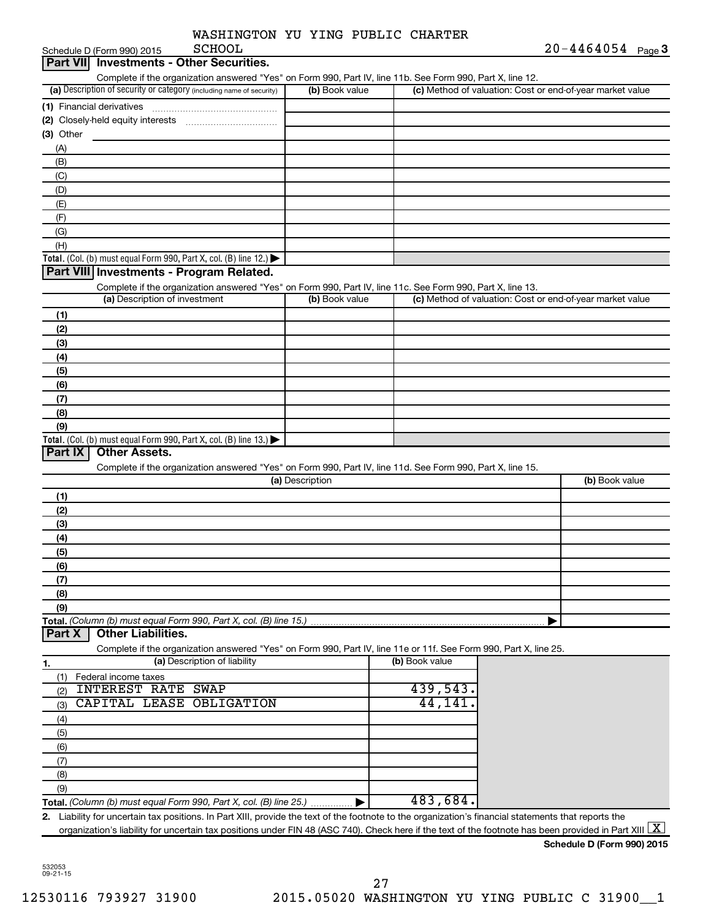| <b>SCHOOL</b><br>Schedule D (Form 990) 2015                                                                                                             |                 |                | $20 - 4464054$ Page 3                                     |
|---------------------------------------------------------------------------------------------------------------------------------------------------------|-----------------|----------------|-----------------------------------------------------------|
| <b>Investments - Other Securities.</b><br><b>Part VIII</b>                                                                                              |                 |                |                                                           |
| Complete if the organization answered "Yes" on Form 990, Part IV, line 11b. See Form 990, Part X, line 12.                                              |                 |                |                                                           |
| (a) Description of security or category (including name of security)                                                                                    | (b) Book value  |                | (c) Method of valuation: Cost or end-of-year market value |
| (1) Financial derivatives                                                                                                                               |                 |                |                                                           |
| (2) Closely-held equity interests<br>(3) Other                                                                                                          |                 |                |                                                           |
| (A)                                                                                                                                                     |                 |                |                                                           |
| (B)                                                                                                                                                     |                 |                |                                                           |
| (C)                                                                                                                                                     |                 |                |                                                           |
| (D)                                                                                                                                                     |                 |                |                                                           |
| (E)                                                                                                                                                     |                 |                |                                                           |
| (F)                                                                                                                                                     |                 |                |                                                           |
| (G)                                                                                                                                                     |                 |                |                                                           |
| (H)                                                                                                                                                     |                 |                |                                                           |
| Total. (Col. (b) must equal Form 990, Part X, col. (B) line 12.)                                                                                        |                 |                |                                                           |
| Part VIII Investments - Program Related.                                                                                                                |                 |                |                                                           |
| Complete if the organization answered "Yes" on Form 990, Part IV, line 11c. See Form 990, Part X, line 13.<br>(a) Description of investment             | (b) Book value  |                | (c) Method of valuation: Cost or end-of-year market value |
|                                                                                                                                                         |                 |                |                                                           |
| (1)                                                                                                                                                     |                 |                |                                                           |
| (2)                                                                                                                                                     |                 |                |                                                           |
| (3)<br>(4)                                                                                                                                              |                 |                |                                                           |
| (5)                                                                                                                                                     |                 |                |                                                           |
| (6)                                                                                                                                                     |                 |                |                                                           |
| (7)                                                                                                                                                     |                 |                |                                                           |
| (8)                                                                                                                                                     |                 |                |                                                           |
| (9)                                                                                                                                                     |                 |                |                                                           |
| Total. (Col. (b) must equal Form 990, Part X, col. (B) line 13.) $\blacktriangleright$                                                                  |                 |                |                                                           |
| <b>Other Assets.</b><br>Part IX                                                                                                                         |                 |                |                                                           |
| Complete if the organization answered "Yes" on Form 990, Part IV, line 11d. See Form 990, Part X, line 15.                                              |                 |                |                                                           |
|                                                                                                                                                         | (a) Description |                | (b) Book value                                            |
| (1)                                                                                                                                                     |                 |                |                                                           |
| (2)                                                                                                                                                     |                 |                |                                                           |
| (3)                                                                                                                                                     |                 |                |                                                           |
| (4)                                                                                                                                                     |                 |                |                                                           |
| (5)<br>(6)                                                                                                                                              |                 |                |                                                           |
| (7)                                                                                                                                                     |                 |                |                                                           |
| (8)                                                                                                                                                     |                 |                |                                                           |
| (9)                                                                                                                                                     |                 |                |                                                           |
| Total. (Column (b) must equal Form 990, Part X, col. (B) line 15.).                                                                                     |                 |                |                                                           |
| <b>Other Liabilities.</b><br>Part X                                                                                                                     |                 |                |                                                           |
| Complete if the organization answered "Yes" on Form 990, Part IV, line 11e or 11f. See Form 990, Part X, line 25.                                       |                 |                |                                                           |
| (a) Description of liability<br>1.                                                                                                                      |                 | (b) Book value |                                                           |
| Federal income taxes<br>(1)                                                                                                                             |                 |                |                                                           |
| <b>INTEREST RATE SWAP</b><br>(2)                                                                                                                        |                 | 439,543        |                                                           |
| CAPITAL LEASE OBLIGATION<br>(3)                                                                                                                         |                 | 44,141         |                                                           |
| (4)                                                                                                                                                     |                 |                |                                                           |
| (5)                                                                                                                                                     |                 |                |                                                           |
| (6)                                                                                                                                                     |                 |                |                                                           |
| (7)                                                                                                                                                     |                 |                |                                                           |
| (8)<br>(9)                                                                                                                                              |                 |                |                                                           |
| Total. (Column (b) must equal Form 990, Part X, col. (B) line 25.)                                                                                      |                 | 483,684.       |                                                           |
| Liability for uncertain tax positions. In Part XIII, provide the text of the footnote to the organization's financial statements that reports the<br>2. |                 |                |                                                           |
| organization's liability for uncertain tax positions under FIN 48 (ASC 740). Check here if the text of the footnote has been provided in Part XIII      |                 |                | $\mathbf{X}$                                              |
|                                                                                                                                                         |                 |                | Schedule D (Form 990) 2015                                |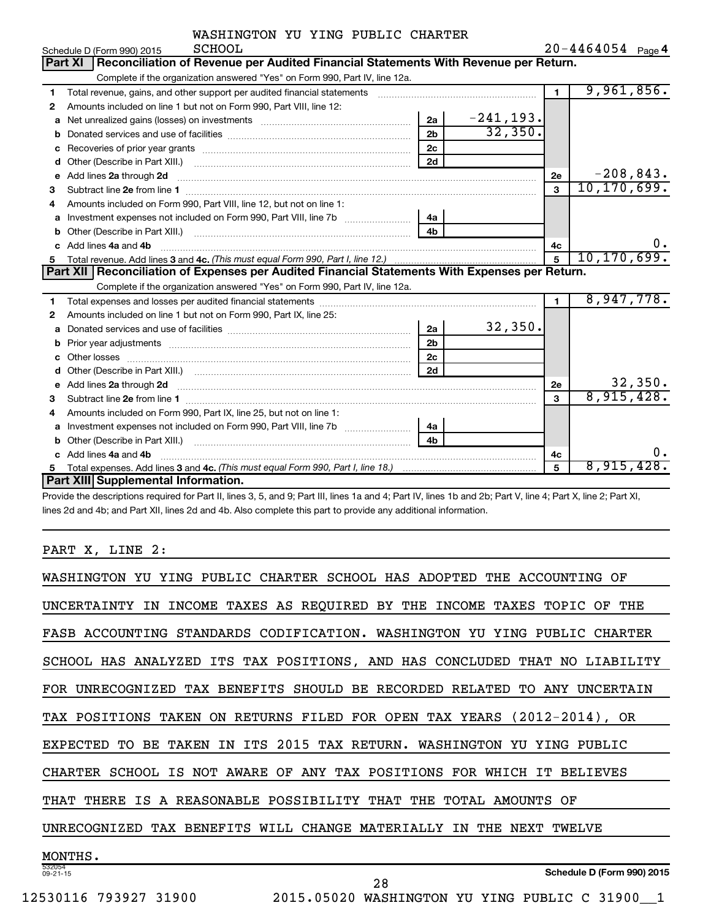| WASHINGTON YU YING PUBLIC CHARTER |  |  |  |  |  |
|-----------------------------------|--|--|--|--|--|
|-----------------------------------|--|--|--|--|--|

|   |         | Schedule D (Form 990) 2015                                                                                                                                                                                                           | SCHOOL |  |                |              |                | $20 - 4464054$ Page 4 |         |
|---|---------|--------------------------------------------------------------------------------------------------------------------------------------------------------------------------------------------------------------------------------------|--------|--|----------------|--------------|----------------|-----------------------|---------|
|   | Part XI | Reconciliation of Revenue per Audited Financial Statements With Revenue per Return.                                                                                                                                                  |        |  |                |              |                |                       |         |
|   |         | Complete if the organization answered "Yes" on Form 990, Part IV, line 12a.                                                                                                                                                          |        |  |                |              |                |                       |         |
| 1 |         | Total revenue, gains, and other support per audited financial statements [111] [11] Total revenue, gains, and other support per audited financial statements                                                                         |        |  |                |              | $\blacksquare$ | 9,961,856.            |         |
| 2 |         | Amounts included on line 1 but not on Form 990, Part VIII, line 12:                                                                                                                                                                  |        |  |                |              |                |                       |         |
| a |         |                                                                                                                                                                                                                                      |        |  | 2a             | $-241, 193.$ |                |                       |         |
|   |         |                                                                                                                                                                                                                                      |        |  | 2 <sub>b</sub> | 32,350.      |                |                       |         |
| с |         |                                                                                                                                                                                                                                      |        |  | 2 <sub>c</sub> |              |                |                       |         |
| d |         | Other (Describe in Part XIII.) <b>Construction Contract Construction</b> Chemistry Chemistry Chemistry Chemistry Chemistry                                                                                                           |        |  | 2d             |              |                |                       |         |
| е |         | Add lines 2a through 2d <b>continuum continuum contract and all the contract and all the contract and all the contract and all the contract of the contract of the contract of the contract of the contract of the contract of t</b> |        |  |                |              | 2e             | $-208,843.$           |         |
| 3 |         |                                                                                                                                                                                                                                      |        |  |                |              | $\mathbf{a}$   | 10, 170, 699.         |         |
| 4 |         | Amounts included on Form 990, Part VIII, line 12, but not on line 1:                                                                                                                                                                 |        |  |                |              |                |                       |         |
| a |         |                                                                                                                                                                                                                                      |        |  | 4a             |              |                |                       |         |
| b |         |                                                                                                                                                                                                                                      |        |  | 4 <sub>h</sub> |              |                |                       |         |
|   |         | Add lines 4a and 4b                                                                                                                                                                                                                  |        |  |                |              | 4c             |                       | 0.      |
| 5 |         |                                                                                                                                                                                                                                      |        |  |                |              | $\overline{5}$ | 10, 170, 699.         |         |
|   |         |                                                                                                                                                                                                                                      |        |  |                |              |                |                       |         |
|   |         | Part XII   Reconciliation of Expenses per Audited Financial Statements With Expenses per Return.                                                                                                                                     |        |  |                |              |                |                       |         |
|   |         | Complete if the organization answered "Yes" on Form 990, Part IV, line 12a.                                                                                                                                                          |        |  |                |              |                |                       |         |
| 1 |         |                                                                                                                                                                                                                                      |        |  |                |              | $\blacksquare$ | 8,947,778.            |         |
| 2 |         | Amounts included on line 1 but not on Form 990, Part IX, line 25:                                                                                                                                                                    |        |  |                |              |                |                       |         |
| a |         |                                                                                                                                                                                                                                      |        |  | 2a             | 32,350.      |                |                       |         |
| b |         |                                                                                                                                                                                                                                      |        |  | 2 <sub>b</sub> |              |                |                       |         |
| c |         |                                                                                                                                                                                                                                      |        |  | 2 <sub>c</sub> |              |                |                       |         |
|   |         |                                                                                                                                                                                                                                      |        |  | 2d             |              |                |                       |         |
| e |         | Add lines 2a through 2d <b>contained a contained a contained a contained a</b> contained a contained a contact the set                                                                                                               |        |  |                |              | <b>2e</b>      |                       | 32,350. |
| 3 |         |                                                                                                                                                                                                                                      |        |  |                |              | 3              | 8,915,428.            |         |
| 4 |         | Amounts included on Form 990, Part IX, line 25, but not on line 1:                                                                                                                                                                   |        |  |                |              |                |                       |         |
| a |         | Investment expenses not included on Form 990, Part VIII, line 7b [                                                                                                                                                                   |        |  | 4a             |              |                |                       |         |
|   |         |                                                                                                                                                                                                                                      |        |  | 4h             |              |                |                       |         |
|   |         | Add lines 4a and 4b                                                                                                                                                                                                                  |        |  |                |              | 4c             |                       | 0.      |
| 5 |         | Part XIII Supplemental Information.                                                                                                                                                                                                  |        |  |                |              | 5              | 8,915,428.            |         |

Provide the descriptions required for Part II, lines 3, 5, and 9; Part III, lines 1a and 4; Part IV, lines 1b and 2b; Part V, line 4; Part X, line 2; Part XI, lines 2d and 4b; and Part XII, lines 2d and 4b. Also complete this part to provide any additional information.

### PART X, LINE 2:

| YING PUBLIC CHARTER SCHOOL HAS ADOPTED<br>WASHINGTON<br>THE<br>ACCOUNTING<br>ΩF<br>YU               |
|-----------------------------------------------------------------------------------------------------|
| THE<br>TAXES AS REQUIRED BY THE<br>INCOME<br>INCOME<br>TAXES<br>TOPIC<br>UNCERTAINTY<br>ΙN<br>OF    |
| FASB ACCOUNTING STANDARDS CODIFICATION. WASHINGTON YU YING PUBLIC CHARTER                           |
| ITS TAX POSITIONS, AND HAS CONCLUDED<br>SCHOOL HAS ANALYZED<br>THAT<br>NO.<br>LIABILITY             |
| RECORDED RELATED<br>UNRECOGNIZED TAX BENEFITS<br>SHOULD BE<br><b>UNCERTAIN</b><br>TO.<br>ANY<br>FOR |
| TAX POSITIONS TAKEN ON RETURNS FILED FOR OPEN TAX YEARS (2012-2014), OR                             |
| IN ITS 2015 TAX RETURN. WASHINGTON<br>TAKEN<br><b>EXPECTED</b><br>TO BE<br>YU<br>PUBLIC<br>YING     |
| CHARTER SCHOOL IS NOT AWARE OF ANY TAX POSITIONS FOR WHICH IT<br>BELIEVES                           |
| A REASONABLE POSSIBILITY THAT<br>TOTAL<br>THERE<br>IS.<br>THE<br>AMOUNTS OF<br>THAT                 |
| TAX BENEFITS WILL CHANGE MATERIALLY<br>UNRECOGNIZED<br>TWELVE.<br>IN<br>THE<br>NEXT                 |
| MONTHS.                                                                                             |
| 532054<br>Schedule D (Form 990) 2015<br>$09 - 21 - 15$<br>28                                        |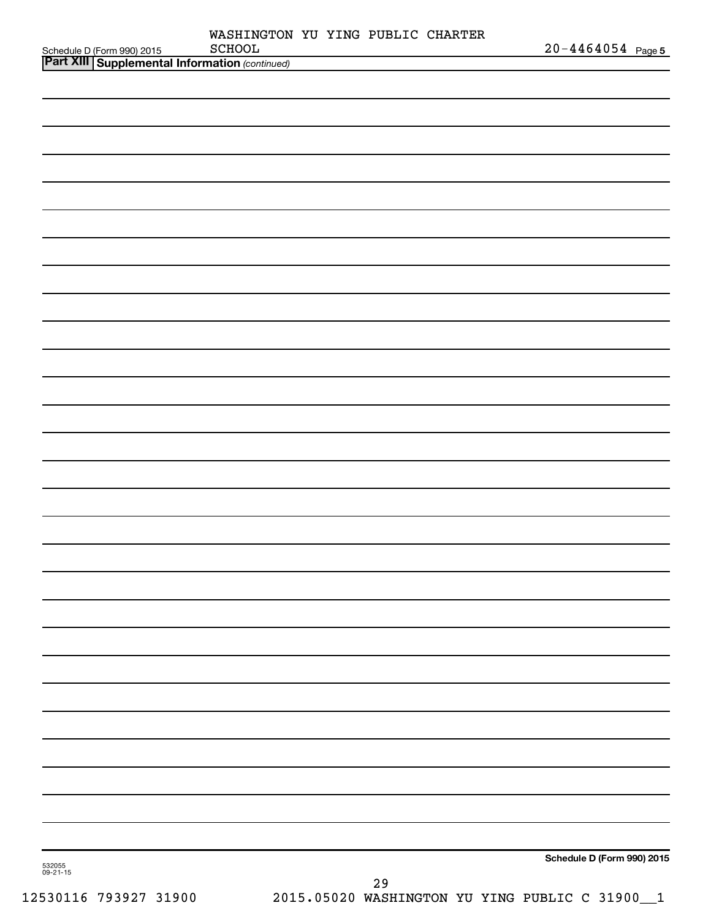| Schedule D (Form 990) 2015 SCHOOL<br><b>Part XIII   Supplemental Information</b> (continued) | WASHINGTON YU YING PUBLIC CHARTER<br>SCHOOL |  |    | $20 - 4464054$ Page 5      |
|----------------------------------------------------------------------------------------------|---------------------------------------------|--|----|----------------------------|
|                                                                                              |                                             |  |    |                            |
|                                                                                              |                                             |  |    |                            |
|                                                                                              |                                             |  |    |                            |
|                                                                                              |                                             |  |    |                            |
|                                                                                              |                                             |  |    |                            |
|                                                                                              |                                             |  |    |                            |
|                                                                                              |                                             |  |    |                            |
|                                                                                              |                                             |  |    |                            |
|                                                                                              |                                             |  |    |                            |
|                                                                                              |                                             |  |    |                            |
|                                                                                              |                                             |  |    |                            |
|                                                                                              |                                             |  |    |                            |
|                                                                                              |                                             |  |    |                            |
|                                                                                              |                                             |  |    |                            |
|                                                                                              |                                             |  |    |                            |
|                                                                                              |                                             |  |    |                            |
|                                                                                              |                                             |  |    |                            |
|                                                                                              |                                             |  |    |                            |
|                                                                                              |                                             |  |    |                            |
|                                                                                              |                                             |  |    |                            |
|                                                                                              |                                             |  |    |                            |
|                                                                                              |                                             |  |    |                            |
|                                                                                              |                                             |  |    |                            |
|                                                                                              |                                             |  |    |                            |
|                                                                                              |                                             |  |    |                            |
|                                                                                              |                                             |  |    |                            |
|                                                                                              |                                             |  |    |                            |
|                                                                                              |                                             |  |    |                            |
|                                                                                              |                                             |  |    |                            |
|                                                                                              |                                             |  |    |                            |
|                                                                                              |                                             |  |    |                            |
|                                                                                              |                                             |  |    |                            |
|                                                                                              |                                             |  |    |                            |
|                                                                                              |                                             |  |    |                            |
|                                                                                              |                                             |  |    |                            |
| 532055<br>09-21-15                                                                           |                                             |  |    | Schedule D (Form 990) 2015 |
|                                                                                              |                                             |  | 29 |                            |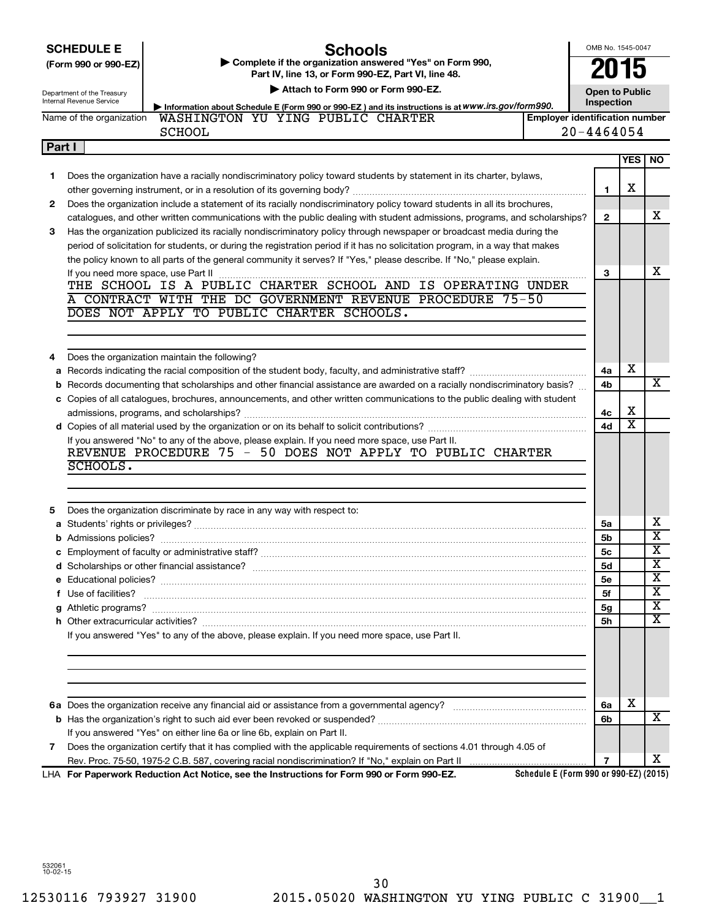|        | OMB No. 1545-0047<br>Schools<br><b>SCHEDULE E</b><br>Complete if the organization answered "Yes" on Form 990,<br>(Form 990 or 990-EZ)<br>Part IV, line 13, or Form 990-EZ, Part VI, line 48.<br>Attach to Form 990 or Form 990-EZ.<br><b>Open to Public</b><br>Department of the Treasury<br>Internal Revenue Service<br>Inspection<br>Information about Schedule E (Form 990 or 990-EZ) and its instructions is at WWW.irs.gov/form990. |              |                       |                                                  |  |
|--------|------------------------------------------------------------------------------------------------------------------------------------------------------------------------------------------------------------------------------------------------------------------------------------------------------------------------------------------------------------------------------------------------------------------------------------------|--------------|-----------------------|--------------------------------------------------|--|
|        | WASHINGTON YU YING PUBLIC CHARTER<br><b>Employer identification number</b><br>Name of the organization                                                                                                                                                                                                                                                                                                                                   |              |                       |                                                  |  |
|        | <b>SCHOOL</b>                                                                                                                                                                                                                                                                                                                                                                                                                            | 20-4464054   |                       |                                                  |  |
| Part I |                                                                                                                                                                                                                                                                                                                                                                                                                                          |              |                       |                                                  |  |
|        |                                                                                                                                                                                                                                                                                                                                                                                                                                          |              | YES                   | <b>NO</b>                                        |  |
| 1      | Does the organization have a racially nondiscriminatory policy toward students by statement in its charter, bylaws,                                                                                                                                                                                                                                                                                                                      | 1            | х                     |                                                  |  |
| 2      | Does the organization include a statement of its racially nondiscriminatory policy toward students in all its brochures,                                                                                                                                                                                                                                                                                                                 |              |                       |                                                  |  |
|        | catalogues, and other written communications with the public dealing with student admissions, programs, and scholarships?                                                                                                                                                                                                                                                                                                                | $\mathbf{2}$ |                       | x                                                |  |
| З      | Has the organization publicized its racially nondiscriminatory policy through newspaper or broadcast media during the                                                                                                                                                                                                                                                                                                                    |              |                       |                                                  |  |
|        | period of solicitation for students, or during the registration period if it has no solicitation program, in a way that makes<br>the policy known to all parts of the general community it serves? If "Yes," please describe. If "No," please explain.                                                                                                                                                                                   |              |                       |                                                  |  |
|        |                                                                                                                                                                                                                                                                                                                                                                                                                                          | 3            |                       | х                                                |  |
|        |                                                                                                                                                                                                                                                                                                                                                                                                                                          |              |                       |                                                  |  |
|        | A CONTRACT WITH THE DC GOVERNMENT REVENUE PROCEDURE 75-50                                                                                                                                                                                                                                                                                                                                                                                |              |                       |                                                  |  |
|        | DOES NOT APPLY TO PUBLIC CHARTER SCHOOLS.                                                                                                                                                                                                                                                                                                                                                                                                |              |                       |                                                  |  |
|        |                                                                                                                                                                                                                                                                                                                                                                                                                                          |              |                       |                                                  |  |
|        |                                                                                                                                                                                                                                                                                                                                                                                                                                          |              |                       |                                                  |  |
| 4      | Does the organization maintain the following?                                                                                                                                                                                                                                                                                                                                                                                            |              |                       |                                                  |  |
| а      |                                                                                                                                                                                                                                                                                                                                                                                                                                          | 4a           | х                     |                                                  |  |
|        | <b>b</b> Records documenting that scholarships and other financial assistance are awarded on a racially nondiscriminatory basis?                                                                                                                                                                                                                                                                                                         | 4b           |                       | $\overline{\textbf{X}}$                          |  |
|        | c Copies of all catalogues, brochures, announcements, and other written communications to the public dealing with student                                                                                                                                                                                                                                                                                                                |              | х                     |                                                  |  |
|        |                                                                                                                                                                                                                                                                                                                                                                                                                                          | 4с<br>4d     | $\overline{\text{x}}$ |                                                  |  |
|        | If you answered "No" to any of the above, please explain. If you need more space, use Part II.<br>REVENUE PROCEDURE 75 - 50 DOES NOT APPLY TO PUBLIC CHARTER<br>SCHOOLS.                                                                                                                                                                                                                                                                 |              |                       |                                                  |  |
| 5      | Does the organization discriminate by race in any way with respect to:                                                                                                                                                                                                                                                                                                                                                                   | 5a           |                       | x                                                |  |
|        |                                                                                                                                                                                                                                                                                                                                                                                                                                          | 5b           |                       | $\overline{\text{x}}$                            |  |
|        | <b>c</b> Employment of faculty or administrative staff?                                                                                                                                                                                                                                                                                                                                                                                  | 5c           |                       | $\overline{\text{x}}$                            |  |
|        |                                                                                                                                                                                                                                                                                                                                                                                                                                          | 5d           |                       | х                                                |  |
|        |                                                                                                                                                                                                                                                                                                                                                                                                                                          | 5е           |                       | X                                                |  |
|        | f Use of facilities?                                                                                                                                                                                                                                                                                                                                                                                                                     | 5f           |                       | $\overline{\textbf{X}}$                          |  |
|        |                                                                                                                                                                                                                                                                                                                                                                                                                                          | 5g           |                       | $\overline{\textbf{X}}$<br>$\overline{\text{X}}$ |  |
|        |                                                                                                                                                                                                                                                                                                                                                                                                                                          | 5h           |                       |                                                  |  |
|        | If you answered "Yes" to any of the above, please explain. If you need more space, use Part II.                                                                                                                                                                                                                                                                                                                                          |              |                       |                                                  |  |
|        |                                                                                                                                                                                                                                                                                                                                                                                                                                          |              |                       |                                                  |  |
|        |                                                                                                                                                                                                                                                                                                                                                                                                                                          | 6a           | X                     |                                                  |  |
|        |                                                                                                                                                                                                                                                                                                                                                                                                                                          | 6b           |                       | X                                                |  |
|        | If you answered "Yes" on either line 6a or line 6b, explain on Part II.                                                                                                                                                                                                                                                                                                                                                                  |              |                       |                                                  |  |
| 7      | Does the organization certify that it has complied with the applicable requirements of sections 4.01 through 4.05 of                                                                                                                                                                                                                                                                                                                     | 7            |                       | х                                                |  |
|        | Schedule E (Form 990 or 990-EZ) (2015)<br>LHA For Paperwork Reduction Act Notice, see the Instructions for Form 990 or Form 990-EZ.                                                                                                                                                                                                                                                                                                      |              |                       |                                                  |  |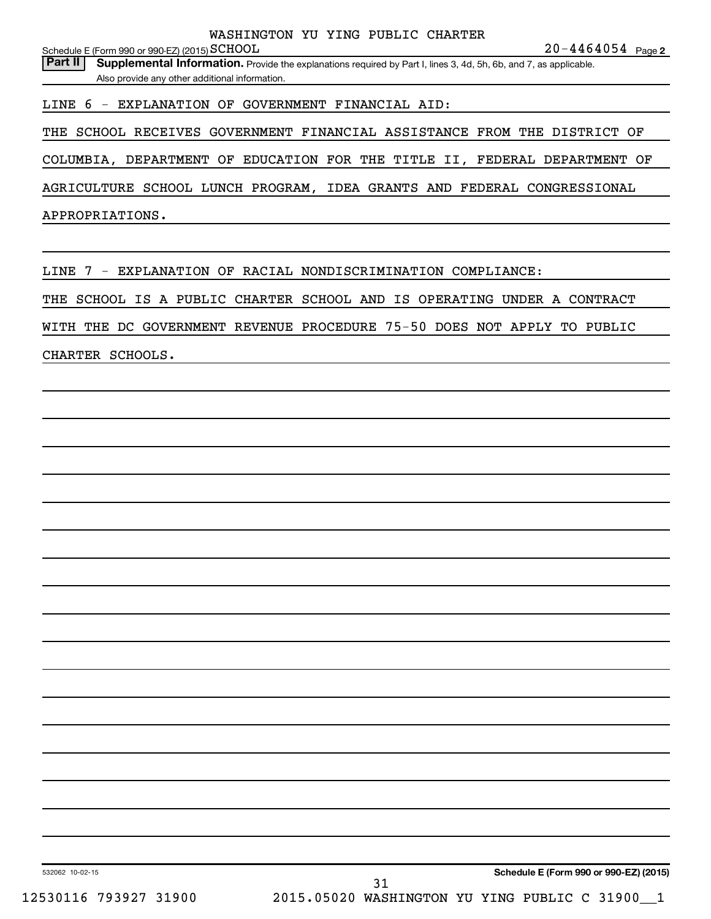**20-4464054** Page 2

Schedule E (Form 990 or 990-EZ) (2015)  $\operatorname{SCHOOL}$ Part II | Supplemental Information. Provide the explanations required by Part I, lines 3, 4d, 5h, 6b, and 7, as applicable. Also provide any other additional information.

LINE 6 - EXPLANATION OF GOVERNMENT FINANCIAL AID:

THE SCHOOL RECEIVES GOVERNMENT FINANCIAL ASSISTANCE FROM THE DISTRICT OF

COLUMBIA, DEPARTMENT OF EDUCATION FOR THE TITLE II, FEDERAL DEPARTMENT OF

AGRICULTURE SCHOOL LUNCH PROGRAM, IDEA GRANTS AND FEDERAL CONGRESSIONAL

APPROPRIATIONS.

LINE 7 - EXPLANATION OF RACIAL NONDISCRIMINATION COMPLIANCE:

THE SCHOOL IS A PUBLIC CHARTER SCHOOL AND IS OPERATING UNDER A CONTRACT

WITH THE DC GOVERNMENT REVENUE PROCEDURE 75-50 DOES NOT APPLY TO PUBLIC

CHARTER SCHOOLS.

**Schedule E (Form 990 or 990-EZ) (2015)**

532062 10-02-15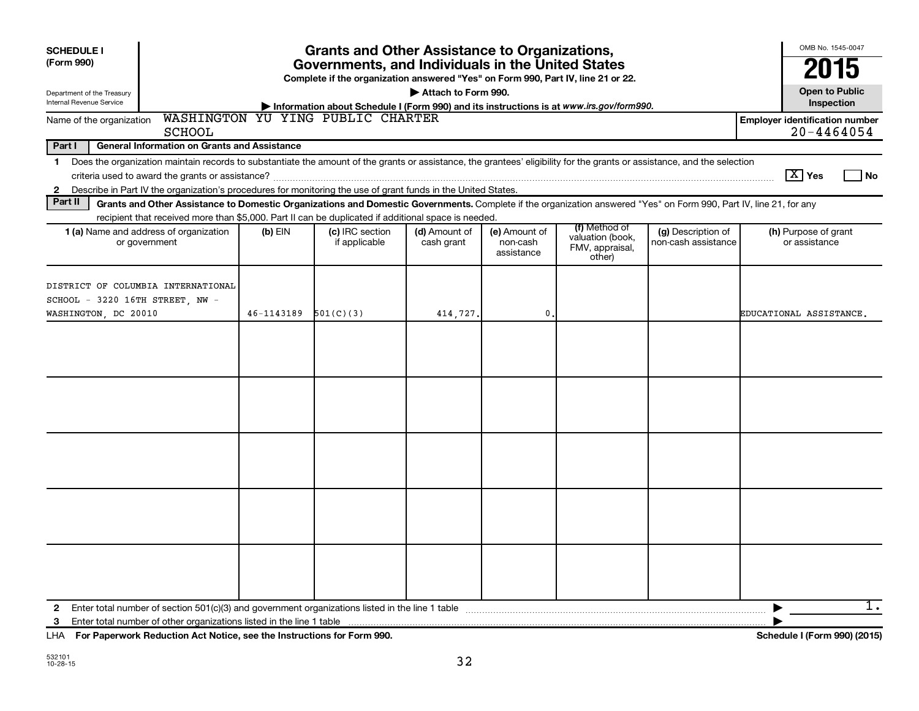| <b>SCHEDULE I</b><br>(Form 990)                         |                                                                                                                                                                                                                                                                                           |            | <b>Grants and Other Assistance to Organizations,</b><br>Governments, and Individuals in the United States                                                                   |                             |                                         |                                                                |                                           | OMB No. 1545-0047<br>2015                               |
|---------------------------------------------------------|-------------------------------------------------------------------------------------------------------------------------------------------------------------------------------------------------------------------------------------------------------------------------------------------|------------|-----------------------------------------------------------------------------------------------------------------------------------------------------------------------------|-----------------------------|-----------------------------------------|----------------------------------------------------------------|-------------------------------------------|---------------------------------------------------------|
| Department of the Treasury<br>Internal Revenue Service  |                                                                                                                                                                                                                                                                                           |            | Complete if the organization answered "Yes" on Form 990, Part IV, line 21 or 22.<br>Information about Schedule I (Form 990) and its instructions is at www.irs.gov/form990. | Attach to Form 990.         |                                         |                                                                |                                           | <b>Open to Public</b><br>Inspection                     |
| Name of the organization                                | <b>SCHOOL</b>                                                                                                                                                                                                                                                                             |            | WASHINGTON YU YING PUBLIC CHARTER                                                                                                                                           |                             |                                         |                                                                |                                           | <b>Employer identification number</b><br>$20 - 4464054$ |
| Part I                                                  | <b>General Information on Grants and Assistance</b>                                                                                                                                                                                                                                       |            |                                                                                                                                                                             |                             |                                         |                                                                |                                           |                                                         |
| $\mathbf{1}$<br>$\mathbf{2}$                            | Does the organization maintain records to substantiate the amount of the grants or assistance, the grantees' eligibility for the grants or assistance, and the selection<br>Describe in Part IV the organization's procedures for monitoring the use of grant funds in the United States. |            |                                                                                                                                                                             |                             |                                         |                                                                |                                           | $ \mathbf{X} $ Yes<br>l No                              |
| Part II                                                 | Grants and Other Assistance to Domestic Organizations and Domestic Governments. Complete if the organization answered "Yes" on Form 990, Part IV, line 21, for any                                                                                                                        |            |                                                                                                                                                                             |                             |                                         |                                                                |                                           |                                                         |
|                                                         | recipient that received more than \$5,000. Part II can be duplicated if additional space is needed.<br>1 (a) Name and address of organization<br>or government                                                                                                                            | $(b)$ EIN  | (c) IRC section<br>if applicable                                                                                                                                            | (d) Amount of<br>cash grant | (e) Amount of<br>non-cash<br>assistance | (f) Method of<br>valuation (book,<br>FMV, appraisal,<br>other) | (g) Description of<br>non-cash assistance | (h) Purpose of grant<br>or assistance                   |
| SCHOOL - 3220 16TH STREET, NW -<br>WASHINGTON, DC 20010 | DISTRICT OF COLUMBIA INTERNATIONAL                                                                                                                                                                                                                                                        | 46-1143189 | 501(C)(3)                                                                                                                                                                   | 414,727.                    | $\mathbf{0}$                            |                                                                |                                           | EDUCATIONAL ASSISTANCE.                                 |
|                                                         |                                                                                                                                                                                                                                                                                           |            |                                                                                                                                                                             |                             |                                         |                                                                |                                           |                                                         |
|                                                         |                                                                                                                                                                                                                                                                                           |            |                                                                                                                                                                             |                             |                                         |                                                                |                                           |                                                         |
|                                                         |                                                                                                                                                                                                                                                                                           |            |                                                                                                                                                                             |                             |                                         |                                                                |                                           |                                                         |
|                                                         |                                                                                                                                                                                                                                                                                           |            |                                                                                                                                                                             |                             |                                         |                                                                |                                           |                                                         |
|                                                         |                                                                                                                                                                                                                                                                                           |            |                                                                                                                                                                             |                             |                                         |                                                                |                                           |                                                         |
| $\mathbf{2}$<br>3                                       | Enter total number of section 501(c)(3) and government organizations listed in the line 1 table manufacture incommunity contains the manufacture of section 501(c)(3) and government organizations listed in the line 1 table                                                             |            |                                                                                                                                                                             |                             |                                         |                                                                |                                           | 1.<br>▶                                                 |

**For Paperwork Reduction Act Notice, see the Instructions for Form 990. Schedule I (Form 990) (2015)** LHA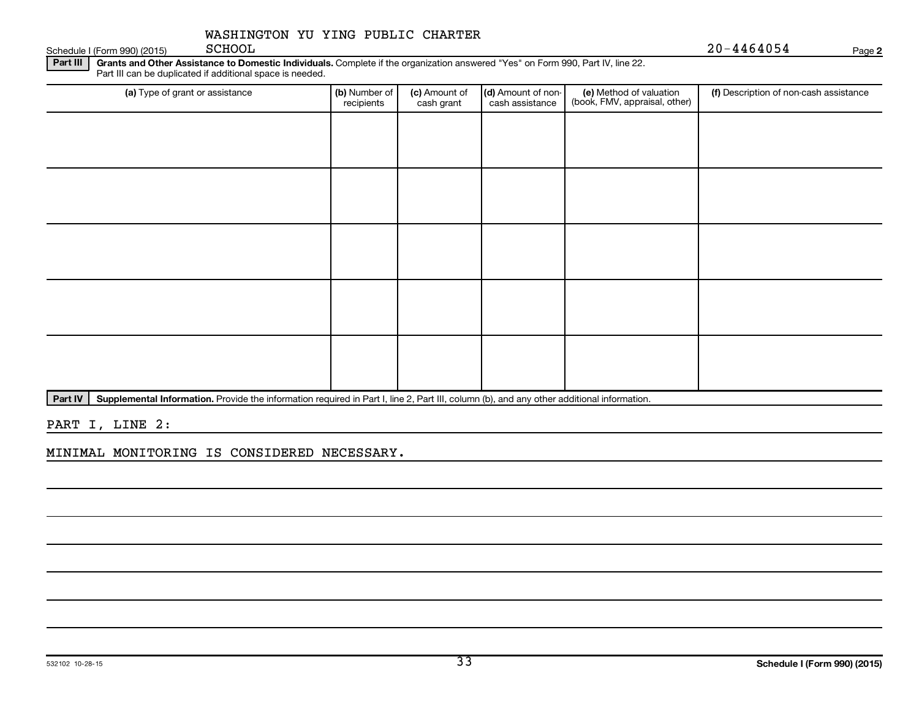Schedule I (Form 990) (2015) SCHOOL

SCHOOL 20-4464054

**2**

Part III | Grants and Other Assistance to Domestic Individuals. Complete if the organization answered "Yes" on Form 990, Part IV, line 22. Part III can be duplicated if additional space is needed.

| (a) Type of grant or assistance | (b) Number of<br>recipients | (c) Amount of<br>cash grant | (d) Amount of non-<br>cash assistance | (e) Method of valuation<br>(book, FMV, appraisal, other) | (f) Description of non-cash assistance |
|---------------------------------|-----------------------------|-----------------------------|---------------------------------------|----------------------------------------------------------|----------------------------------------|
|                                 |                             |                             |                                       |                                                          |                                        |
|                                 |                             |                             |                                       |                                                          |                                        |
|                                 |                             |                             |                                       |                                                          |                                        |
|                                 |                             |                             |                                       |                                                          |                                        |
|                                 |                             |                             |                                       |                                                          |                                        |
|                                 |                             |                             |                                       |                                                          |                                        |
|                                 |                             |                             |                                       |                                                          |                                        |
|                                 |                             |                             |                                       |                                                          |                                        |
|                                 |                             |                             |                                       |                                                          |                                        |
|                                 |                             |                             |                                       |                                                          |                                        |

Part IV | Supplemental Information. Provide the information required in Part I, line 2, Part III, column (b), and any other additional information.

PART I, LINE 2:

MINIMAL MONITORING IS CONSIDERED NECESSARY.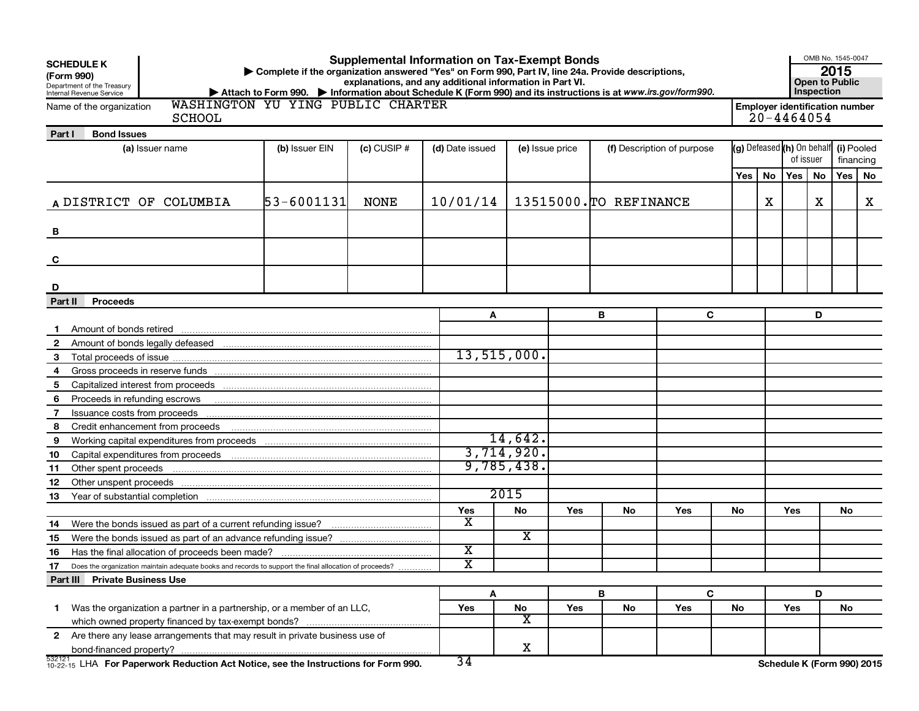| (Form 990)     | <b>SCHEDULE K</b><br>Department of the Treasury<br>Internal Revenue Service                                                                                                                                                    | Complete if the organization answered "Yes" on Form 990, Part IV, line 24a. Provide descriptions,<br>▶ Attach to Form 990. ▶ Information about Schedule K (Form 990) and its instructions is at www.irs.gov/form990. |               | <b>Supplemental Information on Tax-Exempt Bonds</b><br>explanations, and any additional information in Part VI. |               |                 |    |                            |     |    |                            | Inspection                                              | OMB No. 1545-0047<br>2015<br><b>Open to Public</b> |            |
|----------------|--------------------------------------------------------------------------------------------------------------------------------------------------------------------------------------------------------------------------------|----------------------------------------------------------------------------------------------------------------------------------------------------------------------------------------------------------------------|---------------|-----------------------------------------------------------------------------------------------------------------|---------------|-----------------|----|----------------------------|-----|----|----------------------------|---------------------------------------------------------|----------------------------------------------------|------------|
|                | Name of the organization<br><b>SCHOOL</b>                                                                                                                                                                                      | WASHINGTON YU YING PUBLIC CHARTER                                                                                                                                                                                    |               |                                                                                                                 |               |                 |    |                            |     |    |                            | <b>Employer identification number</b><br>$20 - 4464054$ |                                                    |            |
| Part I         | <b>Bond Issues</b>                                                                                                                                                                                                             |                                                                                                                                                                                                                      |               |                                                                                                                 |               |                 |    |                            |     |    |                            |                                                         |                                                    |            |
|                | (a) Issuer name                                                                                                                                                                                                                | (b) Issuer EIN                                                                                                                                                                                                       | $(c)$ CUSIP # | (d) Date issued                                                                                                 |               | (e) Issue price |    | (f) Description of purpose |     |    |                            | (g) Defeased (h) On behalf                              |                                                    | (i) Pooled |
|                |                                                                                                                                                                                                                                |                                                                                                                                                                                                                      |               |                                                                                                                 |               |                 |    |                            |     |    | of issuer                  |                                                         | financing                                          |            |
|                |                                                                                                                                                                                                                                |                                                                                                                                                                                                                      |               |                                                                                                                 |               |                 |    |                            | Yes | No | Yes <sub>1</sub>           | No                                                      | <b>Yes</b>                                         | No         |
|                | A DISTRICT OF COLUMBIA                                                                                                                                                                                                         | 53-6001131                                                                                                                                                                                                           | <b>NONE</b>   | 10/01/14                                                                                                        |               |                 |    | 13515000. TO REFINANCE     |     | х  |                            | х                                                       |                                                    | X          |
| В              |                                                                                                                                                                                                                                |                                                                                                                                                                                                                      |               |                                                                                                                 |               |                 |    |                            |     |    |                            |                                                         |                                                    |            |
| C              |                                                                                                                                                                                                                                |                                                                                                                                                                                                                      |               |                                                                                                                 |               |                 |    |                            |     |    |                            |                                                         |                                                    |            |
| D              |                                                                                                                                                                                                                                |                                                                                                                                                                                                                      |               |                                                                                                                 |               |                 |    |                            |     |    |                            |                                                         |                                                    |            |
| Part II        | Proceeds                                                                                                                                                                                                                       |                                                                                                                                                                                                                      |               |                                                                                                                 |               |                 |    |                            |     |    |                            |                                                         |                                                    |            |
|                |                                                                                                                                                                                                                                |                                                                                                                                                                                                                      |               | Α                                                                                                               |               |                 | в  | C                          |     |    |                            | D                                                       |                                                    |            |
| -1             | Amount of bonds retired                                                                                                                                                                                                        |                                                                                                                                                                                                                      |               |                                                                                                                 |               |                 |    |                            |     |    |                            |                                                         |                                                    |            |
| $\mathbf{2}$   |                                                                                                                                                                                                                                |                                                                                                                                                                                                                      |               |                                                                                                                 |               |                 |    |                            |     |    |                            |                                                         |                                                    |            |
| 3              |                                                                                                                                                                                                                                |                                                                                                                                                                                                                      |               |                                                                                                                 | 13, 515, 000. |                 |    |                            |     |    |                            |                                                         |                                                    |            |
| 4              |                                                                                                                                                                                                                                |                                                                                                                                                                                                                      |               |                                                                                                                 |               |                 |    |                            |     |    |                            |                                                         |                                                    |            |
| 5              |                                                                                                                                                                                                                                |                                                                                                                                                                                                                      |               |                                                                                                                 |               |                 |    |                            |     |    |                            |                                                         |                                                    |            |
| 6              | Proceeds in refunding escrows                                                                                                                                                                                                  |                                                                                                                                                                                                                      |               |                                                                                                                 |               |                 |    |                            |     |    |                            |                                                         |                                                    |            |
| $\overline{7}$ | Issuance costs from proceeds                                                                                                                                                                                                   |                                                                                                                                                                                                                      |               |                                                                                                                 |               |                 |    |                            |     |    |                            |                                                         |                                                    |            |
| 8              |                                                                                                                                                                                                                                |                                                                                                                                                                                                                      |               |                                                                                                                 |               |                 |    |                            |     |    |                            |                                                         |                                                    |            |
| 9              |                                                                                                                                                                                                                                |                                                                                                                                                                                                                      |               |                                                                                                                 | 14,642.       |                 |    |                            |     |    |                            |                                                         |                                                    |            |
| 10             |                                                                                                                                                                                                                                |                                                                                                                                                                                                                      |               |                                                                                                                 | 3,714,920.    |                 |    |                            |     |    |                            |                                                         |                                                    |            |
| 11             | Other spent proceeds                                                                                                                                                                                                           |                                                                                                                                                                                                                      |               |                                                                                                                 | 9,785,438.    |                 |    |                            |     |    |                            |                                                         |                                                    |            |
| 12             | Other unspent proceeds measurements are all the contract of the contract of the contract of the contract of the contract of the contract of the contract of the contract of the contract of the contract of the contract of th |                                                                                                                                                                                                                      |               |                                                                                                                 |               |                 |    |                            |     |    |                            |                                                         |                                                    |            |
| 13             |                                                                                                                                                                                                                                |                                                                                                                                                                                                                      |               |                                                                                                                 | 2015          |                 |    |                            |     |    |                            |                                                         |                                                    |            |
|                |                                                                                                                                                                                                                                |                                                                                                                                                                                                                      |               | Yes                                                                                                             | No            | Yes             | No | Yes                        | No  |    | Yes                        |                                                         | No                                                 |            |
| 14             | Were the bonds issued as part of a current refunding issue?                                                                                                                                                                    |                                                                                                                                                                                                                      |               | х                                                                                                               |               |                 |    |                            |     |    |                            |                                                         |                                                    |            |
| 15             |                                                                                                                                                                                                                                |                                                                                                                                                                                                                      |               |                                                                                                                 | x             |                 |    |                            |     |    |                            |                                                         |                                                    |            |
| 16             |                                                                                                                                                                                                                                |                                                                                                                                                                                                                      |               | х                                                                                                               |               |                 |    |                            |     |    |                            |                                                         |                                                    |            |
| 17             | Does the organization maintain adequate books and records to support the final allocation of proceeds?                                                                                                                         |                                                                                                                                                                                                                      |               | $\overline{\text{x}}$                                                                                           |               |                 |    |                            |     |    |                            |                                                         |                                                    |            |
|                | Part III Private Business Use                                                                                                                                                                                                  |                                                                                                                                                                                                                      |               |                                                                                                                 |               |                 |    |                            |     |    |                            |                                                         |                                                    |            |
|                |                                                                                                                                                                                                                                |                                                                                                                                                                                                                      |               | A                                                                                                               |               |                 | B  | C                          |     |    |                            | D                                                       |                                                    |            |
| 1.             | Was the organization a partner in a partnership, or a member of an LLC,                                                                                                                                                        |                                                                                                                                                                                                                      |               | Yes                                                                                                             | ${\sf No}$    | Yes             | No | Yes                        | No  |    | Yes                        |                                                         | No                                                 |            |
|                |                                                                                                                                                                                                                                |                                                                                                                                                                                                                      |               |                                                                                                                 | x             |                 |    |                            |     |    |                            |                                                         |                                                    |            |
|                | 2 Are there any lease arrangements that may result in private business use of                                                                                                                                                  |                                                                                                                                                                                                                      |               |                                                                                                                 |               |                 |    |                            |     |    |                            |                                                         |                                                    |            |
| 532121         |                                                                                                                                                                                                                                |                                                                                                                                                                                                                      |               | 34                                                                                                              | X             |                 |    |                            |     |    |                            |                                                         |                                                    |            |
|                | $^{532121}_{10-22-15}$ LHA For Paperwork Reduction Act Notice, see the Instructions for Form 990.                                                                                                                              |                                                                                                                                                                                                                      |               |                                                                                                                 |               |                 |    |                            |     |    | Schedule K (Form 990) 2015 |                                                         |                                                    |            |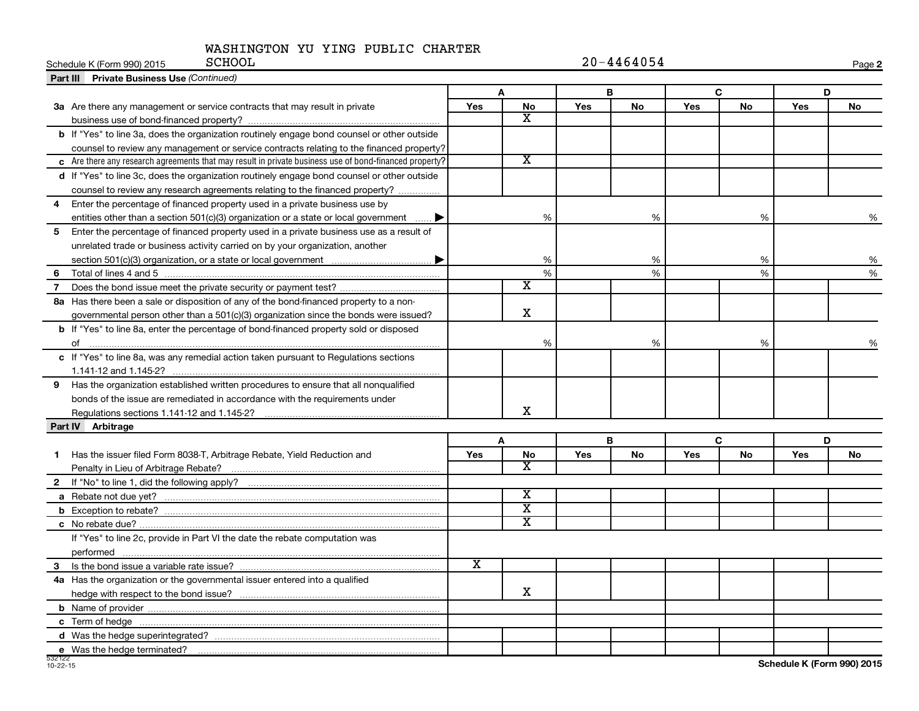| <b>SCHOOL</b><br>Schedule K (Form 990) 2015                                                            |                         | $20 - 4464054$          |     |           |            |             |     |    |  |
|--------------------------------------------------------------------------------------------------------|-------------------------|-------------------------|-----|-----------|------------|-------------|-----|----|--|
| <b>Part III</b> Private Business Use (Continued)                                                       |                         |                         |     |           |            |             |     |    |  |
|                                                                                                        | A                       |                         |     | в         |            | $\mathbf C$ | D   |    |  |
| 3a Are there any management or service contracts that may result in private                            | <b>Yes</b>              | No                      | Yes | <b>No</b> | <b>Yes</b> | No          | Yes | No |  |
|                                                                                                        |                         | $\overline{\texttt{x}}$ |     |           |            |             |     |    |  |
| b If "Yes" to line 3a, does the organization routinely engage bond counsel or other outside            |                         |                         |     |           |            |             |     |    |  |
| counsel to review any management or service contracts relating to the financed property?               |                         |                         |     |           |            |             |     |    |  |
| c Are there any research agreements that may result in private business use of bond-financed property? |                         | $\overline{\mathtt{x}}$ |     |           |            |             |     |    |  |
| d If "Yes" to line 3c, does the organization routinely engage bond counsel or other outside            |                         |                         |     |           |            |             |     |    |  |
| counsel to review any research agreements relating to the financed property?                           |                         |                         |     |           |            |             |     |    |  |
| Enter the percentage of financed property used in a private business use by<br>4                       |                         |                         |     |           |            |             |     |    |  |
| entities other than a section $501(c)(3)$ organization or a state or local government                  |                         | %                       |     | %         |            | %           |     | %  |  |
| 5<br>Enter the percentage of financed property used in a private business use as a result of           |                         |                         |     |           |            |             |     |    |  |
| unrelated trade or business activity carried on by your organization, another                          |                         |                         |     |           |            |             |     |    |  |
|                                                                                                        |                         | %                       |     | %         |            | %           |     | %  |  |
| 6                                                                                                      |                         | %                       |     | %         |            | %           |     | %  |  |
| 7                                                                                                      |                         | $\overline{\mathbf{X}}$ |     |           |            |             |     |    |  |
| 8a Has there been a sale or disposition of any of the bond-financed property to a non-                 |                         |                         |     |           |            |             |     |    |  |
| governmental person other than a 501(c)(3) organization since the bonds were issued?                   |                         | $\mathbf X$             |     |           |            |             |     |    |  |
| b If "Yes" to line 8a, enter the percentage of bond-financed property sold or disposed                 |                         |                         |     |           |            |             |     |    |  |
|                                                                                                        |                         | %                       |     | $\%$      |            | %           |     |    |  |
| c If "Yes" to line 8a, was any remedial action taken pursuant to Regulations sections                  |                         |                         |     |           |            |             |     |    |  |
|                                                                                                        |                         |                         |     |           |            |             |     |    |  |
| 9 Has the organization established written procedures to ensure that all nonqualified                  |                         |                         |     |           |            |             |     |    |  |
| bonds of the issue are remediated in accordance with the requirements under                            |                         |                         |     |           |            |             |     |    |  |
| Regulations sections 1.141-12 and 1.145-2?                                                             |                         | x                       |     |           |            |             |     |    |  |
| Part IV Arbitrage                                                                                      |                         |                         |     |           |            |             |     |    |  |
|                                                                                                        |                         | A                       |     | в         |            | C           | D   |    |  |
| Has the issuer filed Form 8038-T, Arbitrage Rebate, Yield Reduction and<br>$\mathbf{1}$                | <b>Yes</b>              | No                      | Yes | <b>No</b> | <b>Yes</b> | No          | Yes | No |  |
|                                                                                                        |                         | $\overline{\mathbf{X}}$ |     |           |            |             |     |    |  |
| $\mathbf{2}$                                                                                           |                         |                         |     |           |            |             |     |    |  |
|                                                                                                        |                         | X                       |     |           |            |             |     |    |  |
|                                                                                                        |                         | $\overline{\textbf{x}}$ |     |           |            |             |     |    |  |
|                                                                                                        |                         | $\overline{\text{x}}$   |     |           |            |             |     |    |  |
| If "Yes" to line 2c, provide in Part VI the date the rebate computation was                            |                         |                         |     |           |            |             |     |    |  |
|                                                                                                        |                         |                         |     |           |            |             |     |    |  |
|                                                                                                        | $\overline{\mathbf{X}}$ |                         |     |           |            |             |     |    |  |
| 4a Has the organization or the governmental issuer entered into a qualified                            |                         |                         |     |           |            |             |     |    |  |
|                                                                                                        |                         | x                       |     |           |            |             |     |    |  |
|                                                                                                        |                         |                         |     |           |            |             |     |    |  |
|                                                                                                        |                         |                         |     |           |            |             |     |    |  |
|                                                                                                        |                         |                         |     |           |            |             |     |    |  |
| e Was the hedge terminated?                                                                            |                         |                         |     |           |            |             |     |    |  |

**Schedule K (Form 990) 2015**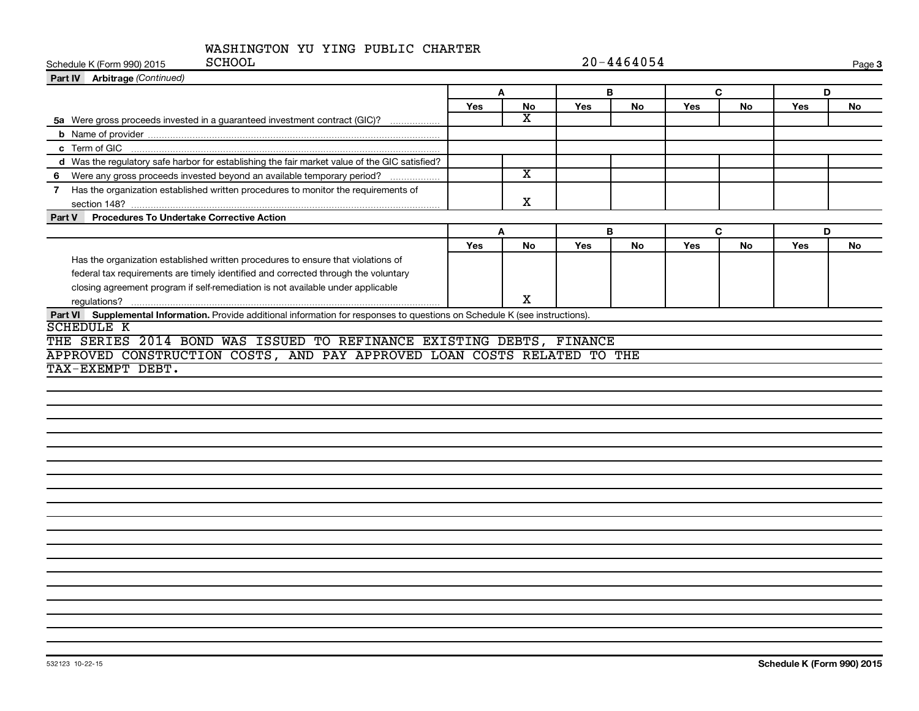| <b>SCHOOL</b><br>Schedule K (Form 990) 2015                                                                                   | $20 - 4464054$ |                         |            |           |              |           |     | Page 3 |  |
|-------------------------------------------------------------------------------------------------------------------------------|----------------|-------------------------|------------|-----------|--------------|-----------|-----|--------|--|
| Part IV Arbitrage (Continued)                                                                                                 |                |                         |            |           |              |           |     |        |  |
|                                                                                                                               | $\mathbf{A}$   |                         | B          |           | $\mathbf{C}$ |           | D   |        |  |
|                                                                                                                               | <b>Yes</b>     | No                      | <b>Yes</b> | No        | Yes          | <b>No</b> | Yes | No     |  |
| 5a Were gross proceeds invested in a guaranteed investment contract (GIC)?                                                    |                | x                       |            |           |              |           |     |        |  |
|                                                                                                                               |                |                         |            |           |              |           |     |        |  |
|                                                                                                                               |                |                         |            |           |              |           |     |        |  |
| d Was the regulatory safe harbor for establishing the fair market value of the GIC satisfied?                                 |                |                         |            |           |              |           |     |        |  |
| 6 Were any gross proceeds invested beyond an available temporary period?                                                      |                | $\overline{\texttt{x}}$ |            |           |              |           |     |        |  |
| 7 Has the organization established written procedures to monitor the requirements of                                          |                |                         |            |           |              |           |     |        |  |
|                                                                                                                               |                | X                       |            |           |              |           |     |        |  |
| Part V Procedures To Undertake Corrective Action                                                                              |                |                         |            |           |              |           |     |        |  |
|                                                                                                                               |                | A                       |            | B         |              | C         | D   |        |  |
|                                                                                                                               | <b>Yes</b>     | <b>No</b>               | <b>Yes</b> | <b>No</b> | Yes          | <b>No</b> | Yes | No     |  |
| Has the organization established written procedures to ensure that violations of                                              |                |                         |            |           |              |           |     |        |  |
| federal tax requirements are timely identified and corrected through the voluntary                                            |                |                         |            |           |              |           |     |        |  |
| closing agreement program if self-remediation is not available under applicable                                               |                |                         |            |           |              |           |     |        |  |
|                                                                                                                               |                | X                       |            |           |              |           |     |        |  |
| Part VI Supplemental Information. Provide additional information for responses to questions on Schedule K (see instructions). |                |                         |            |           |              |           |     |        |  |
| <b>SCHEDULE K</b>                                                                                                             |                |                         |            |           |              |           |     |        |  |
| THE SERIES 2014 BOND WAS ISSUED TO REFINANCE EXISTING DEBTS, FINANCE                                                          |                |                         |            |           |              |           |     |        |  |
| APPROVED CONSTRUCTION COSTS, AND PAY APPROVED LOAN COSTS RELATED TO THE                                                       |                |                         |            |           |              |           |     |        |  |
| TAX-EXEMPT DEBT.                                                                                                              |                |                         |            |           |              |           |     |        |  |
|                                                                                                                               |                |                         |            |           |              |           |     |        |  |
|                                                                                                                               |                |                         |            |           |              |           |     |        |  |
|                                                                                                                               |                |                         |            |           |              |           |     |        |  |
|                                                                                                                               |                |                         |            |           |              |           |     |        |  |
|                                                                                                                               |                |                         |            |           |              |           |     |        |  |
|                                                                                                                               |                |                         |            |           |              |           |     |        |  |
|                                                                                                                               |                |                         |            |           |              |           |     |        |  |
|                                                                                                                               |                |                         |            |           |              |           |     |        |  |
|                                                                                                                               |                |                         |            |           |              |           |     |        |  |
|                                                                                                                               |                |                         |            |           |              |           |     |        |  |
|                                                                                                                               |                |                         |            |           |              |           |     |        |  |
|                                                                                                                               |                |                         |            |           |              |           |     |        |  |
|                                                                                                                               |                |                         |            |           |              |           |     |        |  |
|                                                                                                                               |                |                         |            |           |              |           |     |        |  |
|                                                                                                                               |                |                         |            |           |              |           |     |        |  |
|                                                                                                                               |                |                         |            |           |              |           |     |        |  |
|                                                                                                                               |                |                         |            |           |              |           |     |        |  |
|                                                                                                                               |                |                         |            |           |              |           |     |        |  |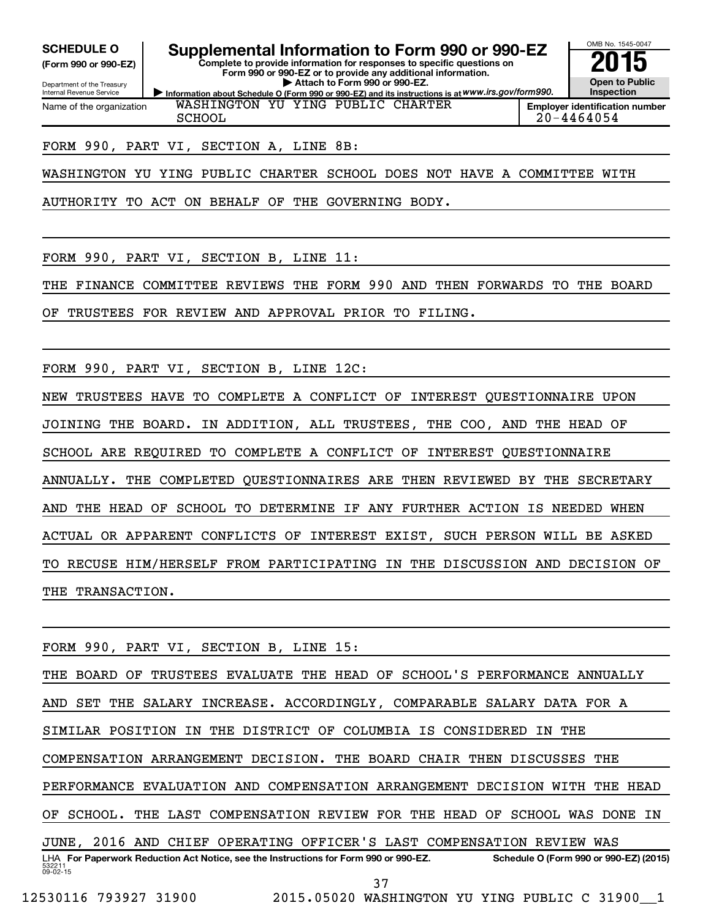**(Form 990 or 990-EZ)**

Department of the Treasury Internal Revenue Service Name of the organization

**Information about Schedule O (Form 990 or 990-EZ) and its instructions is at WWW.irs.gov/form990. Complete to provide information for responses to specific questions on Form 990 or 990-EZ or to provide any additional information. | Attach to Form 990 or 990-EZ.** SCHEDULE O **Supplemental Information to Form 990 or 990-EZ** 2015<br>(Form 990 or 990-EZ) Complete to provide information for responses to specific questions on



**Employer identification number** SCHOOL 20-4464054

#### FORM 990, PART VI, SECTION A, LINE 8B:

WASHINGTON YU YING PUBLIC CHARTER SCHOOL DOES NOT HAVE A COMMITTEE WITH

WASHINGTON YU YING PUBLIC CHARTER

AUTHORITY TO ACT ON BEHALF OF THE GOVERNING BODY.

FORM 990, PART VI, SECTION B, LINE 11:

THE FINANCE COMMITTEE REVIEWS THE FORM 990 AND THEN FORWARDS TO THE BOARD

OF TRUSTEES FOR REVIEW AND APPROVAL PRIOR TO FILING.

FORM 990, PART VI, SECTION B, LINE 12C:

NEW TRUSTEES HAVE TO COMPLETE A CONFLICT OF INTEREST QUESTIONNAIRE UPON JOINING THE BOARD. IN ADDITION, ALL TRUSTEES, THE COO, AND THE HEAD OF SCHOOL ARE REQUIRED TO COMPLETE A CONFLICT OF INTEREST QUESTIONNAIRE ANNUALLY. THE COMPLETED QUESTIONNAIRES ARE THEN REVIEWED BY THE SECRETARY AND THE HEAD OF SCHOOL TO DETERMINE IF ANY FURTHER ACTION IS NEEDED WHEN ACTUAL OR APPARENT CONFLICTS OF INTEREST EXIST, SUCH PERSON WILL BE ASKED TO RECUSE HIM/HERSELF FROM PARTICIPATING IN THE DISCUSSION AND DECISION OF THE TRANSACTION.

532211  $09 - 02 - 15$ LHA For Paperwork Reduction Act Notice, see the Instructions for Form 990 or 990-EZ. Schedule O (Form 990 or 990-EZ) (2015) FORM 990, PART VI, SECTION B, LINE 15: THE BOARD OF TRUSTEES EVALUATE THE HEAD OF SCHOOL'S PERFORMANCE ANNUALLY AND SET THE SALARY INCREASE. ACCORDINGLY, COMPARABLE SALARY DATA FOR A SIMILAR POSITION IN THE DISTRICT OF COLUMBIA IS CONSIDERED IN THE COMPENSATION ARRANGEMENT DECISION. THE BOARD CHAIR THEN DISCUSSES THE PERFORMANCE EVALUATION AND COMPENSATION ARRANGEMENT DECISION WITH THE HEAD OF SCHOOL. THE LAST COMPENSATION REVIEW FOR THE HEAD OF SCHOOL WAS DONE IN JUNE, 2016 AND CHIEF OPERATING OFFICER'S LAST COMPENSATION REVIEW WAS 37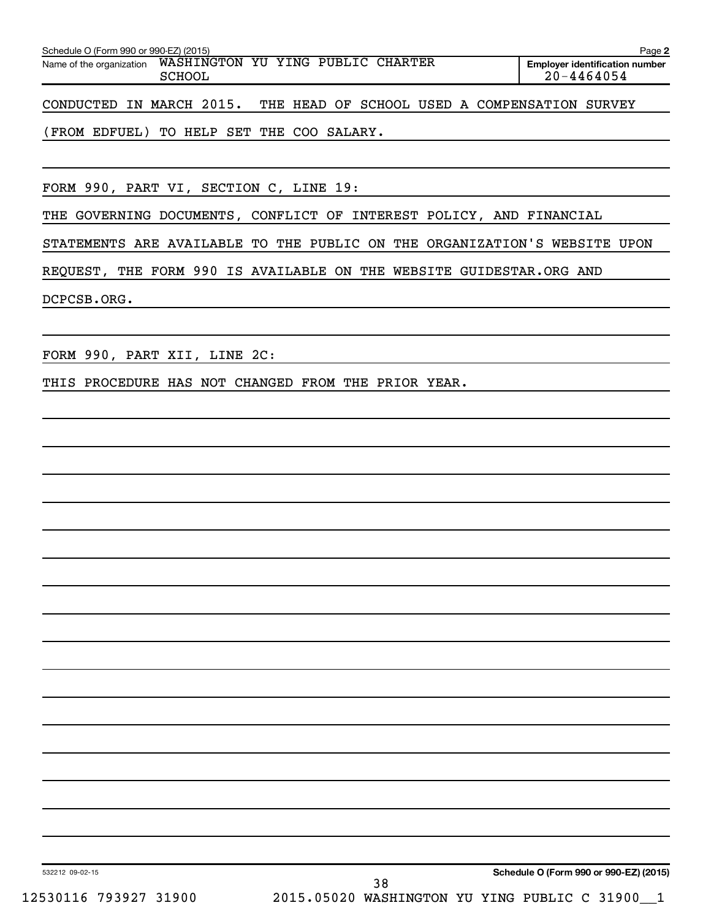| Schedule O (Form 990 or 990-EZ) (2015)<br>Page 2                        |  |  |  |  |                                               |                                                         |  |  |
|-------------------------------------------------------------------------|--|--|--|--|-----------------------------------------------|---------------------------------------------------------|--|--|
| WASHINGTON YU YING PUBLIC CHARTER<br>Name of the organization<br>SCHOOL |  |  |  |  |                                               | <b>Employer identification number</b><br>$20 - 4464054$ |  |  |
| CONDUCTED IN MARCH 2015.                                                |  |  |  |  | THE HEAD OF SCHOOL USED A COMPENSATION SURVEY |                                                         |  |  |

(FROM EDFUEL) TO HELP SET THE COO SALARY.

FORM 990, PART VI, SECTION C, LINE 19:

THE GOVERNING DOCUMENTS, CONFLICT OF INTEREST POLICY, AND FINANCIAL

STATEMENTS ARE AVAILABLE TO THE PUBLIC ON THE ORGANIZATION'S WEBSITE UPON

REQUEST, THE FORM 990 IS AVAILABLE ON THE WEBSITE GUIDESTAR.ORG AND

DCPCSB.ORG.

FORM 990, PART XII, LINE 2C:

THIS PROCEDURE HAS NOT CHANGED FROM THE PRIOR YEAR.

532212 09-02-15